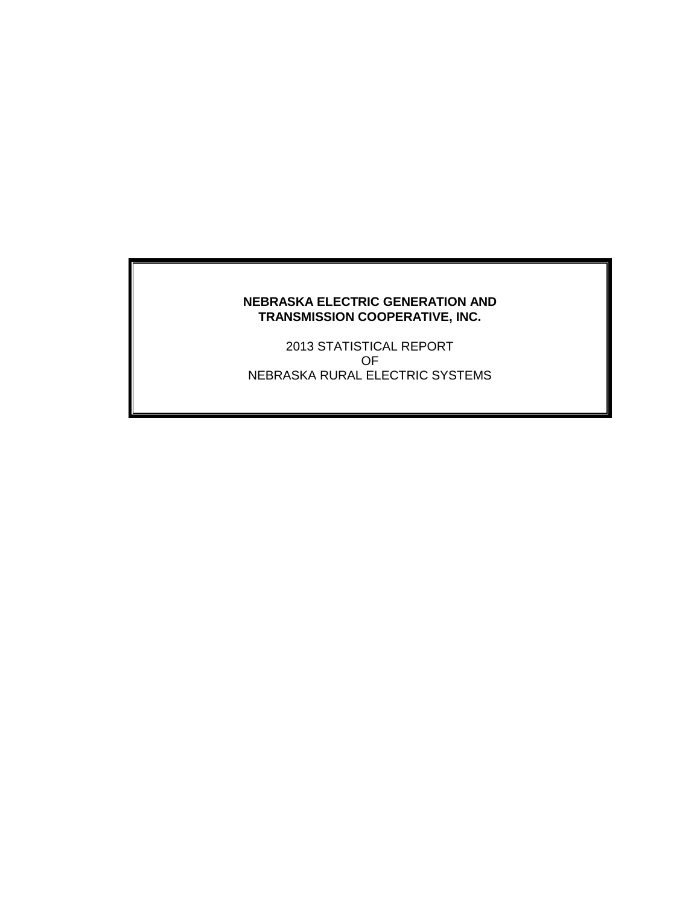### **NEBRASKA ELECTRIC GENERATION AND TRANSMISSION COOPERATIVE, INC.**

2013 STATISTICAL REPORT OF NEBRASKA RURAL ELECTRIC SYSTEMS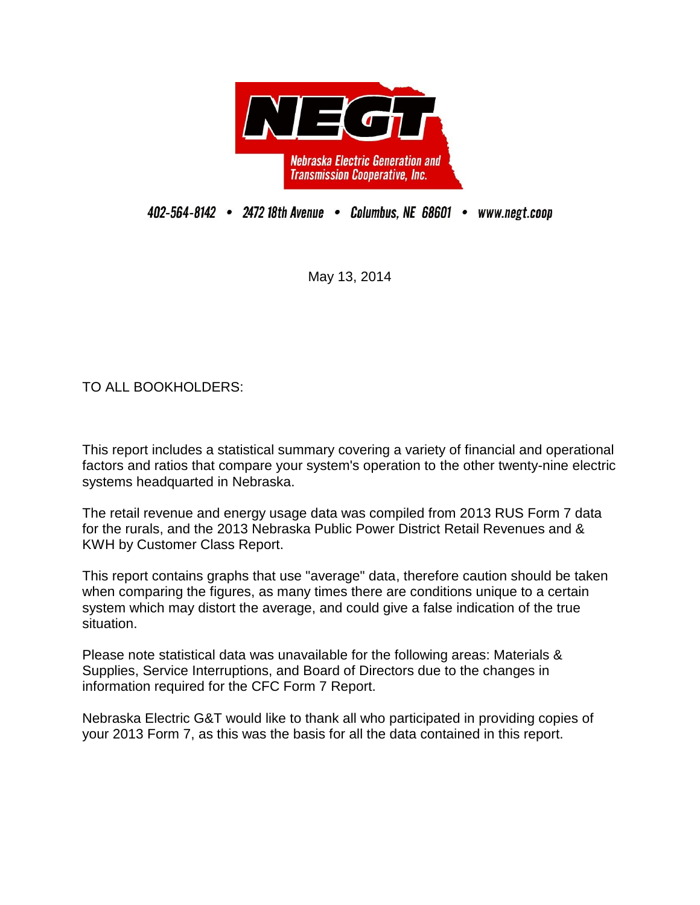

## 402-564-8142 • 2472 18th Avenue • Columbus, NE 68601 • www.negt.coop

May 13, 2014

TO ALL BOOKHOLDERS:

This report includes a statistical summary covering a variety of financial and operational factors and ratios that compare your system's operation to the other twenty-nine electric systems headquarted in Nebraska.

The retail revenue and energy usage data was compiled from 2013 RUS Form 7 data for the rurals, and the 2013 Nebraska Public Power District Retail Revenues and & KWH by Customer Class Report.

This report contains graphs that use "average" data, therefore caution should be taken when comparing the figures, as many times there are conditions unique to a certain system which may distort the average, and could give a false indication of the true situation.

Please note statistical data was unavailable for the following areas: Materials & Supplies, Service Interruptions, and Board of Directors due to the changes in information required for the CFC Form 7 Report.

Nebraska Electric G&T would like to thank all who participated in providing copies of your 2013 Form 7, as this was the basis for all the data contained in this report.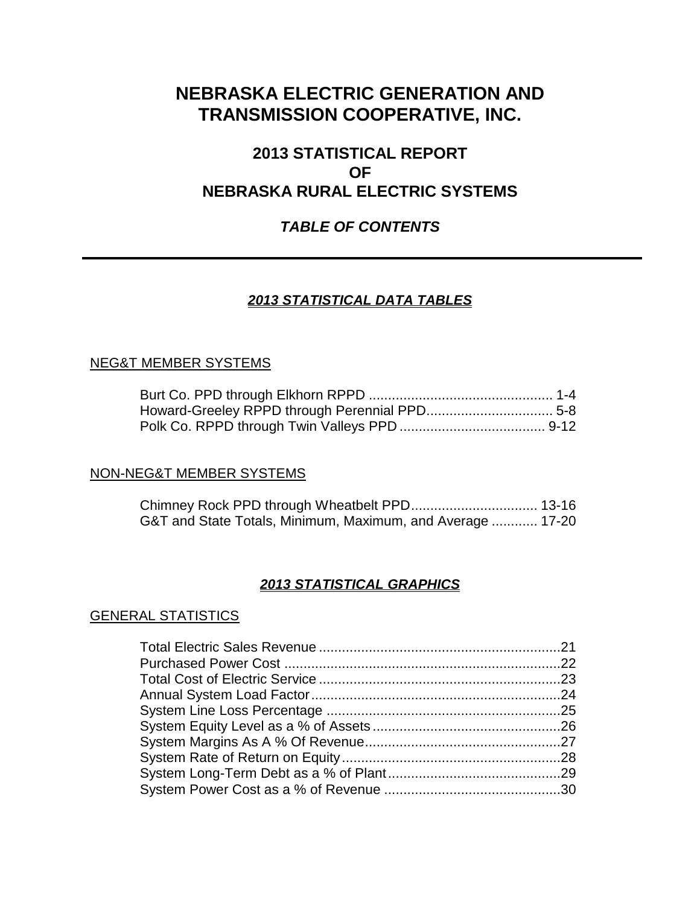# **NEBRASKA ELECTRIC GENERATION AND TRANSMISSION COOPERATIVE, INC.**

# **2013 STATISTICAL REPORT OF NEBRASKA RURAL ELECTRIC SYSTEMS**

# *TABLE OF CONTENTS*

## *2013 STATISTICAL DATA TABLES*

## NEG&T MEMBER SYSTEMS

## NON-NEG&T MEMBER SYSTEMS

| G&T and State Totals, Minimum, Maximum, and Average  17-20 |  |
|------------------------------------------------------------|--|

## *2013 STATISTICAL GRAPHICS*

### GENERAL STATISTICS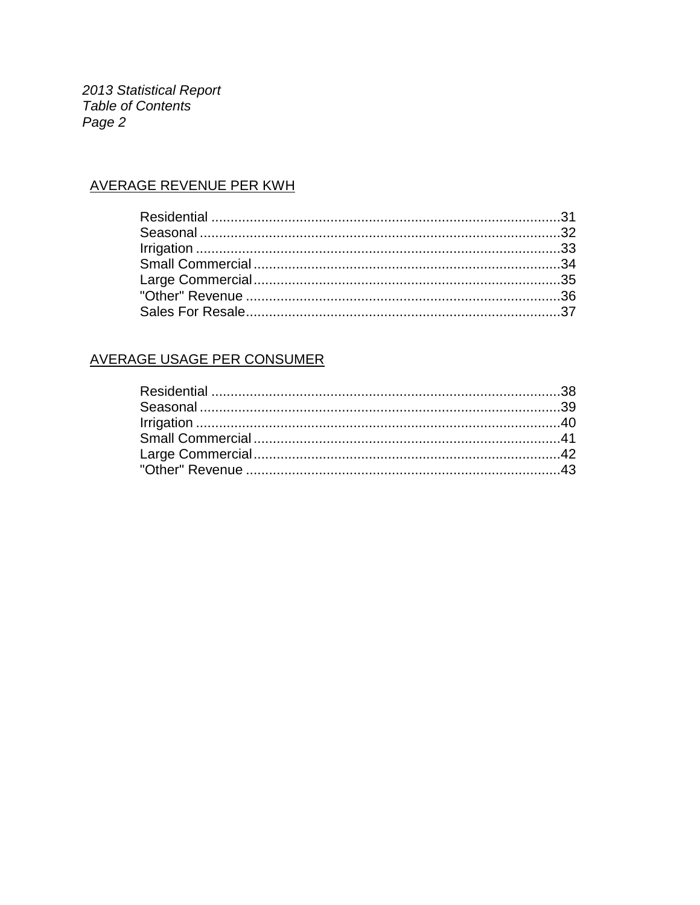2013 Statistical Report **Table of Contents** Page 2

## AVERAGE REVENUE PER KWH

## AVERAGE USAGE PER CONSUMER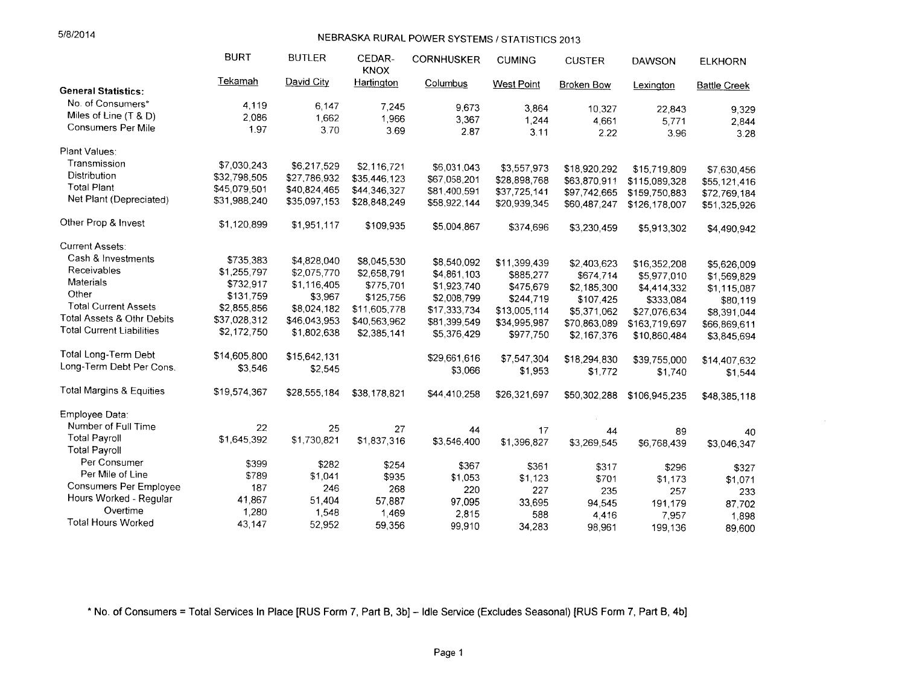/2014

#### NEBRASKA RURAL POWER SYSTEMS / STATISTICS 2

| Tekamah<br>David City<br>Hartington<br>Columbus<br><b>West Point</b><br><b>Broken Bow</b><br>Lexington<br><b>Battle Creek</b><br><b>General Statistics:</b><br>No. of Consumers*<br>4,119<br>6,147<br>7.245<br>9,673<br>3,864<br>10,327<br>22,843<br>9,329<br>Miles of Line (T & D)<br>2.086<br>1,662<br>1,966<br>3,367<br>1,244<br>4,661<br>5.771<br>2,844<br>Consumers Per Mile<br>1.97<br>3.70<br>3.69<br>2.87<br>3.11<br>2.22<br>3.96<br>3.28<br>Plant Values:<br>Transmission<br>\$7,030,243<br>\$6,217,529<br>\$2,116,721<br>\$6,031,043<br>\$3,557,973<br>\$18,920,292<br>\$15,719,809<br>\$7,630,456<br>Distribution<br>\$32,798,505<br>\$27,786,932<br>\$35,446,123<br>\$67,058.201<br>\$28,898,768<br>\$63,870,911<br>\$115,089,328<br>\$55,121,416<br><b>Total Plant</b><br>\$45,079,501<br>\$40,824,465<br>\$44,346,327<br>\$81,400,591<br>\$37,725,141<br>\$97,742,665<br>\$159,750,883<br>\$72,769,184<br>Net Plant (Depreciated)<br>\$31,988,240<br>\$35,097,153<br>\$28,848,249<br>\$58,922,144<br>\$20,939,345<br>\$60,487,247<br>\$126,178,007<br>\$51,325,926<br>Other Prop & Invest<br>\$1,120,899<br>\$1,951,117<br>\$109,935<br>\$5,004,867<br>\$374,696<br>\$3,230,459<br>\$5,913,302<br>\$4,490.942<br><b>Current Assets:</b><br>Cash & Investments<br>\$735,383<br>\$4,828,040<br>\$8,045.530<br>\$8,540,092<br>\$11,399,439<br>\$2,403,623<br>\$16,352,208<br>\$5,626,009<br>Receivables<br>\$1,255,797<br>\$2,075,770<br>\$2,658,791<br>\$4,861,103<br>\$885,277<br>\$674,714<br>\$5,977,010<br>\$1,569,829<br><b>Materials</b><br>\$732,917<br>\$1,116,405<br>\$775,701<br>\$1,923,740<br>\$475.679<br>\$2,185,300<br>\$4,414,332<br>\$1,115,087<br>Other<br>\$131,759<br>\$3,967<br>\$125,756<br>\$2,008,799<br>\$244,719<br>\$107.425<br>\$333,084<br>\$80,119<br><b>Total Current Assets</b><br>\$2,855,856<br>\$8,024,182<br>\$11,605,778<br>\$17,333,734<br>\$13,005,114<br>\$5,371,062<br>\$27,076,634<br>\$8,391,044<br>Total Assets & Othr Debits<br>\$37,028,312<br>\$46,043,953<br>\$40,563,962<br>\$81,399,549<br>\$34,995,987<br>\$70,863,089<br>\$163,719,697<br>\$66,869,611<br><b>Total Current Liabilities</b><br>\$2,172,750<br>\$1,802,638<br>\$2,385,141<br>\$5,376,429<br>\$977,750<br>\$2,167,376<br>\$10,860,484<br>\$3,845,694<br>Total Long-Term Debt<br>\$14,605,800<br>\$15,642,131<br>\$29,661,616<br>\$7,547,304<br>\$18,294,830<br>\$39,755,000<br>\$14,407,632<br>Long-Term Debt Per Cons.<br>\$3,546<br>\$2,545<br>\$3,066<br>\$1,953<br>\$1,772<br>\$1,740<br>\$1,544<br><b>Total Margins &amp; Equities</b><br>\$19,574,367<br>\$28,555.184<br>\$38,178.821<br>\$44,410,258<br>\$26,321,697<br>\$50,302,288<br>\$106,945,235<br>\$48,385,118<br>Employee Data:<br>Number of Full Time<br>22<br>25<br>27<br>44<br>17<br>44<br>89<br>40<br><b>Total Payroll</b><br>\$1,645,392<br>\$1,730,821<br>\$1,837,316<br>\$3,546,400<br>\$1,396,827<br>\$3,269,545<br>\$6,768,439<br>\$3.046.347<br><b>Total Payroll</b><br>Per Consumer<br>\$399<br>\$282<br>\$254<br>\$367<br>\$361<br>\$317<br>\$296<br>\$327<br>Per Mile of Line<br>\$789<br>\$1,041<br>\$935<br>\$1,053<br>\$1,123<br>\$701<br>\$1,173<br>\$1,071<br><b>Consumers Per Employee</b><br>187<br>246<br>268<br>220<br>227<br>235<br>257<br>233<br>Hours Worked - Regular<br>41,867<br>51,404<br>57,887<br>97,095<br>33,695<br>94,545<br>191,179<br>87,702<br>Overtime<br>1.280<br>1,548<br>1,469<br>2,815<br>588<br>4,416<br>7,957<br>1,898<br><b>Total Hours Worked</b><br>43.147<br>52,952<br>59,356<br>99,910<br>34,283<br>98,961<br>199,136<br>89,600 | <b>BURT</b> | <b>BUTLER</b> | CEDAR-<br><b>KNOX</b> | <b>CORNHUSKER</b> | <b>CUMING</b> | <b>CUSTER</b> | <b>DAWSON</b> | <b>ELKHORN</b> |
|------------------------------------------------------------------------------------------------------------------------------------------------------------------------------------------------------------------------------------------------------------------------------------------------------------------------------------------------------------------------------------------------------------------------------------------------------------------------------------------------------------------------------------------------------------------------------------------------------------------------------------------------------------------------------------------------------------------------------------------------------------------------------------------------------------------------------------------------------------------------------------------------------------------------------------------------------------------------------------------------------------------------------------------------------------------------------------------------------------------------------------------------------------------------------------------------------------------------------------------------------------------------------------------------------------------------------------------------------------------------------------------------------------------------------------------------------------------------------------------------------------------------------------------------------------------------------------------------------------------------------------------------------------------------------------------------------------------------------------------------------------------------------------------------------------------------------------------------------------------------------------------------------------------------------------------------------------------------------------------------------------------------------------------------------------------------------------------------------------------------------------------------------------------------------------------------------------------------------------------------------------------------------------------------------------------------------------------------------------------------------------------------------------------------------------------------------------------------------------------------------------------------------------------------------------------------------------------------------------------------------------------------------------------------------------------------------------------------------------------------------------------------------------------------------------------------------------------------------------------------------------------------------------------------------------------------------------------------------------------------------------------------------------------------------------------------------------------------------------------------------------------------------------------------------------------------------------------------------------------------------------------------------------------------------------------------------------------------------------------------------------------------------------------------------------------------------------------------------------------------------------------------------------------------------------------------------|-------------|---------------|-----------------------|-------------------|---------------|---------------|---------------|----------------|
|                                                                                                                                                                                                                                                                                                                                                                                                                                                                                                                                                                                                                                                                                                                                                                                                                                                                                                                                                                                                                                                                                                                                                                                                                                                                                                                                                                                                                                                                                                                                                                                                                                                                                                                                                                                                                                                                                                                                                                                                                                                                                                                                                                                                                                                                                                                                                                                                                                                                                                                                                                                                                                                                                                                                                                                                                                                                                                                                                                                                                                                                                                                                                                                                                                                                                                                                                                                                                                                                                                                                                                              |             |               |                       |                   |               |               |               |                |
|                                                                                                                                                                                                                                                                                                                                                                                                                                                                                                                                                                                                                                                                                                                                                                                                                                                                                                                                                                                                                                                                                                                                                                                                                                                                                                                                                                                                                                                                                                                                                                                                                                                                                                                                                                                                                                                                                                                                                                                                                                                                                                                                                                                                                                                                                                                                                                                                                                                                                                                                                                                                                                                                                                                                                                                                                                                                                                                                                                                                                                                                                                                                                                                                                                                                                                                                                                                                                                                                                                                                                                              |             |               |                       |                   |               |               |               |                |
|                                                                                                                                                                                                                                                                                                                                                                                                                                                                                                                                                                                                                                                                                                                                                                                                                                                                                                                                                                                                                                                                                                                                                                                                                                                                                                                                                                                                                                                                                                                                                                                                                                                                                                                                                                                                                                                                                                                                                                                                                                                                                                                                                                                                                                                                                                                                                                                                                                                                                                                                                                                                                                                                                                                                                                                                                                                                                                                                                                                                                                                                                                                                                                                                                                                                                                                                                                                                                                                                                                                                                                              |             |               |                       |                   |               |               |               |                |
|                                                                                                                                                                                                                                                                                                                                                                                                                                                                                                                                                                                                                                                                                                                                                                                                                                                                                                                                                                                                                                                                                                                                                                                                                                                                                                                                                                                                                                                                                                                                                                                                                                                                                                                                                                                                                                                                                                                                                                                                                                                                                                                                                                                                                                                                                                                                                                                                                                                                                                                                                                                                                                                                                                                                                                                                                                                                                                                                                                                                                                                                                                                                                                                                                                                                                                                                                                                                                                                                                                                                                                              |             |               |                       |                   |               |               |               |                |
|                                                                                                                                                                                                                                                                                                                                                                                                                                                                                                                                                                                                                                                                                                                                                                                                                                                                                                                                                                                                                                                                                                                                                                                                                                                                                                                                                                                                                                                                                                                                                                                                                                                                                                                                                                                                                                                                                                                                                                                                                                                                                                                                                                                                                                                                                                                                                                                                                                                                                                                                                                                                                                                                                                                                                                                                                                                                                                                                                                                                                                                                                                                                                                                                                                                                                                                                                                                                                                                                                                                                                                              |             |               |                       |                   |               |               |               |                |
|                                                                                                                                                                                                                                                                                                                                                                                                                                                                                                                                                                                                                                                                                                                                                                                                                                                                                                                                                                                                                                                                                                                                                                                                                                                                                                                                                                                                                                                                                                                                                                                                                                                                                                                                                                                                                                                                                                                                                                                                                                                                                                                                                                                                                                                                                                                                                                                                                                                                                                                                                                                                                                                                                                                                                                                                                                                                                                                                                                                                                                                                                                                                                                                                                                                                                                                                                                                                                                                                                                                                                                              |             |               |                       |                   |               |               |               |                |
|                                                                                                                                                                                                                                                                                                                                                                                                                                                                                                                                                                                                                                                                                                                                                                                                                                                                                                                                                                                                                                                                                                                                                                                                                                                                                                                                                                                                                                                                                                                                                                                                                                                                                                                                                                                                                                                                                                                                                                                                                                                                                                                                                                                                                                                                                                                                                                                                                                                                                                                                                                                                                                                                                                                                                                                                                                                                                                                                                                                                                                                                                                                                                                                                                                                                                                                                                                                                                                                                                                                                                                              |             |               |                       |                   |               |               |               |                |
|                                                                                                                                                                                                                                                                                                                                                                                                                                                                                                                                                                                                                                                                                                                                                                                                                                                                                                                                                                                                                                                                                                                                                                                                                                                                                                                                                                                                                                                                                                                                                                                                                                                                                                                                                                                                                                                                                                                                                                                                                                                                                                                                                                                                                                                                                                                                                                                                                                                                                                                                                                                                                                                                                                                                                                                                                                                                                                                                                                                                                                                                                                                                                                                                                                                                                                                                                                                                                                                                                                                                                                              |             |               |                       |                   |               |               |               |                |
|                                                                                                                                                                                                                                                                                                                                                                                                                                                                                                                                                                                                                                                                                                                                                                                                                                                                                                                                                                                                                                                                                                                                                                                                                                                                                                                                                                                                                                                                                                                                                                                                                                                                                                                                                                                                                                                                                                                                                                                                                                                                                                                                                                                                                                                                                                                                                                                                                                                                                                                                                                                                                                                                                                                                                                                                                                                                                                                                                                                                                                                                                                                                                                                                                                                                                                                                                                                                                                                                                                                                                                              |             |               |                       |                   |               |               |               |                |
|                                                                                                                                                                                                                                                                                                                                                                                                                                                                                                                                                                                                                                                                                                                                                                                                                                                                                                                                                                                                                                                                                                                                                                                                                                                                                                                                                                                                                                                                                                                                                                                                                                                                                                                                                                                                                                                                                                                                                                                                                                                                                                                                                                                                                                                                                                                                                                                                                                                                                                                                                                                                                                                                                                                                                                                                                                                                                                                                                                                                                                                                                                                                                                                                                                                                                                                                                                                                                                                                                                                                                                              |             |               |                       |                   |               |               |               |                |
|                                                                                                                                                                                                                                                                                                                                                                                                                                                                                                                                                                                                                                                                                                                                                                                                                                                                                                                                                                                                                                                                                                                                                                                                                                                                                                                                                                                                                                                                                                                                                                                                                                                                                                                                                                                                                                                                                                                                                                                                                                                                                                                                                                                                                                                                                                                                                                                                                                                                                                                                                                                                                                                                                                                                                                                                                                                                                                                                                                                                                                                                                                                                                                                                                                                                                                                                                                                                                                                                                                                                                                              |             |               |                       |                   |               |               |               |                |
|                                                                                                                                                                                                                                                                                                                                                                                                                                                                                                                                                                                                                                                                                                                                                                                                                                                                                                                                                                                                                                                                                                                                                                                                                                                                                                                                                                                                                                                                                                                                                                                                                                                                                                                                                                                                                                                                                                                                                                                                                                                                                                                                                                                                                                                                                                                                                                                                                                                                                                                                                                                                                                                                                                                                                                                                                                                                                                                                                                                                                                                                                                                                                                                                                                                                                                                                                                                                                                                                                                                                                                              |             |               |                       |                   |               |               |               |                |
|                                                                                                                                                                                                                                                                                                                                                                                                                                                                                                                                                                                                                                                                                                                                                                                                                                                                                                                                                                                                                                                                                                                                                                                                                                                                                                                                                                                                                                                                                                                                                                                                                                                                                                                                                                                                                                                                                                                                                                                                                                                                                                                                                                                                                                                                                                                                                                                                                                                                                                                                                                                                                                                                                                                                                                                                                                                                                                                                                                                                                                                                                                                                                                                                                                                                                                                                                                                                                                                                                                                                                                              |             |               |                       |                   |               |               |               |                |
|                                                                                                                                                                                                                                                                                                                                                                                                                                                                                                                                                                                                                                                                                                                                                                                                                                                                                                                                                                                                                                                                                                                                                                                                                                                                                                                                                                                                                                                                                                                                                                                                                                                                                                                                                                                                                                                                                                                                                                                                                                                                                                                                                                                                                                                                                                                                                                                                                                                                                                                                                                                                                                                                                                                                                                                                                                                                                                                                                                                                                                                                                                                                                                                                                                                                                                                                                                                                                                                                                                                                                                              |             |               |                       |                   |               |               |               |                |
|                                                                                                                                                                                                                                                                                                                                                                                                                                                                                                                                                                                                                                                                                                                                                                                                                                                                                                                                                                                                                                                                                                                                                                                                                                                                                                                                                                                                                                                                                                                                                                                                                                                                                                                                                                                                                                                                                                                                                                                                                                                                                                                                                                                                                                                                                                                                                                                                                                                                                                                                                                                                                                                                                                                                                                                                                                                                                                                                                                                                                                                                                                                                                                                                                                                                                                                                                                                                                                                                                                                                                                              |             |               |                       |                   |               |               |               |                |
|                                                                                                                                                                                                                                                                                                                                                                                                                                                                                                                                                                                                                                                                                                                                                                                                                                                                                                                                                                                                                                                                                                                                                                                                                                                                                                                                                                                                                                                                                                                                                                                                                                                                                                                                                                                                                                                                                                                                                                                                                                                                                                                                                                                                                                                                                                                                                                                                                                                                                                                                                                                                                                                                                                                                                                                                                                                                                                                                                                                                                                                                                                                                                                                                                                                                                                                                                                                                                                                                                                                                                                              |             |               |                       |                   |               |               |               |                |
|                                                                                                                                                                                                                                                                                                                                                                                                                                                                                                                                                                                                                                                                                                                                                                                                                                                                                                                                                                                                                                                                                                                                                                                                                                                                                                                                                                                                                                                                                                                                                                                                                                                                                                                                                                                                                                                                                                                                                                                                                                                                                                                                                                                                                                                                                                                                                                                                                                                                                                                                                                                                                                                                                                                                                                                                                                                                                                                                                                                                                                                                                                                                                                                                                                                                                                                                                                                                                                                                                                                                                                              |             |               |                       |                   |               |               |               |                |
|                                                                                                                                                                                                                                                                                                                                                                                                                                                                                                                                                                                                                                                                                                                                                                                                                                                                                                                                                                                                                                                                                                                                                                                                                                                                                                                                                                                                                                                                                                                                                                                                                                                                                                                                                                                                                                                                                                                                                                                                                                                                                                                                                                                                                                                                                                                                                                                                                                                                                                                                                                                                                                                                                                                                                                                                                                                                                                                                                                                                                                                                                                                                                                                                                                                                                                                                                                                                                                                                                                                                                                              |             |               |                       |                   |               |               |               |                |
|                                                                                                                                                                                                                                                                                                                                                                                                                                                                                                                                                                                                                                                                                                                                                                                                                                                                                                                                                                                                                                                                                                                                                                                                                                                                                                                                                                                                                                                                                                                                                                                                                                                                                                                                                                                                                                                                                                                                                                                                                                                                                                                                                                                                                                                                                                                                                                                                                                                                                                                                                                                                                                                                                                                                                                                                                                                                                                                                                                                                                                                                                                                                                                                                                                                                                                                                                                                                                                                                                                                                                                              |             |               |                       |                   |               |               |               |                |
|                                                                                                                                                                                                                                                                                                                                                                                                                                                                                                                                                                                                                                                                                                                                                                                                                                                                                                                                                                                                                                                                                                                                                                                                                                                                                                                                                                                                                                                                                                                                                                                                                                                                                                                                                                                                                                                                                                                                                                                                                                                                                                                                                                                                                                                                                                                                                                                                                                                                                                                                                                                                                                                                                                                                                                                                                                                                                                                                                                                                                                                                                                                                                                                                                                                                                                                                                                                                                                                                                                                                                                              |             |               |                       |                   |               |               |               |                |
|                                                                                                                                                                                                                                                                                                                                                                                                                                                                                                                                                                                                                                                                                                                                                                                                                                                                                                                                                                                                                                                                                                                                                                                                                                                                                                                                                                                                                                                                                                                                                                                                                                                                                                                                                                                                                                                                                                                                                                                                                                                                                                                                                                                                                                                                                                                                                                                                                                                                                                                                                                                                                                                                                                                                                                                                                                                                                                                                                                                                                                                                                                                                                                                                                                                                                                                                                                                                                                                                                                                                                                              |             |               |                       |                   |               |               |               |                |
|                                                                                                                                                                                                                                                                                                                                                                                                                                                                                                                                                                                                                                                                                                                                                                                                                                                                                                                                                                                                                                                                                                                                                                                                                                                                                                                                                                                                                                                                                                                                                                                                                                                                                                                                                                                                                                                                                                                                                                                                                                                                                                                                                                                                                                                                                                                                                                                                                                                                                                                                                                                                                                                                                                                                                                                                                                                                                                                                                                                                                                                                                                                                                                                                                                                                                                                                                                                                                                                                                                                                                                              |             |               |                       |                   |               |               |               |                |
|                                                                                                                                                                                                                                                                                                                                                                                                                                                                                                                                                                                                                                                                                                                                                                                                                                                                                                                                                                                                                                                                                                                                                                                                                                                                                                                                                                                                                                                                                                                                                                                                                                                                                                                                                                                                                                                                                                                                                                                                                                                                                                                                                                                                                                                                                                                                                                                                                                                                                                                                                                                                                                                                                                                                                                                                                                                                                                                                                                                                                                                                                                                                                                                                                                                                                                                                                                                                                                                                                                                                                                              |             |               |                       |                   |               |               |               |                |
|                                                                                                                                                                                                                                                                                                                                                                                                                                                                                                                                                                                                                                                                                                                                                                                                                                                                                                                                                                                                                                                                                                                                                                                                                                                                                                                                                                                                                                                                                                                                                                                                                                                                                                                                                                                                                                                                                                                                                                                                                                                                                                                                                                                                                                                                                                                                                                                                                                                                                                                                                                                                                                                                                                                                                                                                                                                                                                                                                                                                                                                                                                                                                                                                                                                                                                                                                                                                                                                                                                                                                                              |             |               |                       |                   |               |               |               |                |
|                                                                                                                                                                                                                                                                                                                                                                                                                                                                                                                                                                                                                                                                                                                                                                                                                                                                                                                                                                                                                                                                                                                                                                                                                                                                                                                                                                                                                                                                                                                                                                                                                                                                                                                                                                                                                                                                                                                                                                                                                                                                                                                                                                                                                                                                                                                                                                                                                                                                                                                                                                                                                                                                                                                                                                                                                                                                                                                                                                                                                                                                                                                                                                                                                                                                                                                                                                                                                                                                                                                                                                              |             |               |                       |                   |               |               |               |                |
|                                                                                                                                                                                                                                                                                                                                                                                                                                                                                                                                                                                                                                                                                                                                                                                                                                                                                                                                                                                                                                                                                                                                                                                                                                                                                                                                                                                                                                                                                                                                                                                                                                                                                                                                                                                                                                                                                                                                                                                                                                                                                                                                                                                                                                                                                                                                                                                                                                                                                                                                                                                                                                                                                                                                                                                                                                                                                                                                                                                                                                                                                                                                                                                                                                                                                                                                                                                                                                                                                                                                                                              |             |               |                       |                   |               |               |               |                |
|                                                                                                                                                                                                                                                                                                                                                                                                                                                                                                                                                                                                                                                                                                                                                                                                                                                                                                                                                                                                                                                                                                                                                                                                                                                                                                                                                                                                                                                                                                                                                                                                                                                                                                                                                                                                                                                                                                                                                                                                                                                                                                                                                                                                                                                                                                                                                                                                                                                                                                                                                                                                                                                                                                                                                                                                                                                                                                                                                                                                                                                                                                                                                                                                                                                                                                                                                                                                                                                                                                                                                                              |             |               |                       |                   |               |               |               |                |
|                                                                                                                                                                                                                                                                                                                                                                                                                                                                                                                                                                                                                                                                                                                                                                                                                                                                                                                                                                                                                                                                                                                                                                                                                                                                                                                                                                                                                                                                                                                                                                                                                                                                                                                                                                                                                                                                                                                                                                                                                                                                                                                                                                                                                                                                                                                                                                                                                                                                                                                                                                                                                                                                                                                                                                                                                                                                                                                                                                                                                                                                                                                                                                                                                                                                                                                                                                                                                                                                                                                                                                              |             |               |                       |                   |               |               |               |                |
|                                                                                                                                                                                                                                                                                                                                                                                                                                                                                                                                                                                                                                                                                                                                                                                                                                                                                                                                                                                                                                                                                                                                                                                                                                                                                                                                                                                                                                                                                                                                                                                                                                                                                                                                                                                                                                                                                                                                                                                                                                                                                                                                                                                                                                                                                                                                                                                                                                                                                                                                                                                                                                                                                                                                                                                                                                                                                                                                                                                                                                                                                                                                                                                                                                                                                                                                                                                                                                                                                                                                                                              |             |               |                       |                   |               |               |               |                |
|                                                                                                                                                                                                                                                                                                                                                                                                                                                                                                                                                                                                                                                                                                                                                                                                                                                                                                                                                                                                                                                                                                                                                                                                                                                                                                                                                                                                                                                                                                                                                                                                                                                                                                                                                                                                                                                                                                                                                                                                                                                                                                                                                                                                                                                                                                                                                                                                                                                                                                                                                                                                                                                                                                                                                                                                                                                                                                                                                                                                                                                                                                                                                                                                                                                                                                                                                                                                                                                                                                                                                                              |             |               |                       |                   |               |               |               |                |
|                                                                                                                                                                                                                                                                                                                                                                                                                                                                                                                                                                                                                                                                                                                                                                                                                                                                                                                                                                                                                                                                                                                                                                                                                                                                                                                                                                                                                                                                                                                                                                                                                                                                                                                                                                                                                                                                                                                                                                                                                                                                                                                                                                                                                                                                                                                                                                                                                                                                                                                                                                                                                                                                                                                                                                                                                                                                                                                                                                                                                                                                                                                                                                                                                                                                                                                                                                                                                                                                                                                                                                              |             |               |                       |                   |               |               |               |                |
|                                                                                                                                                                                                                                                                                                                                                                                                                                                                                                                                                                                                                                                                                                                                                                                                                                                                                                                                                                                                                                                                                                                                                                                                                                                                                                                                                                                                                                                                                                                                                                                                                                                                                                                                                                                                                                                                                                                                                                                                                                                                                                                                                                                                                                                                                                                                                                                                                                                                                                                                                                                                                                                                                                                                                                                                                                                                                                                                                                                                                                                                                                                                                                                                                                                                                                                                                                                                                                                                                                                                                                              |             |               |                       |                   |               |               |               |                |
|                                                                                                                                                                                                                                                                                                                                                                                                                                                                                                                                                                                                                                                                                                                                                                                                                                                                                                                                                                                                                                                                                                                                                                                                                                                                                                                                                                                                                                                                                                                                                                                                                                                                                                                                                                                                                                                                                                                                                                                                                                                                                                                                                                                                                                                                                                                                                                                                                                                                                                                                                                                                                                                                                                                                                                                                                                                                                                                                                                                                                                                                                                                                                                                                                                                                                                                                                                                                                                                                                                                                                                              |             |               |                       |                   |               |               |               |                |
|                                                                                                                                                                                                                                                                                                                                                                                                                                                                                                                                                                                                                                                                                                                                                                                                                                                                                                                                                                                                                                                                                                                                                                                                                                                                                                                                                                                                                                                                                                                                                                                                                                                                                                                                                                                                                                                                                                                                                                                                                                                                                                                                                                                                                                                                                                                                                                                                                                                                                                                                                                                                                                                                                                                                                                                                                                                                                                                                                                                                                                                                                                                                                                                                                                                                                                                                                                                                                                                                                                                                                                              |             |               |                       |                   |               |               |               |                |
|                                                                                                                                                                                                                                                                                                                                                                                                                                                                                                                                                                                                                                                                                                                                                                                                                                                                                                                                                                                                                                                                                                                                                                                                                                                                                                                                                                                                                                                                                                                                                                                                                                                                                                                                                                                                                                                                                                                                                                                                                                                                                                                                                                                                                                                                                                                                                                                                                                                                                                                                                                                                                                                                                                                                                                                                                                                                                                                                                                                                                                                                                                                                                                                                                                                                                                                                                                                                                                                                                                                                                                              |             |               |                       |                   |               |               |               |                |

No. of Consumers = Total Services In Place [RUS Form 7, Part B, 3b] - Idle Service (Excludes Seasonal) [RUS Form 7, Part B, 4b]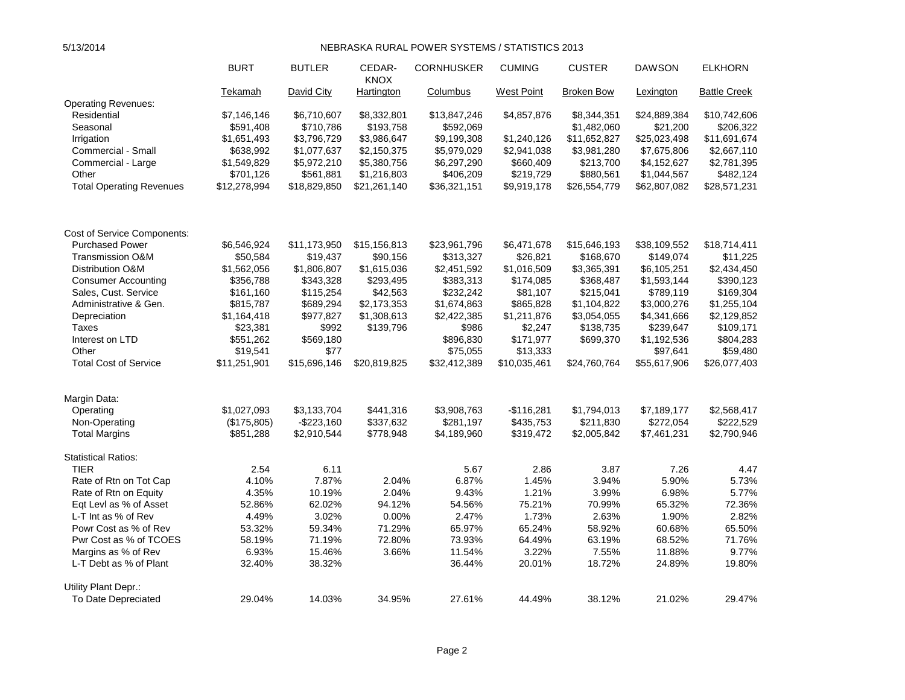|                                 | <b>BURT</b>  | <b>BUTLER</b> | CEDAR-<br><b>KNOX</b> | <b>CORNHUSKER</b> | <b>CUMING</b>     | <b>CUSTER</b>     | <b>DAWSON</b> | <b>ELKHORN</b>      |
|---------------------------------|--------------|---------------|-----------------------|-------------------|-------------------|-------------------|---------------|---------------------|
|                                 | Tekamah      | David City    | Hartington            | Columbus          | <b>West Point</b> | <b>Broken Bow</b> | Lexington     | <b>Battle Creek</b> |
| Operating Revenues:             |              |               |                       |                   |                   |                   |               |                     |
| Residential                     | \$7,146,146  | \$6,710,607   | \$8,332,801           | \$13,847,246      | \$4,857,876       | \$8,344,351       | \$24,889,384  | \$10,742,606        |
| Seasonal                        | \$591,408    | \$710,786     | \$193,758             | \$592,069         |                   | \$1,482,060       | \$21,200      | \$206,322           |
| Irrigation                      | \$1,651,493  | \$3,796,729   | \$3,986,647           | \$9,199,308       | \$1,240,126       | \$11,652,827      | \$25,023,498  | \$11,691,674        |
| Commercial - Small              | \$638,992    | \$1,077,637   | \$2,150,375           | \$5,979,029       | \$2,941,038       | \$3,981,280       | \$7,675,806   | \$2,667,110         |
| Commercial - Large              | \$1,549,829  | \$5,972,210   | \$5,380,756           | \$6,297,290       | \$660,409         | \$213,700         | \$4,152,627   | \$2,781,395         |
| Other                           | \$701,126    | \$561,881     | \$1,216,803           | \$406,209         | \$219,729         | \$880,561         | \$1,044,567   | \$482,124           |
| <b>Total Operating Revenues</b> | \$12,278,994 | \$18,829,850  | \$21,261,140          | \$36,321,151      | \$9,919,178       | \$26,554,779      | \$62,807,082  | \$28,571,231        |
| Cost of Service Components:     |              |               |                       |                   |                   |                   |               |                     |
| <b>Purchased Power</b>          | \$6,546,924  | \$11,173,950  | \$15,156,813          | \$23,961,796      | \$6,471,678       | \$15,646,193      | \$38,109,552  | \$18,714,411        |
| <b>Transmission O&amp;M</b>     | \$50,584     | \$19,437      | \$90,156              | \$313,327         | \$26,821          | \$168,670         | \$149,074     | \$11,225            |
| Distribution O&M                | \$1,562,056  | \$1,806,807   | \$1,615,036           | \$2,451,592       | \$1,016,509       | \$3,365,391       | \$6,105,251   | \$2,434,450         |
| <b>Consumer Accounting</b>      | \$356,788    | \$343,328     | \$293,495             | \$383,313         | \$174,085         | \$368,487         | \$1,593,144   | \$390,123           |
| Sales, Cust. Service            | \$161,160    | \$115,254     | \$42,563              | \$232,242         | \$81,107          | \$215,041         | \$789,119     | \$169,304           |
| Administrative & Gen.           | \$815,787    | \$689,294     | \$2,173,353           | \$1,674,863       | \$865,828         | \$1,104,822       | \$3,000,276   | \$1,255,104         |
| Depreciation                    | \$1,164,418  | \$977,827     | \$1,308,613           | \$2,422,385       | \$1,211,876       | \$3,054,055       | \$4,341,666   | \$2,129,852         |
| Taxes                           | \$23,381     | \$992         | \$139,796             | \$986             | \$2,247           | \$138,735         | \$239,647     | \$109,171           |
| Interest on LTD                 | \$551,262    | \$569,180     |                       | \$896,830         | \$171,977         | \$699,370         | \$1,192,536   | \$804,283           |
| Other                           | \$19,541     | \$77          |                       | \$75,055          | \$13,333          |                   | \$97,641      | \$59,480            |
| <b>Total Cost of Service</b>    | \$11,251,901 | \$15,696,146  | \$20,819,825          | \$32,412,389      | \$10,035,461      | \$24,760,764      | \$55,617,906  | \$26,077,403        |
| Margin Data:                    |              |               |                       |                   |                   |                   |               |                     |
| Operating                       | \$1,027,093  | \$3,133,704   | \$441,316             | \$3,908,763       | $-$116,281$       | \$1,794,013       | \$7,189,177   | \$2,568,417         |
| Non-Operating                   | (\$175,805)  | $-$ \$223,160 | \$337,632             | \$281,197         | \$435,753         | \$211,830         | \$272,054     | \$222,529           |
| <b>Total Margins</b>            | \$851,288    | \$2,910,544   | \$778,948             | \$4,189,960       | \$319,472         | \$2,005,842       | \$7,461,231   | \$2,790,946         |
| Statistical Ratios:             |              |               |                       |                   |                   |                   |               |                     |
| <b>TIER</b>                     | 2.54         | 6.11          |                       | 5.67              | 2.86              | 3.87              | 7.26          | 4.47                |
| Rate of Rtn on Tot Cap          | 4.10%        | 7.87%         | 2.04%                 | 6.87%             | 1.45%             | 3.94%             | 5.90%         | 5.73%               |
| Rate of Rtn on Equity           | 4.35%        | 10.19%        | 2.04%                 | 9.43%             | 1.21%             | 3.99%             | 6.98%         | 5.77%               |
| Eqt Levl as % of Asset          | 52.86%       | 62.02%        | 94.12%                | 54.56%            | 75.21%            | 70.99%            | 65.32%        | 72.36%              |
| L-T Int as % of Rev             | 4.49%        | 3.02%         | 0.00%                 | 2.47%             | 1.73%             | 2.63%             | 1.90%         | 2.82%               |
| Powr Cost as % of Rev           | 53.32%       | 59.34%        | 71.29%                | 65.97%            | 65.24%            | 58.92%            | 60.68%        | 65.50%              |
| Pwr Cost as % of TCOES          | 58.19%       | 71.19%        | 72.80%                | 73.93%            | 64.49%            | 63.19%            | 68.52%        | 71.76%              |
| Margins as % of Rev             | 6.93%        | 15.46%        | 3.66%                 | 11.54%            | 3.22%             | 7.55%             | 11.88%        | 9.77%               |
| L-T Debt as % of Plant          | 32.40%       | 38.32%        |                       | 36.44%            | 20.01%            | 18.72%            | 24.89%        | 19.80%              |
| Utility Plant Depr.:            |              |               |                       |                   |                   |                   |               |                     |
| To Date Depreciated             | 29.04%       | 14.03%        | 34.95%                | 27.61%            | 44.49%            | 38.12%            | 21.02%        | 29.47%              |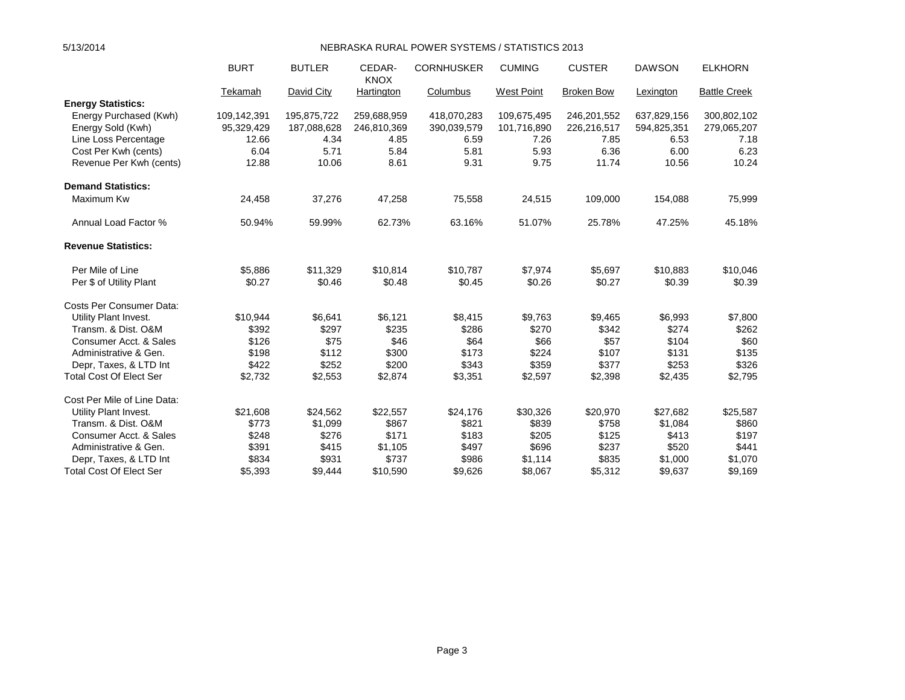|                                 | <b>BURT</b> | <b>BUTLER</b> | CEDAR-<br><b>KNOX</b> | <b>CORNHUSKER</b> | <b>CUMING</b>     | <b>CUSTER</b>     | <b>DAWSON</b> | <b>ELKHORN</b>      |
|---------------------------------|-------------|---------------|-----------------------|-------------------|-------------------|-------------------|---------------|---------------------|
|                                 | Tekamah     | David City    | Hartington            | Columbus          | <b>West Point</b> | <b>Broken Bow</b> | Lexington     | <b>Battle Creek</b> |
| <b>Energy Statistics:</b>       |             |               |                       |                   |                   |                   |               |                     |
| Energy Purchased (Kwh)          | 109,142,391 | 195,875,722   | 259,688,959           | 418,070,283       | 109,675,495       | 246,201,552       | 637,829,156   | 300,802,102         |
| Energy Sold (Kwh)               | 95,329,429  | 187,088,628   | 246,810,369           | 390,039,579       | 101,716,890       | 226,216,517       | 594,825,351   | 279,065,207         |
| Line Loss Percentage            | 12.66       | 4.34          | 4.85                  | 6.59              | 7.26              | 7.85              | 6.53          | 7.18                |
| Cost Per Kwh (cents)            | 6.04        | 5.71          | 5.84                  | 5.81              | 5.93              | 6.36              | 6.00          | 6.23                |
| Revenue Per Kwh (cents)         | 12.88       | 10.06         | 8.61                  | 9.31              | 9.75              | 11.74             | 10.56         | 10.24               |
| <b>Demand Statistics:</b>       |             |               |                       |                   |                   |                   |               |                     |
| Maximum Kw                      | 24,458      | 37,276        | 47,258                | 75,558            | 24,515            | 109,000           | 154,088       | 75,999              |
| Annual Load Factor %            | 50.94%      | 59.99%        | 62.73%                | 63.16%            | 51.07%            | 25.78%            | 47.25%        | 45.18%              |
| <b>Revenue Statistics:</b>      |             |               |                       |                   |                   |                   |               |                     |
| Per Mile of Line                | \$5,886     | \$11.329      | \$10.814              | \$10,787          | \$7,974           | \$5,697           | \$10,883      | \$10.046            |
| Per \$ of Utility Plant         | \$0.27      | \$0.46        | \$0.48                | \$0.45            | \$0.26            | \$0.27            | \$0.39        | \$0.39              |
| <b>Costs Per Consumer Data:</b> |             |               |                       |                   |                   |                   |               |                     |
| Utility Plant Invest.           | \$10,944    | \$6,641       | \$6,121               | \$8,415           | \$9,763           | \$9,465           | \$6,993       | \$7,800             |
| Transm. & Dist. O&M             | \$392       | \$297         | \$235                 | \$286             | \$270             | \$342             | \$274         | \$262               |
| Consumer Acct. & Sales          | \$126       | \$75          | \$46                  | \$64              | \$66              | \$57              | \$104         | \$60                |
| Administrative & Gen.           | \$198       | \$112         | \$300                 | \$173             | \$224             | \$107             | \$131         | \$135               |
| Depr, Taxes, & LTD Int          | \$422       | \$252         | \$200                 | \$343             | \$359             | \$377             | \$253         | \$326               |
| <b>Total Cost Of Elect Ser</b>  | \$2,732     | \$2,553       | \$2,874               | \$3,351           | \$2,597           | \$2,398           | \$2,435       | \$2,795             |
| Cost Per Mile of Line Data:     |             |               |                       |                   |                   |                   |               |                     |
| Utility Plant Invest.           | \$21,608    | \$24,562      | \$22,557              | \$24,176          | \$30,326          | \$20,970          | \$27,682      | \$25,587            |
| Transm. & Dist. O&M             | \$773       | \$1,099       | \$867                 | \$821             | \$839             | \$758             | \$1,084       | \$860               |
| Consumer Acct. & Sales          | \$248       | \$276         | \$171                 | \$183             | \$205             | \$125             | \$413         | \$197               |
| Administrative & Gen.           | \$391       | \$415         | \$1,105               | \$497             | \$696             | \$237             | \$520         | \$441               |
| Depr, Taxes, & LTD Int          | \$834       | \$931         | \$737                 | \$986             | \$1,114           | \$835             | \$1,000       | \$1,070             |
| <b>Total Cost Of Elect Ser</b>  | \$5,393     | \$9.444       | \$10,590              | \$9,626           | \$8.067           | \$5,312           | \$9,637       | \$9,169             |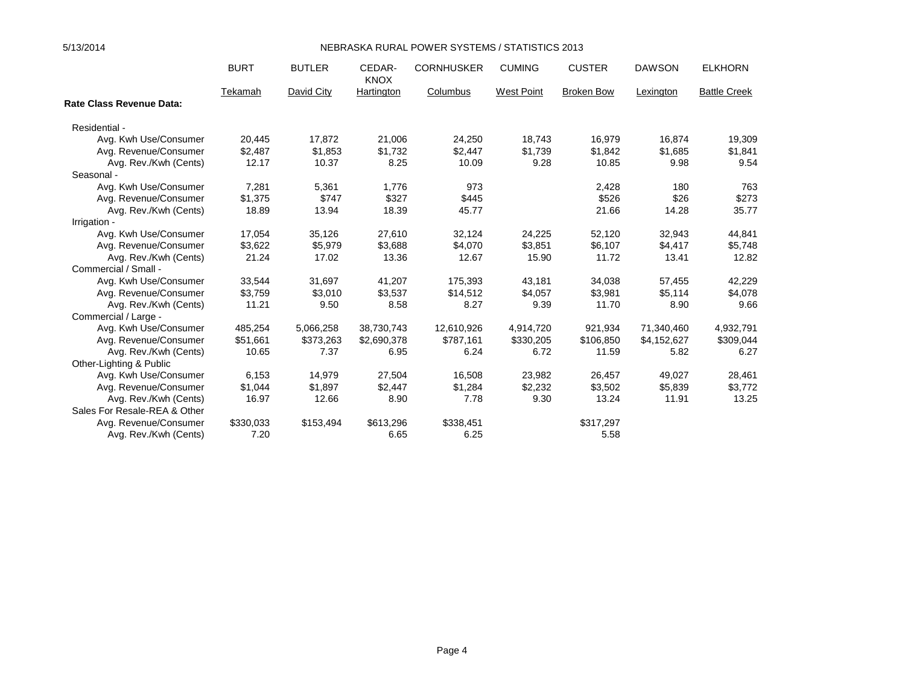|                              | <b>BURT</b> | <b>BUTLER</b> | CEDAR-<br><b>KNOX</b> | <b>CORNHUSKER</b> | <b>CUMING</b>     | <b>CUSTER</b>     | <b>DAWSON</b> | <b>ELKHORN</b>      |
|------------------------------|-------------|---------------|-----------------------|-------------------|-------------------|-------------------|---------------|---------------------|
| Rate Class Revenue Data:     | Tekamah     | David City    | Hartington            | Columbus          | <b>West Point</b> | <b>Broken Bow</b> | Lexington     | <b>Battle Creek</b> |
| Residential -                |             |               |                       |                   |                   |                   |               |                     |
| Avg. Kwh Use/Consumer        | 20,445      | 17,872        | 21,006                | 24,250            | 18,743            | 16,979            | 16,874        | 19,309              |
| Avg. Revenue/Consumer        | \$2,487     | \$1,853       | \$1,732               | \$2,447           | \$1,739           | \$1,842           | \$1,685       | \$1,841             |
| Avg. Rev./Kwh (Cents)        | 12.17       | 10.37         | 8.25                  | 10.09             | 9.28              | 10.85             | 9.98          | 9.54                |
| Seasonal -                   |             |               |                       |                   |                   |                   |               |                     |
| Avg. Kwh Use/Consumer        | 7,281       | 5,361         | 1,776                 | 973               |                   | 2,428             | 180           | 763                 |
| Avg. Revenue/Consumer        | \$1,375     | \$747         | \$327                 | \$445             |                   | \$526             | \$26          | \$273               |
| Avg. Rev./Kwh (Cents)        | 18.89       | 13.94         | 18.39                 | 45.77             |                   | 21.66             | 14.28         | 35.77               |
| Irrigation -                 |             |               |                       |                   |                   |                   |               |                     |
| Avg. Kwh Use/Consumer        | 17,054      | 35,126        | 27,610                | 32,124            | 24,225            | 52,120            | 32,943        | 44,841              |
| Avg. Revenue/Consumer        | \$3,622     | \$5,979       | \$3,688               | \$4,070           | \$3,851           | \$6,107           | \$4,417       | \$5,748             |
| Avg. Rev./Kwh (Cents)        | 21.24       | 17.02         | 13.36                 | 12.67             | 15.90             | 11.72             | 13.41         | 12.82               |
| Commercial / Small -         |             |               |                       |                   |                   |                   |               |                     |
| Avg. Kwh Use/Consumer        | 33,544      | 31.697        | 41,207                | 175.393           | 43,181            | 34,038            | 57,455        | 42,229              |
| Avg. Revenue/Consumer        | \$3,759     | \$3,010       | \$3,537               | \$14,512          | \$4,057           | \$3,981           | \$5,114       | \$4,078             |
| Avg. Rev./Kwh (Cents)        | 11.21       | 9.50          | 8.58                  | 8.27              | 9.39              | 11.70             | 8.90          | 9.66                |
| Commercial / Large -         |             |               |                       |                   |                   |                   |               |                     |
| Avg. Kwh Use/Consumer        | 485.254     | 5,066,258     | 38.730.743            | 12,610,926        | 4,914,720         | 921.934           | 71,340,460    | 4,932,791           |
| Avg. Revenue/Consumer        | \$51,661    | \$373,263     | \$2,690,378           | \$787,161         | \$330,205         | \$106,850         | \$4,152,627   | \$309,044           |
| Avg. Rev./Kwh (Cents)        | 10.65       | 7.37          | 6.95                  | 6.24              | 6.72              | 11.59             | 5.82          | 6.27                |
| Other-Lighting & Public      |             |               |                       |                   |                   |                   |               |                     |
| Avg. Kwh Use/Consumer        | 6,153       | 14,979        | 27,504                | 16,508            | 23,982            | 26,457            | 49,027        | 28,461              |
| Avg. Revenue/Consumer        | \$1,044     | \$1,897       | \$2,447               | \$1,284           | \$2,232           | \$3,502           | \$5,839       | \$3,772             |
| Avg. Rev./Kwh (Cents)        | 16.97       | 12.66         | 8.90                  | 7.78              | 9.30              | 13.24             | 11.91         | 13.25               |
| Sales For Resale-REA & Other |             |               |                       |                   |                   |                   |               |                     |
| Avg. Revenue/Consumer        | \$330,033   | \$153,494     | \$613,296             | \$338,451         |                   | \$317,297         |               |                     |
| Avg. Rev./Kwh (Cents)        | 7.20        |               | 6.65                  | 6.25              |                   | 5.58              |               |                     |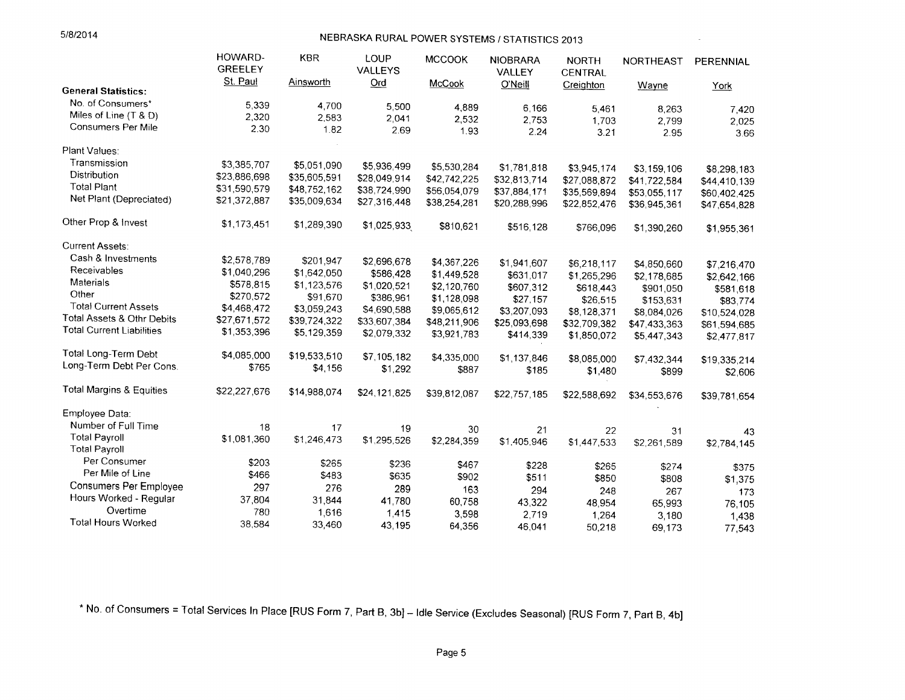$\sim$ 

|                                     | HOWARD-        | <b>KBR</b>   | LOUP           | <b>MCCOOK</b> | <b>NIOBRARA</b> | <b>NORTH</b>   | <b>NORTHEAST</b> | PERENNIAL    |
|-------------------------------------|----------------|--------------|----------------|---------------|-----------------|----------------|------------------|--------------|
|                                     | <b>GREELEY</b> |              | <b>VALLEYS</b> |               | <b>VALLEY</b>   | <b>CENTRAL</b> |                  |              |
|                                     | St. Paul       | Ainsworth    | Ord            | McCook        | O'Neill         | Creighton      | Wayne            | York         |
| <b>General Statistics:</b>          |                |              |                |               |                 |                |                  |              |
| No. of Consumers*                   | 5,339          | 4,700        | 5,500          | 4,889         | 6,166           | 5.461          | 8,263            | 7,420        |
| Miles of Line (T & D)               | 2,320          | 2,583        | 2,041          | 2,532         | 2,753           | 1,703          | 2,799            | 2,025        |
| Consumers Per Mile                  | 2.30           | 1.82         | 2.69           | 1.93          | 2.24            | 3.21           | 2.95             | 3.66         |
| Plant Values:                       |                |              |                |               |                 |                |                  |              |
| Transmission                        | \$3,385,707    | \$5,051,090  | \$5,936,499    | \$5,530,284   | \$1,781,818     | \$3,945,174    |                  |              |
| Distribution                        | \$23,886,698   | \$35,605,591 | \$28,049.914   | \$42,742,225  | \$32,813,714    |                | \$3,159,106      | \$8,298,183  |
| <b>Total Plant</b>                  | \$31,590,579   | \$48,752,162 | \$38.724.990   | \$56,054,079  | \$37,884.171    | \$27,088,872   | \$41,722,584     | \$44,410,139 |
| Net Plant (Depreciated)             | \$21,372,887   | \$35,009,634 | \$27,316,448   |               |                 | \$35,569,894   | \$53,055,117     | \$60,402,425 |
|                                     |                |              |                | \$38,254,281  | \$20,288,996    | \$22,852,476   | \$36,945,361     | \$47,654,828 |
| Other Prop & Invest                 | \$1,173,451    | \$1,289,390  | \$1,025,933    | \$810,621     | \$516,128       | \$766,096      | \$1,390,260      | \$1,955,361  |
| <b>Current Assets:</b>              |                |              |                |               |                 |                |                  |              |
| Cash & Investments                  | \$2,578,789    | \$201,947    | \$2,696,678    | \$4,367,226   | \$1,941,607     |                |                  |              |
| Receivables                         | \$1,040,296    | \$1,642,050  | \$586,428      | \$1,449,528   | \$631,017       | \$6,218,117    | \$4,850,660      | \$7,216,470  |
| Materials                           | \$578,815      | \$1,123,576  | \$1,020,521    | \$2,120,760   |                 | \$1,265,296    | \$2,178,685      | \$2,642.166  |
| Other                               | \$270,572      | \$91,670     | \$386,961      |               | \$607,312       | \$618,443      | \$901,050        | \$581,618    |
| <b>Total Current Assets</b>         | \$4,468,472    | \$3,059,243  | \$4,690,588    | \$1,128,098   | \$27,157        | \$26,515       | \$153,631        | \$83,774     |
| Total Assets & Othr Debits          | \$27,671,572   | \$39,724,322 | \$33,607,384   | \$9,065,612   | \$3,207,093     | \$8,128,371    | \$8,084,026      | \$10,524,028 |
| <b>Total Current Liabilities</b>    | \$1,353,396    | \$5,129,359  |                | \$48,211,906  | \$25,093,698    | \$32,709,382   | \$47,433,363     | \$61,594,685 |
|                                     |                |              | \$2,079,332    | \$3,921,783   | \$414,339       | \$1,850,072    | \$5,447,343      | \$2,477,817  |
| Total Long-Term Debt                | \$4,085,000    | \$19,533,510 | \$7,105,182    | \$4,335,000   | \$1,137,846     | \$8,085,000    | \$7,432,344      | \$19,335,214 |
| Long-Term Debt Per Cons.            | \$765          | \$4,156      | \$1,292        | \$887         | \$185           | \$1,480        | \$899            | \$2,606      |
|                                     |                |              |                |               |                 |                |                  |              |
| <b>Total Margins &amp; Equities</b> | \$22,227,676   | \$14,988,074 | \$24,121,825   | \$39,812,087  | \$22,757,185    | \$22,588,692   | \$34,553,676     | \$39,781,654 |
| Employee Data:                      |                |              |                |               |                 |                |                  |              |
| Number of Full Time                 | 18             | 17           | 19             | 30            | 21              | 22             | 3 <sub>1</sub>   | 43           |
| <b>Total Payroll</b>                | \$1,081,360    | \$1,246,473  | \$1,295,526    | \$2,284,359   | \$1,405,946     | \$1,447,533    | \$2,261,589      | \$2,784,145  |
| <b>Total Payroll</b>                |                |              |                |               |                 |                |                  |              |
| Per Consumer                        | \$203          | \$265        | \$236          | \$467         | \$228           | \$265          | \$274            | \$375        |
| Per Mile of Line                    | \$466          | \$483        | \$635          | \$902         | \$511           | \$850          | \$808            | \$1,375      |
| Consumers Per Employee              | 297            | 276          | 289            | 163           | 294             | 248            |                  |              |
| Hours Worked - Regular              | 37,804         | 31,844       | 41,780         | 60,758        | 43,322          | 48,954         | 267              | 173          |
| Overtime                            | 780            | 1,616        | 1,415          | 3,598         | 2,719           |                | 65,993           | 76,105       |
| <b>Total Hours Worked</b>           | 38.584         | 33,460       | 43,195         | 64,356        |                 | 1,264          | 3,180            | 1,438        |
|                                     |                |              |                |               | 46,041          | 50,218         | 69,173           | 77,543       |

No. of Consumers = Total Services In Place [RUS Form 7, Part B, 3b] - Idle Service (Excludes Seasonal) [RUS Form 7, Part B, 4t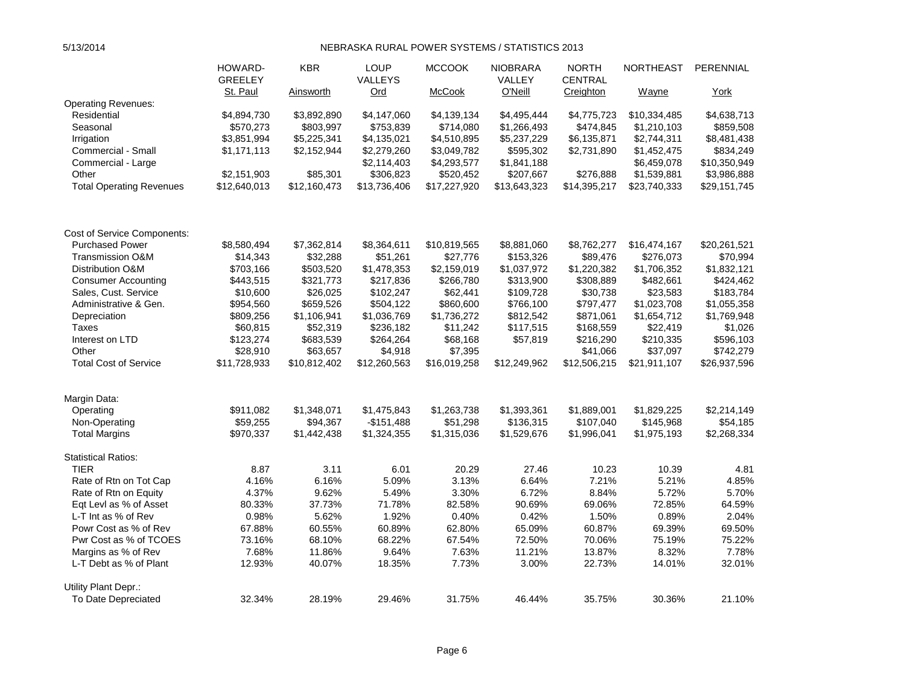|                                 | HOWARD-        | <b>KBR</b>   | LOUP<br>VALLEYS | <b>MCCOOK</b> | <b>NIOBRARA</b><br>VALLEY | <b>NORTH</b>   | <b>NORTHEAST</b> | PERENNIAL    |
|---------------------------------|----------------|--------------|-----------------|---------------|---------------------------|----------------|------------------|--------------|
|                                 | <b>GREELEY</b> |              |                 |               |                           | <b>CENTRAL</b> |                  |              |
|                                 | St. Paul       | Ainsworth    | Ord             | <b>McCook</b> | O'Neill                   | Creighton      | Wayne            | York         |
| <b>Operating Revenues:</b>      |                |              |                 |               |                           |                |                  |              |
| Residential                     | \$4,894,730    | \$3,892,890  | \$4,147,060     | \$4,139,134   | \$4,495,444               | \$4,775,723    | \$10,334,485     | \$4,638,713  |
| Seasonal                        | \$570,273      | \$803,997    | \$753,839       | \$714,080     | \$1,266,493               | \$474,845      | \$1,210,103      | \$859,508    |
| Irrigation                      | \$3,851,994    | \$5,225,341  | \$4,135,021     | \$4,510,895   | \$5,237,229               | \$6,135,871    | \$2,744,311      | \$8,481,438  |
| Commercial - Small              | \$1,171,113    | \$2,152,944  | \$2,279,260     | \$3,049,782   | \$595,302                 | \$2,731,890    | \$1,452,475      | \$834,249    |
| Commercial - Large              |                |              | \$2,114,403     | \$4,293,577   | \$1,841,188               |                | \$6,459,078      | \$10,350,949 |
| Other                           | \$2,151,903    | \$85,301     | \$306,823       | \$520,452     | \$207,667                 | \$276,888      | \$1,539,881      | \$3,986,888  |
| <b>Total Operating Revenues</b> | \$12,640,013   | \$12,160,473 | \$13,736,406    | \$17,227,920  | \$13,643,323              | \$14,395,217   | \$23,740,333     | \$29,151,745 |
| Cost of Service Components:     |                |              |                 |               |                           |                |                  |              |
| <b>Purchased Power</b>          | \$8,580,494    | \$7,362,814  | \$8,364,611     | \$10,819,565  | \$8,881,060               | \$8,762,277    | \$16,474,167     | \$20,261,521 |
| <b>Transmission O&amp;M</b>     | \$14,343       | \$32,288     | \$51,261        | \$27,776      | \$153,326                 | \$89,476       | \$276,073        | \$70,994     |
| Distribution O&M                | \$703,166      | \$503,520    | \$1,478,353     | \$2,159,019   | \$1,037,972               | \$1,220,382    | \$1,706,352      | \$1,832,121  |
| <b>Consumer Accounting</b>      | \$443,515      | \$321,773    | \$217,836       | \$266,780     | \$313,900                 | \$308,889      | \$482,661        | \$424,462    |
| Sales, Cust. Service            | \$10,600       | \$26,025     | \$102,247       | \$62,441      | \$109,728                 | \$30,738       | \$23,583         | \$183,784    |
| Administrative & Gen.           | \$954,560      | \$659,526    | \$504,122       | \$860,600     | \$766,100                 | \$797,477      | \$1,023,708      | \$1,055,358  |
| Depreciation                    | \$809,256      | \$1,106,941  | \$1,036,769     | \$1,736,272   | \$812,542                 | \$871,061      | \$1,654,712      | \$1,769,948  |
| <b>Taxes</b>                    | \$60,815       | \$52,319     | \$236,182       | \$11,242      | \$117,515                 | \$168,559      | \$22,419         | \$1,026      |
| Interest on LTD                 | \$123,274      | \$683,539    | \$264,264       | \$68,168      | \$57,819                  | \$216,290      | \$210,335        | \$596,103    |
| Other                           | \$28,910       | \$63,657     | \$4,918         | \$7,395       |                           | \$41,066       | \$37,097         | \$742,279    |
| <b>Total Cost of Service</b>    | \$11,728,933   | \$10,812,402 | \$12,260,563    | \$16,019,258  | \$12,249,962              | \$12,506,215   | \$21,911,107     | \$26,937,596 |
| Margin Data:                    |                |              |                 |               |                           |                |                  |              |
| Operating                       | \$911,082      | \$1,348,071  | \$1,475,843     | \$1,263,738   | \$1,393,361               | \$1,889,001    | \$1,829,225      | \$2,214,149  |
| Non-Operating                   | \$59,255       | \$94,367     | $-$151,488$     | \$51,298      | \$136,315                 | \$107,040      | \$145,968        | \$54,185     |
| <b>Total Margins</b>            | \$970,337      | \$1,442,438  | \$1,324,355     | \$1,315,036   | \$1,529,676               | \$1,996,041    | \$1,975,193      | \$2,268,334  |
| <b>Statistical Ratios:</b>      |                |              |                 |               |                           |                |                  |              |
| <b>TIER</b>                     | 8.87           | 3.11         | 6.01            | 20.29         | 27.46                     | 10.23          | 10.39            | 4.81         |
| Rate of Rtn on Tot Cap          | 4.16%          | 6.16%        | 5.09%           | 3.13%         | 6.64%                     | 7.21%          | 5.21%            | 4.85%        |
| Rate of Rtn on Equity           | 4.37%          | 9.62%        | 5.49%           | 3.30%         | 6.72%                     | 8.84%          | 5.72%            | 5.70%        |
| Eqt Levl as % of Asset          | 80.33%         | 37.73%       | 71.78%          | 82.58%        | 90.69%                    | 69.06%         | 72.85%           | 64.59%       |
| L-T Int as % of Rev             | 0.98%          | 5.62%        | 1.92%           | 0.40%         | 0.42%                     | 1.50%          | 0.89%            | 2.04%        |
| Powr Cost as % of Rev           | 67.88%         | 60.55%       | 60.89%          | 62.80%        | 65.09%                    | 60.87%         | 69.39%           | 69.50%       |
| Pwr Cost as % of TCOES          | 73.16%         | 68.10%       | 68.22%          | 67.54%        | 72.50%                    | 70.06%         | 75.19%           | 75.22%       |
| Margins as % of Rev             | 7.68%          | 11.86%       | 9.64%           | 7.63%         | 11.21%                    | 13.87%         | 8.32%            | 7.78%        |
| L-T Debt as % of Plant          | 12.93%         | 40.07%       | 18.35%          | 7.73%         | 3.00%                     | 22.73%         | 14.01%           | 32.01%       |
| Utility Plant Depr.:            |                |              |                 |               |                           |                |                  |              |
| To Date Depreciated             | 32.34%         | 28.19%       | 29.46%          | 31.75%        | 46.44%                    | 35.75%         | 30.36%           | 21.10%       |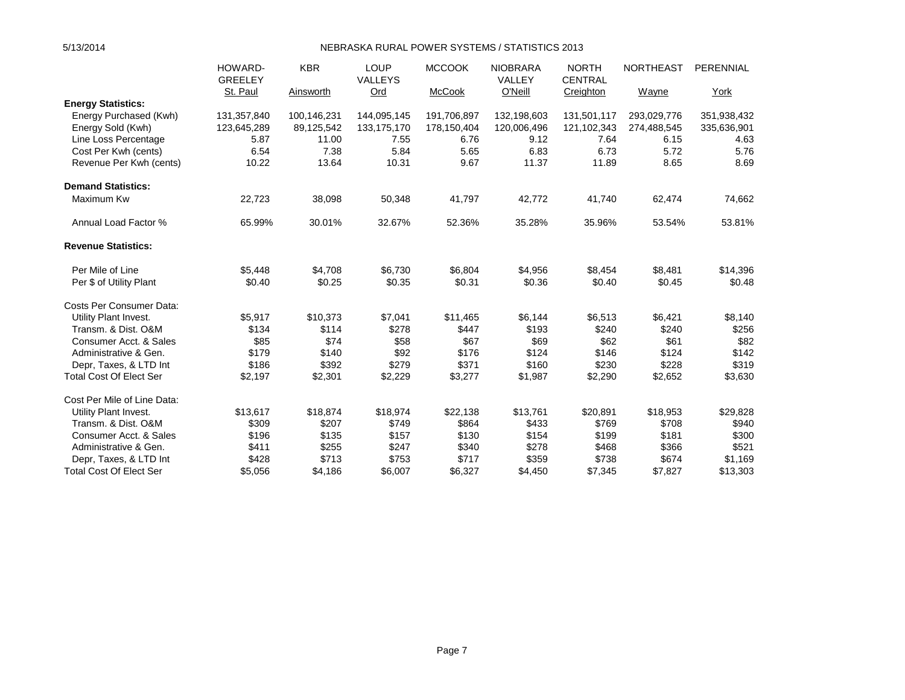|                                 | HOWARD-<br><b>GREELEY</b> | <b>KBR</b>  | <b>LOUP</b><br><b>VALLEYS</b> | <b>MCCOOK</b> | <b>NIOBRARA</b><br><b>VALLEY</b> | <b>NORTH</b><br><b>CENTRAL</b> | <b>NORTHEAST</b> | PERENNIAL   |
|---------------------------------|---------------------------|-------------|-------------------------------|---------------|----------------------------------|--------------------------------|------------------|-------------|
|                                 | St. Paul                  | Ainsworth   | Ord                           | <b>McCook</b> | O'Neill                          | Creighton                      | Wayne            | York        |
| <b>Energy Statistics:</b>       |                           |             |                               |               |                                  |                                |                  |             |
| Energy Purchased (Kwh)          | 131,357,840               | 100,146,231 | 144,095,145                   | 191,706,897   | 132,198,603                      | 131,501,117                    | 293,029,776      | 351,938,432 |
| Energy Sold (Kwh)               | 123,645,289               | 89,125,542  | 133, 175, 170                 | 178,150,404   | 120,006,496                      | 121,102,343                    | 274,488,545      | 335,636,901 |
| Line Loss Percentage            | 5.87                      | 11.00       | 7.55                          | 6.76          | 9.12                             | 7.64                           | 6.15             | 4.63        |
| Cost Per Kwh (cents)            | 6.54                      | 7.38        | 5.84                          | 5.65          | 6.83                             | 6.73                           | 5.72             | 5.76        |
| Revenue Per Kwh (cents)         | 10.22                     | 13.64       | 10.31                         | 9.67          | 11.37                            | 11.89                          | 8.65             | 8.69        |
| <b>Demand Statistics:</b>       |                           |             |                               |               |                                  |                                |                  |             |
| Maximum Kw                      | 22,723                    | 38,098      | 50,348                        | 41,797        | 42,772                           | 41,740                         | 62,474           | 74,662      |
| Annual Load Factor %            | 65.99%                    | 30.01%      | 32.67%                        | 52.36%        | 35.28%                           | 35.96%                         | 53.54%           | 53.81%      |
| <b>Revenue Statistics:</b>      |                           |             |                               |               |                                  |                                |                  |             |
| Per Mile of Line                | \$5,448                   | \$4,708     | \$6,730                       | \$6,804       | \$4,956                          | \$8,454                        | \$8,481          | \$14,396    |
| Per \$ of Utility Plant         | \$0.40                    | \$0.25      | \$0.35                        | \$0.31        | \$0.36                           | \$0.40                         | \$0.45           | \$0.48      |
| <b>Costs Per Consumer Data:</b> |                           |             |                               |               |                                  |                                |                  |             |
| Utility Plant Invest.           | \$5,917                   | \$10,373    | \$7,041                       | \$11,465      | \$6,144                          | \$6,513                        | \$6,421          | \$8,140     |
| Transm. & Dist. O&M             | \$134                     | \$114       | \$278                         | \$447         | \$193                            | \$240                          | \$240            | \$256       |
| Consumer Acct. & Sales          | \$85                      | \$74        | \$58                          | \$67          | \$69                             | \$62                           | \$61             | \$82        |
| Administrative & Gen.           | \$179                     | \$140       | \$92                          | \$176         | \$124                            | \$146                          | \$124            | \$142       |
| Depr, Taxes, & LTD Int          | \$186                     | \$392       | \$279                         | \$371         | \$160                            | \$230                          | \$228            | \$319       |
| <b>Total Cost Of Elect Ser</b>  | \$2,197                   | \$2,301     | \$2,229                       | \$3,277       | \$1,987                          | \$2,290                        | \$2,652          | \$3,630     |
| Cost Per Mile of Line Data:     |                           |             |                               |               |                                  |                                |                  |             |
| Utility Plant Invest.           | \$13,617                  | \$18,874    | \$18,974                      | \$22,138      | \$13,761                         | \$20,891                       | \$18,953         | \$29,828    |
| Transm. & Dist. O&M             | \$309                     | \$207       | \$749                         | \$864         | \$433                            | \$769                          | \$708            | \$940       |
| Consumer Acct. & Sales          | \$196                     | \$135       | \$157                         | \$130         | \$154                            | \$199                          | \$181            | \$300       |
| Administrative & Gen.           | \$411                     | \$255       | \$247                         | \$340         | \$278                            | \$468                          | \$366            | \$521       |
| Depr, Taxes, & LTD Int          | \$428                     | \$713       | \$753                         | \$717         | \$359                            | \$738                          | \$674            | \$1,169     |
| <b>Total Cost Of Elect Ser</b>  | \$5,056                   | \$4,186     | \$6,007                       | \$6,327       | \$4.450                          | \$7,345                        | \$7,827          | \$13,303    |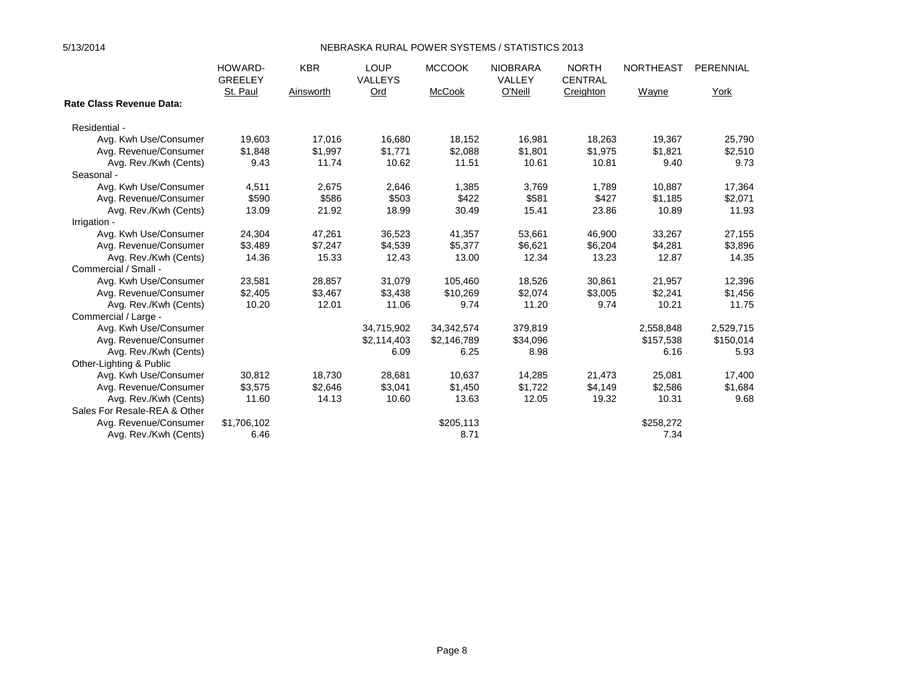|                              | HOWARD-        | <b>KBR</b> | LOUP           | <b>MCCOOK</b> | <b>NIOBRARA</b> | <b>NORTH</b>   | <b>NORTHEAST</b> | PERENNIAL |
|------------------------------|----------------|------------|----------------|---------------|-----------------|----------------|------------------|-----------|
|                              | <b>GREELEY</b> |            | <b>VALLEYS</b> |               | VALLEY          | <b>CENTRAL</b> |                  |           |
| Rate Class Revenue Data:     | St. Paul       | Ainsworth  | Ord            | <b>McCook</b> | O'Neill         | Creighton      | Wayne            | York      |
|                              |                |            |                |               |                 |                |                  |           |
| Residential -                |                |            |                |               |                 |                |                  |           |
| Avg. Kwh Use/Consumer        | 19,603         | 17,016     | 16,680         | 18,152        | 16,981          | 18,263         | 19,367           | 25,790    |
| Avg. Revenue/Consumer        | \$1,848        | \$1,997    | \$1,771        | \$2,088       | \$1,801         | \$1,975        | \$1,821          | \$2,510   |
| Avg. Rev./Kwh (Cents)        | 9.43           | 11.74      | 10.62          | 11.51         | 10.61           | 10.81          | 9.40             | 9.73      |
| Seasonal -                   |                |            |                |               |                 |                |                  |           |
| Avg. Kwh Use/Consumer        | 4,511          | 2,675      | 2,646          | 1,385         | 3,769           | 1,789          | 10,887           | 17,364    |
| Avg. Revenue/Consumer        | \$590          | \$586      | \$503          | \$422         | \$581           | \$427          | \$1,185          | \$2,071   |
| Avg. Rev./Kwh (Cents)        | 13.09          | 21.92      | 18.99          | 30.49         | 15.41           | 23.86          | 10.89            | 11.93     |
| Irrigation -                 |                |            |                |               |                 |                |                  |           |
| Avg. Kwh Use/Consumer        | 24,304         | 47,261     | 36,523         | 41,357        | 53,661          | 46,900         | 33,267           | 27,155    |
| Avg. Revenue/Consumer        | \$3,489        | \$7,247    | \$4,539        | \$5,377       | \$6,621         | \$6,204        | \$4,281          | \$3,896   |
| Avg. Rev./Kwh (Cents)        | 14.36          | 15.33      | 12.43          | 13.00         | 12.34           | 13.23          | 12.87            | 14.35     |
| Commercial / Small -         |                |            |                |               |                 |                |                  |           |
| Avg. Kwh Use/Consumer        | 23,581         | 28,857     | 31,079         | 105,460       | 18,526          | 30,861         | 21,957           | 12,396    |
| Avg. Revenue/Consumer        | \$2,405        | \$3,467    | \$3,438        | \$10,269      | \$2,074         | \$3,005        | \$2,241          | \$1,456   |
| Avg. Rev./Kwh (Cents)        | 10.20          | 12.01      | 11.06          | 9.74          | 11.20           | 9.74           | 10.21            | 11.75     |
| Commercial / Large -         |                |            |                |               |                 |                |                  |           |
| Avg. Kwh Use/Consumer        |                |            | 34,715,902     | 34, 342, 574  | 379,819         |                | 2,558,848        | 2,529,715 |
| Avg. Revenue/Consumer        |                |            | \$2,114,403    | \$2,146,789   | \$34,096        |                | \$157,538        | \$150,014 |
| Avg. Rev./Kwh (Cents)        |                |            | 6.09           | 6.25          | 8.98            |                | 6.16             | 5.93      |
| Other-Lighting & Public      |                |            |                |               |                 |                |                  |           |
| Avg. Kwh Use/Consumer        | 30,812         | 18,730     | 28,681         | 10,637        | 14,285          | 21,473         | 25,081           | 17,400    |
| Avg. Revenue/Consumer        | \$3,575        | \$2,646    | \$3,041        | \$1,450       | \$1,722         | \$4,149        | \$2,586          | \$1,684   |
| Avg. Rev./Kwh (Cents)        | 11.60          | 14.13      | 10.60          | 13.63         | 12.05           | 19.32          | 10.31            | 9.68      |
| Sales For Resale-REA & Other |                |            |                |               |                 |                |                  |           |
| Avg. Revenue/Consumer        | \$1,706,102    |            |                | \$205,113     |                 |                | \$258,272        |           |
| Avg. Rev./Kwh (Cents)        | 6.46           |            |                | 8.71          |                 |                | 7.34             |           |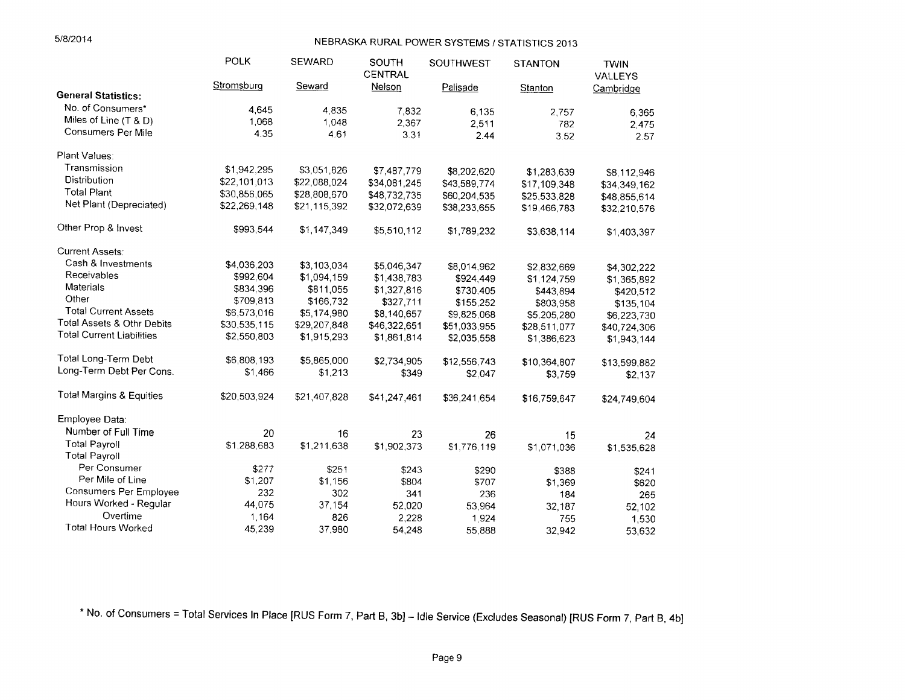| 5/8/2014                            | NEBRASKA RURAL POWER SYSTEMS / STATISTICS 2013 |               |                                |              |                |                               |  |  |  |  |
|-------------------------------------|------------------------------------------------|---------------|--------------------------------|--------------|----------------|-------------------------------|--|--|--|--|
|                                     | <b>POLK</b>                                    | <b>SEWARD</b> | <b>SOUTH</b><br><b>CENTRAL</b> | SOUTHWEST    | <b>STANTON</b> | <b>TWIN</b><br><b>VALLEYS</b> |  |  |  |  |
|                                     | Stromsburg                                     | Seward        | Nelson                         | Palisade     | Stanton        | Cambridge                     |  |  |  |  |
| <b>General Statistics:</b>          |                                                |               |                                |              |                |                               |  |  |  |  |
| No. of Consumers*                   | 4.645                                          | 4,835         | 7.832                          | 6,135        | 2.757          | 6.365                         |  |  |  |  |
| Miles of Line (T & D)               | 1.068                                          | 1,048         | 2.367                          | 2,511        | 782            | 2,475                         |  |  |  |  |
| Consumers Per Mile                  | 4.35                                           | 4.61          | 3.31                           | 2.44         | 3.52           | 2.57                          |  |  |  |  |
| Plant Values:                       |                                                |               |                                |              |                |                               |  |  |  |  |
| Transmission                        | \$1,942,295                                    | \$3,051,826   | \$7,487,779                    | \$8,202,620  | \$1,283,639    | \$8,112,946                   |  |  |  |  |
| <b>Distribution</b>                 | \$22,101,013                                   | \$22,088,024  | \$34,081,245                   | \$43,589,774 | \$17,109,348   | \$34,349,162                  |  |  |  |  |
| <b>Total Plant</b>                  | \$30,856,065                                   | \$28,808,670  | \$48,732,735                   | \$60,204,535 | \$25,533,828   | \$48,855,614                  |  |  |  |  |
| Net Plant (Depreciated)             | \$22,269,148                                   | \$21,115,392  | \$32,072,639                   | \$38,233,655 | \$19,466,783   | \$32,210,576                  |  |  |  |  |
| Other Prop & Invest                 | \$993,544                                      | \$1,147,349   | \$5,510,112                    | \$1,789,232  | \$3,638,114    | \$1,403,397                   |  |  |  |  |
| <b>Current Assets:</b>              |                                                |               |                                |              |                |                               |  |  |  |  |
| Cash & Investments                  | \$4,036,203                                    | \$3,103,034   | \$5,046,347                    | \$8,014,962  | \$2,832,669    | \$4,302,222                   |  |  |  |  |
| Receivables                         | \$992,604                                      | \$1,094,159   | \$1,438,783                    | \$924,449    | \$1,124,759    | \$1,365,892                   |  |  |  |  |
| Materials                           | \$834,396                                      | \$811,055     | \$1,327,816                    | \$730,405    | \$443,894      | \$420,512                     |  |  |  |  |
| Other                               | \$709,813                                      | \$166.732     | \$327,711                      | \$155,252    | \$803.958      | \$135,104                     |  |  |  |  |
| <b>Total Current Assets</b>         | \$6,573,016                                    | \$5,174,980   | \$8,140,657                    | \$9,825,068  | \$5,205,280    | \$6,223,730                   |  |  |  |  |
| Total Assets & Othr Debits          | \$30,535,115                                   | \$29,207,848  | \$46,322,651                   | \$51,033,955 | \$28,511,077   | \$40,724,306                  |  |  |  |  |
| <b>Total Current Liabilities</b>    | \$2,550,803                                    | \$1,915,293   | \$1,861,814                    | \$2,035,558  | \$1,386,623    | \$1,943,144                   |  |  |  |  |
| Total Long-Term Debt                | \$6,808.193                                    | \$5,865,000   | \$2,734,905                    | \$12,556,743 | \$10,364,807   | \$13,599,882                  |  |  |  |  |
| Long-Term Debt Per Cons.            | \$1,466                                        | \$1,213       | \$349                          | \$2,047      | \$3,759        | \$2,137                       |  |  |  |  |
| <b>Total Margins &amp; Equities</b> | \$20,503,924                                   | \$21,407,828  | \$41,247,461                   | \$36,241,654 | \$16,759,647   | \$24,749.604                  |  |  |  |  |
| Employee Data:                      |                                                |               |                                |              |                |                               |  |  |  |  |
| Number of Full Time                 | 20                                             | 16            | 23                             | 26           | 15             | 24                            |  |  |  |  |
| <b>Total Payroll</b>                | \$1,288,683                                    | \$1,211,638   | \$1,902,373                    | \$1,776,119  | \$1,071,036    | \$1,535,628                   |  |  |  |  |
| <b>Total Payroll</b>                |                                                |               |                                |              |                |                               |  |  |  |  |
| Per Consumer                        | \$277                                          | \$251         | \$243                          | \$290        | \$388          | \$241                         |  |  |  |  |
| Per Mile of Line                    | \$1,207                                        | \$1,156       | \$804                          | \$707        | \$1,369        | \$620                         |  |  |  |  |
| Consumers Per Employee              | 232                                            | 302           | 341                            | 236          | 184            | 265                           |  |  |  |  |
| Hours Worked - Regular              | 44,075                                         | 37,154        | 52,020                         | 53,964       | 32,187         | 52,102                        |  |  |  |  |
| Overtime                            | 1.164                                          | 826           | 2,228                          | 1.924        | 755            | 1,530                         |  |  |  |  |
| <b>Total Hours Worked</b>           | 45,239                                         | 37,980        | 54,248                         | 55,888       | 32,942         | 53.632                        |  |  |  |  |

No. of Consumers = Total Services In Place [RUS Form 7, Part B, 3b] - Idle Service (Excludes Seasonal) [RUS Form 7, Part B, 4b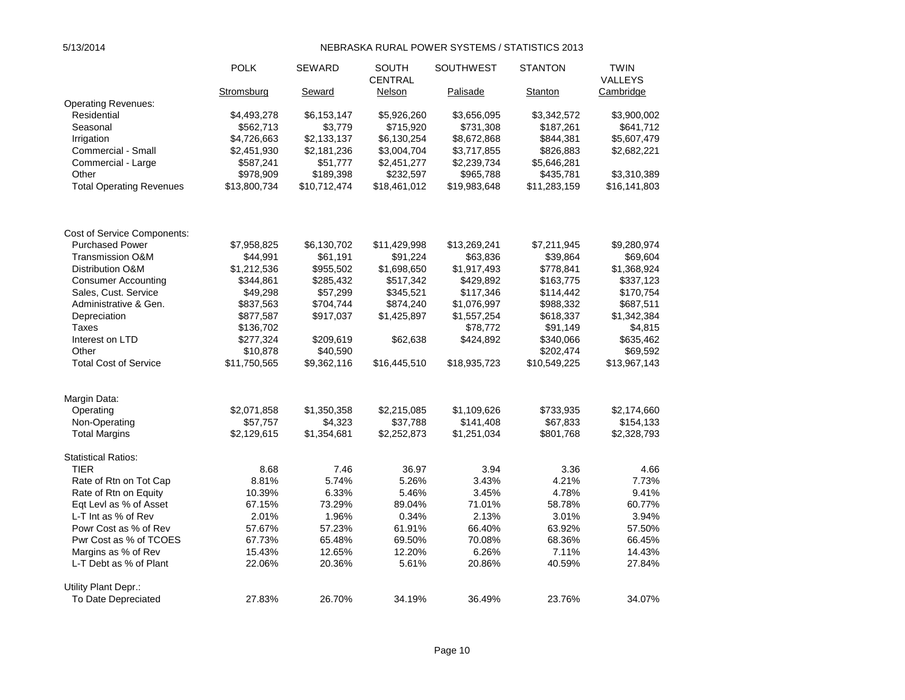|                                 | <b>POLK</b>  | <b>SEWARD</b> | SOUTH          | <b>SOUTHWEST</b> | <b>STANTON</b> | <b>TWIN</b>    |
|---------------------------------|--------------|---------------|----------------|------------------|----------------|----------------|
|                                 |              |               | <b>CENTRAL</b> |                  |                | <b>VALLEYS</b> |
|                                 | Stromsburg   | Seward        | Nelson         | Palisade         | Stanton        | Cambridge      |
| <b>Operating Revenues:</b>      |              |               |                |                  |                |                |
| Residential                     | \$4,493,278  | \$6,153,147   | \$5,926,260    | \$3,656,095      | \$3,342,572    | \$3,900,002    |
| Seasonal                        | \$562,713    | \$3,779       | \$715,920      | \$731,308        | \$187,261      | \$641,712      |
| Irrigation                      | \$4,726,663  | \$2,133,137   | \$6,130,254    | \$8,672,868      | \$844,381      | \$5,607,479    |
| Commercial - Small              | \$2,451,930  | \$2,181,236   | \$3,004,704    | \$3,717,855      | \$826,883      | \$2,682,221    |
| Commercial - Large              | \$587,241    | \$51,777      | \$2,451,277    | \$2,239,734      | \$5,646,281    |                |
| Other                           | \$978,909    | \$189,398     | \$232,597      | \$965,788        | \$435,781      | \$3,310,389    |
| <b>Total Operating Revenues</b> | \$13,800,734 | \$10,712,474  | \$18,461,012   | \$19,983,648     | \$11,283,159   | \$16,141,803   |
| Cost of Service Components:     |              |               |                |                  |                |                |
| <b>Purchased Power</b>          | \$7,958,825  | \$6,130,702   | \$11,429,998   | \$13,269,241     | \$7,211,945    | \$9,280,974    |
| <b>Transmission O&amp;M</b>     | \$44,991     | \$61,191      | \$91,224       | \$63,836         | \$39,864       | \$69,604       |
| <b>Distribution O&amp;M</b>     | \$1,212,536  | \$955,502     | \$1,698,650    | \$1,917,493      | \$778,841      | \$1,368,924    |
| <b>Consumer Accounting</b>      | \$344,861    | \$285,432     | \$517,342      | \$429,892        | \$163,775      | \$337,123      |
| Sales, Cust. Service            | \$49,298     | \$57,299      | \$345,521      | \$117,346        | \$114,442      | \$170,754      |
| Administrative & Gen.           | \$837,563    | \$704,744     | \$874,240      | \$1,076,997      | \$988,332      | \$687,511      |
| Depreciation                    | \$877,587    | \$917,037     | \$1,425,897    | \$1,557,254      | \$618,337      | \$1,342,384    |
| <b>Taxes</b>                    | \$136,702    |               |                | \$78,772         | \$91,149       | \$4,815        |
| Interest on LTD                 | \$277,324    | \$209,619     | \$62,638       | \$424,892        | \$340,066      | \$635,462      |
| Other                           | \$10,878     | \$40,590      |                |                  | \$202,474      | \$69,592       |
| <b>Total Cost of Service</b>    | \$11,750,565 | \$9,362,116   | \$16,445,510   | \$18,935,723     | \$10,549,225   | \$13,967,143   |
| Margin Data:                    |              |               |                |                  |                |                |
| Operating                       | \$2,071,858  | \$1,350,358   | \$2,215,085    | \$1,109,626      | \$733,935      | \$2,174,660    |
| Non-Operating                   | \$57,757     | \$4,323       | \$37,788       | \$141,408        | \$67,833       | \$154,133      |
| <b>Total Margins</b>            | \$2,129,615  | \$1,354,681   | \$2,252,873    | \$1,251,034      | \$801,768      | \$2,328,793    |
| <b>Statistical Ratios:</b>      |              |               |                |                  |                |                |
| TIER                            | 8.68         | 7.46          | 36.97          | 3.94             | 3.36           | 4.66           |
| Rate of Rtn on Tot Cap          | 8.81%        | 5.74%         | 5.26%          | 3.43%            | 4.21%          | 7.73%          |
| Rate of Rtn on Equity           | 10.39%       | 6.33%         | 5.46%          | 3.45%            | 4.78%          | 9.41%          |
| Eqt Levl as % of Asset          | 67.15%       | 73.29%        | 89.04%         | 71.01%           | 58.78%         | 60.77%         |
| L-T Int as % of Rev             | 2.01%        | 1.96%         | 0.34%          | 2.13%            | 3.01%          | 3.94%          |
| Powr Cost as % of Rev           | 57.67%       | 57.23%        | 61.91%         | 66.40%           | 63.92%         | 57.50%         |
| Pwr Cost as % of TCOES          | 67.73%       | 65.48%        | 69.50%         | 70.08%           | 68.36%         | 66.45%         |
| Margins as % of Rev             | 15.43%       | 12.65%        | 12.20%         | 6.26%            | 7.11%          | 14.43%         |
| L-T Debt as % of Plant          | 22.06%       | 20.36%        | 5.61%          | 20.86%           | 40.59%         | 27.84%         |
| Utility Plant Depr.:            |              |               |                |                  |                |                |
| To Date Depreciated             | 27.83%       | 26.70%        | 34.19%         | 36.49%           | 23.76%         | 34.07%         |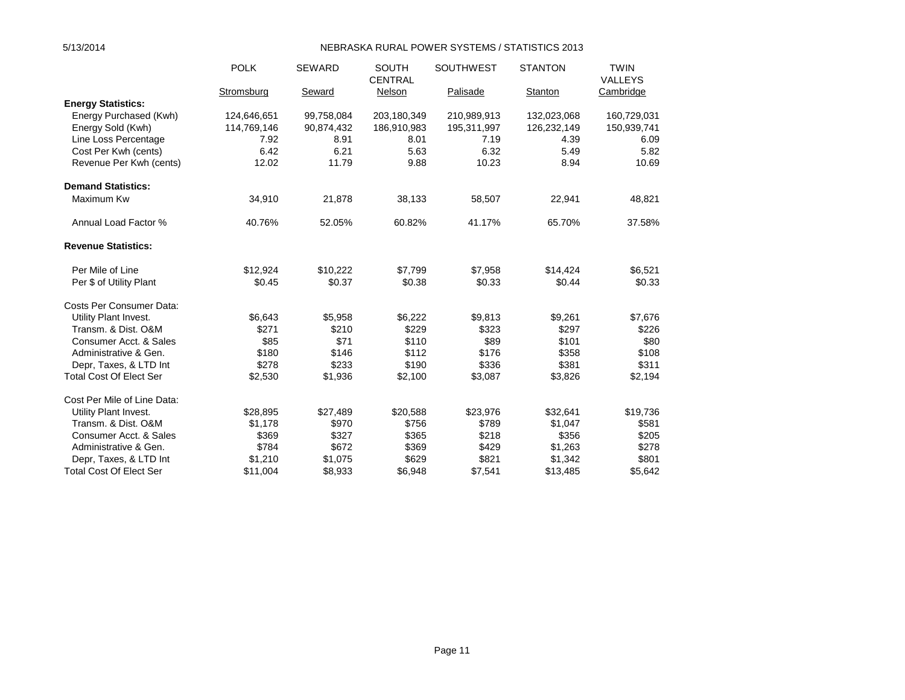|                                | <b>POLK</b> | <b>SEWARD</b> | <b>SOUTH</b><br><b>CENTRAL</b> | <b>SOUTHWEST</b> | <b>STANTON</b> | <b>TWIN</b><br><b>VALLEYS</b> |
|--------------------------------|-------------|---------------|--------------------------------|------------------|----------------|-------------------------------|
|                                | Stromsburg  | Seward        | Nelson                         | Palisade         | Stanton        | Cambridge                     |
| <b>Energy Statistics:</b>      |             |               |                                |                  |                |                               |
| Energy Purchased (Kwh)         | 124,646,651 | 99,758,084    | 203,180,349                    | 210,989,913      | 132,023,068    | 160,729,031                   |
| Energy Sold (Kwh)              | 114,769,146 | 90,874,432    | 186,910,983                    | 195,311,997      | 126,232,149    | 150,939,741                   |
| Line Loss Percentage           | 7.92        | 8.91          | 8.01                           | 7.19             | 4.39           | 6.09                          |
| Cost Per Kwh (cents)           | 6.42        | 6.21          | 5.63                           | 6.32             | 5.49           | 5.82                          |
| Revenue Per Kwh (cents)        | 12.02       | 11.79         | 9.88                           | 10.23            | 8.94           | 10.69                         |
| <b>Demand Statistics:</b>      |             |               |                                |                  |                |                               |
| Maximum Kw                     | 34,910      | 21,878        | 38,133                         | 58,507           | 22,941         | 48,821                        |
| Annual Load Factor %           | 40.76%      | 52.05%        | 60.82%                         | 41.17%           | 65.70%         | 37.58%                        |
| <b>Revenue Statistics:</b>     |             |               |                                |                  |                |                               |
| Per Mile of Line               | \$12,924    | \$10,222      | \$7,799                        | \$7,958          | \$14,424       | \$6,521                       |
| Per \$ of Utility Plant        | \$0.45      | \$0.37        | \$0.38                         | \$0.33           | \$0.44         | \$0.33                        |
| Costs Per Consumer Data:       |             |               |                                |                  |                |                               |
| Utility Plant Invest.          | \$6,643     | \$5,958       | \$6,222                        | \$9,813          | \$9,261        | \$7,676                       |
| Transm. & Dist. O&M            | \$271       | \$210         | \$229                          | \$323            | \$297          | \$226                         |
| Consumer Acct. & Sales         | \$85        | \$71          | \$110                          | \$89             | \$101          | \$80                          |
| Administrative & Gen.          | \$180       | \$146         | \$112                          | \$176            | \$358          | \$108                         |
| Depr, Taxes, & LTD Int         | \$278       | \$233         | \$190                          | \$336            | \$381          | \$311                         |
| <b>Total Cost Of Elect Ser</b> | \$2,530     | \$1,936       | \$2,100                        | \$3,087          | \$3,826        | \$2,194                       |
| Cost Per Mile of Line Data:    |             |               |                                |                  |                |                               |
| Utility Plant Invest.          | \$28,895    | \$27,489      | \$20,588                       | \$23,976         | \$32,641       | \$19,736                      |
| Transm. & Dist. O&M            | \$1,178     | \$970         | \$756                          | \$789            | \$1,047        | \$581                         |
| Consumer Acct. & Sales         | \$369       | \$327         | \$365                          | \$218            | \$356          | \$205                         |
| Administrative & Gen.          | \$784       | \$672         | \$369                          | \$429            | \$1,263        | \$278                         |
| Depr, Taxes, & LTD Int         | \$1,210     | \$1,075       | \$629                          | \$821            | \$1,342        | \$801                         |
| <b>Total Cost Of Elect Ser</b> | \$11,004    | \$8,933       | \$6,948                        | \$7,541          | \$13,485       | \$5,642                       |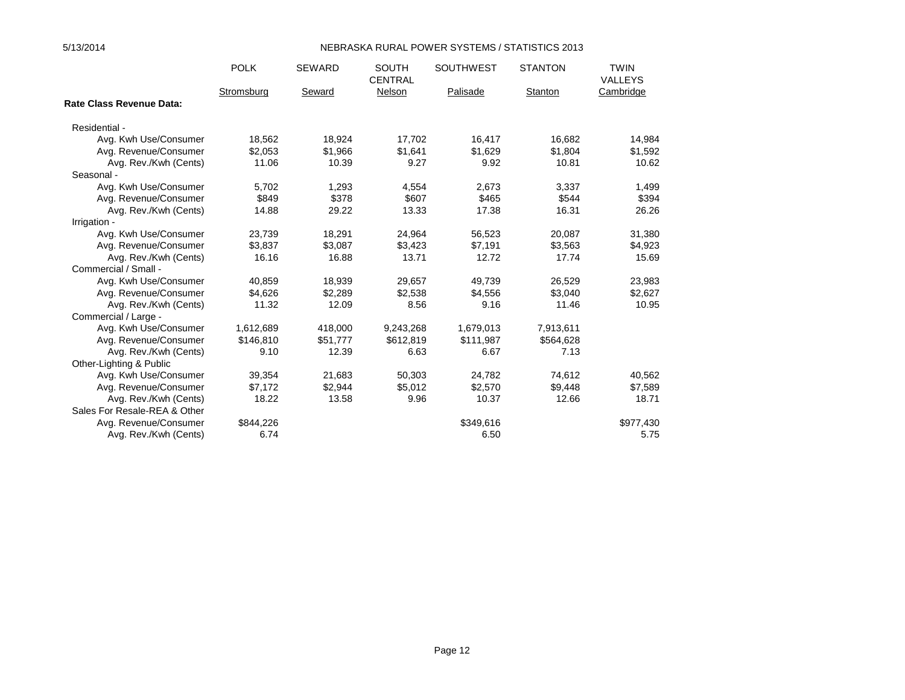|                              | <b>POLK</b> | <b>SEWARD</b> | <b>SOUTH</b><br><b>CENTRAL</b> | <b>SOUTHWEST</b> | <b>STANTON</b> | <b>TWIN</b><br><b>VALLEYS</b> |
|------------------------------|-------------|---------------|--------------------------------|------------------|----------------|-------------------------------|
|                              | Stromsburg  | Seward        | Nelson                         | Palisade         | Stanton        | Cambridge                     |
| Rate Class Revenue Data:     |             |               |                                |                  |                |                               |
| Residential -                |             |               |                                |                  |                |                               |
| Avg. Kwh Use/Consumer        | 18,562      | 18,924        | 17,702                         | 16,417           | 16,682         | 14,984                        |
| Avg. Revenue/Consumer        | \$2,053     | \$1,966       | \$1,641                        | \$1,629          | \$1,804        | \$1,592                       |
| Avg. Rev./Kwh (Cents)        | 11.06       | 10.39         | 9.27                           | 9.92             | 10.81          | 10.62                         |
| Seasonal -                   |             |               |                                |                  |                |                               |
| Avg. Kwh Use/Consumer        | 5,702       | 1,293         | 4,554                          | 2,673            | 3,337          | 1,499                         |
| Avg. Revenue/Consumer        | \$849       | \$378         | \$607                          | \$465            | \$544          | \$394                         |
| Avg. Rev./Kwh (Cents)        | 14.88       | 29.22         | 13.33                          | 17.38            | 16.31          | 26.26                         |
| Irrigation -                 |             |               |                                |                  |                |                               |
| Avg. Kwh Use/Consumer        | 23,739      | 18,291        | 24,964                         | 56,523           | 20,087         | 31,380                        |
| Avg. Revenue/Consumer        | \$3,837     | \$3,087       | \$3,423                        | \$7,191          | \$3,563        | \$4,923                       |
| Avg. Rev./Kwh (Cents)        | 16.16       | 16.88         | 13.71                          | 12.72            | 17.74          | 15.69                         |
| Commercial / Small -         |             |               |                                |                  |                |                               |
| Avg. Kwh Use/Consumer        | 40,859      | 18,939        | 29,657                         | 49,739           | 26,529         | 23,983                        |
| Avg. Revenue/Consumer        | \$4,626     | \$2,289       | \$2,538                        | \$4,556          | \$3,040        | \$2,627                       |
| Avg. Rev./Kwh (Cents)        | 11.32       | 12.09         | 8.56                           | 9.16             | 11.46          | 10.95                         |
| Commercial / Large -         |             |               |                                |                  |                |                               |
| Avg. Kwh Use/Consumer        | 1,612,689   | 418,000       | 9,243,268                      | 1,679,013        | 7,913,611      |                               |
| Avg. Revenue/Consumer        | \$146,810   | \$51,777      | \$612,819                      | \$111,987        | \$564,628      |                               |
| Avg. Rev./Kwh (Cents)        | 9.10        | 12.39         | 6.63                           | 6.67             | 7.13           |                               |
| Other-Lighting & Public      |             |               |                                |                  |                |                               |
| Avg. Kwh Use/Consumer        | 39,354      | 21,683        | 50,303                         | 24,782           | 74,612         | 40,562                        |
| Avg. Revenue/Consumer        | \$7,172     | \$2,944       | \$5,012                        | \$2,570          | \$9,448        | \$7,589                       |
| Avg. Rev./Kwh (Cents)        | 18.22       | 13.58         | 9.96                           | 10.37            | 12.66          | 18.71                         |
| Sales For Resale-REA & Other |             |               |                                |                  |                |                               |
| Avg. Revenue/Consumer        | \$844,226   |               |                                | \$349,616        |                | \$977,430                     |
| Avg. Rev./Kwh (Cents)        | 6.74        |               |                                | 6.50             |                | 5.75                          |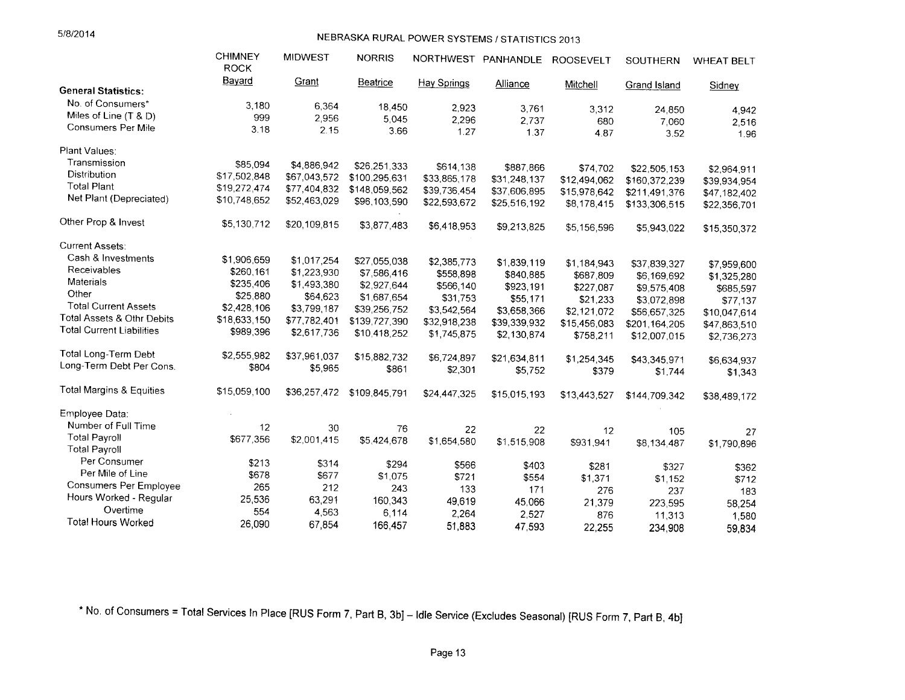|                                  | <b>CHIMNEY</b><br><b>ROCK</b> | <b>MIDWEST</b> | <b>NORRIS</b>   | NORTHWEST PANHANDLE |              | <b>ROOSEVELT</b> | <b>SOUTHERN</b> | <b>WHEAT BELT</b> |
|----------------------------------|-------------------------------|----------------|-----------------|---------------------|--------------|------------------|-----------------|-------------------|
| <b>General Statistics:</b>       | Bayard                        | Grant          | <b>Beatrice</b> | <b>Hay Springs</b>  | Alliance     | Mitchell         | Grand Island    | Sidney            |
| No. of Consumers*                |                               |                |                 |                     |              |                  |                 |                   |
| Miles of Line (T & D)            | 3,180                         | 6,364          | 18.450          | 2,923               | 3,761        | 3,312            | 24,850          | 4,942             |
| Consumers Per Mile               | 999                           | 2.956          | 5.045           | 2,296               | 2,737        | 680              | 7,060           | 2,516             |
|                                  | 3.18                          | 2.15           | 3.66            | 1.27                | 1.37         | 4.87             | 3.52            | 1.96              |
| Plant Values:                    |                               |                |                 |                     |              |                  |                 |                   |
| Transmission                     | \$85,094                      | \$4,886,942    | \$26,251,333    | \$614,138           |              |                  |                 |                   |
| Distribution                     | \$17,502.848                  | \$67,043,572   | \$100,295,631   | \$33,865,178        | \$887,866    | \$74,702         | \$22,505,153    | \$2,964,911       |
| <b>Total Plant</b>               | \$19,272,474                  | \$77,404,832   | \$148,059,562   | \$39,736.454        | \$31,248,137 | \$12,494,062     | \$160,372,239   | \$39,934,954      |
| Net Plant (Depreciated)          | \$10,748,652                  | \$52,463,029   | \$96,103,590    |                     | \$37,606,895 | \$15,978,642     | \$211,491,376   | \$47,182,402      |
|                                  |                               |                |                 | \$22,593,672        | \$25,516,192 | \$8,178,415      | \$133,306,515   | \$22,356,701      |
| Other Prop & Invest              | \$5,130,712                   | \$20,109,815   | \$3,877,483     | \$6,418,953         | \$9,213,825  | \$5,156,596      | \$5,943,022     | \$15,350,372      |
| <b>Current Assets:</b>           |                               |                |                 |                     |              |                  |                 |                   |
| Cash & Investments               | \$1,906.659                   | \$1,017,254    | \$27,055,038    |                     |              |                  |                 |                   |
| Receivables                      | \$260.161                     | \$1,223,930    | \$7,586,416     | \$2,385,773         | \$1,839,119  | \$1,184,943      | \$37,839,327    | \$7,959,600       |
| Materials                        | \$235,406                     | \$1,493,380    |                 | \$558,898           | \$840,885    | \$687,809        | \$6,169,692     | \$1,325,280       |
| Other                            | \$25,880                      |                | \$2,927.644     | \$566,140           | \$923,191    | \$227,087        | \$9,575,408     | \$685,597         |
| <b>Total Current Assets</b>      | \$2,428,106                   | \$64,623       | \$1,687,654     | \$31,753            | \$55,171     | \$21,233         | \$3,072,898     | \$77,137          |
| Total Assets & Othr Debits       |                               | \$3,799,187    | \$39,256,752    | \$3,542,564         | \$3,658,366  | \$2,121,072      | \$56,657,325    | \$10,047,614      |
| <b>Total Current Liabilities</b> | \$18,633,150                  | \$77,782,401   | \$139,727,390   | \$32,918,238        | \$39,339,932 | \$15,456,083     | \$201,164,205   | \$47,863,510      |
|                                  | \$989,396                     | \$2,617,736    | \$10,418,252    | \$1,745,875         | \$2,130,874  | \$758,211        | \$12,007,015    | \$2,736,273       |
| Total Long-Term Debt             | \$2,555,982                   | \$37,961,037   | \$15,882,732    | \$6,724,897         | \$21,634,811 | \$1,254,345      | \$43,345,971    |                   |
| Long-Term Debt Per Cons.         | \$804                         | \$5,965        | \$861           | \$2,301             | \$5,752      | \$379            | \$1,744         | \$6,634,937       |
|                                  |                               |                |                 |                     |              |                  |                 | \$1,343           |
| Total Margins & Equities         | \$15,059,100                  | \$36,257,472   | \$109,845,791   | \$24,447,325        | \$15,015,193 | \$13,443,527     | \$144,709.342   | \$38,489,172      |
| Employee Data:                   |                               |                |                 |                     |              |                  |                 |                   |
| Number of Full Time              | 12                            | 30             | 76              | 22                  | 22           | 12               | 105             | 27                |
| <b>Total Payroll</b>             | \$677,356                     | \$2,001,415    | \$5,424,678     | \$1,654,580         | \$1,515,908  | \$931,941        | \$8,134,487     |                   |
| <b>Total Payroll</b>             |                               |                |                 |                     |              |                  |                 | \$1,790,896       |
| Per Consumer                     | \$213                         | \$314          | \$294           | \$566               | \$403        | \$281            | \$327           | \$362             |
| Per Mile of Line                 | \$678                         | \$677          | \$1,075         | \$721               | \$554        | \$1,371          | \$1,152         |                   |
| Consumers Per Employee           | 265                           | 212            | 243             | 133                 | 171          | 276              | 237             | \$712<br>183      |
| Hours Worked - Regular           | 25,536                        | 63,291         | 160,343         | 49,619              | 45.066       | 21,379           | 223,595         |                   |
| Overtime                         | 554                           | 4,563          | 6,114           | 2,264               | 2,527        |                  |                 | 58,254            |
| <b>Total Hours Worked</b>        | 26,090                        | 67,854         | 166,457         | 51,883              |              | 876              | 11,313          | 1,580             |
|                                  |                               |                |                 |                     | 47,593       | 22,255           | 234,908         | 59,834            |

No. of Consumers = Total Services In Place [RUS Form 7, Part B, 3b] - Idle Service (Excludes Seasonal) [RUS Form 7, Part B, 4t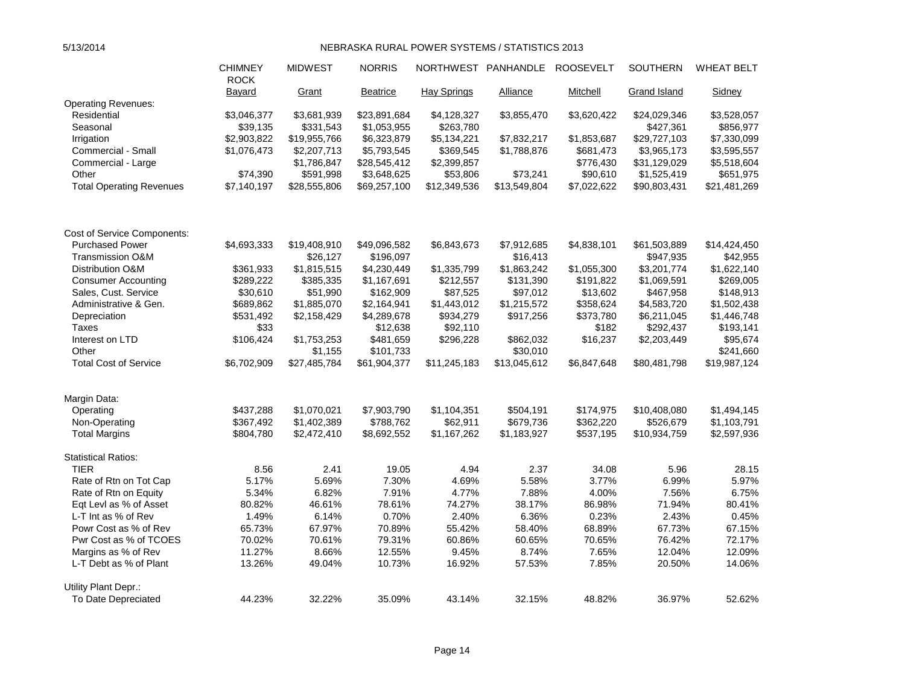|                                          | <b>CHIMNEY</b>          | <b>MIDWEST</b>            | <b>NORRIS</b>               | NORTHWEST                | PANHANDLE                | <b>ROOSEVELT</b>        | <b>SOUTHERN</b>             | <b>WHEAT BELT</b>         |
|------------------------------------------|-------------------------|---------------------------|-----------------------------|--------------------------|--------------------------|-------------------------|-----------------------------|---------------------------|
|                                          | <b>ROCK</b>             |                           |                             |                          |                          |                         |                             |                           |
|                                          | Bayard                  | Grant                     | <b>Beatrice</b>             | <b>Hay Springs</b>       | Alliance                 | Mitchell                | Grand Island                | Sidney                    |
| <b>Operating Revenues:</b>               |                         |                           |                             |                          |                          |                         |                             |                           |
| Residential                              | \$3,046,377             | \$3,681,939               | \$23,891,684                | \$4,128,327              | \$3,855,470              | \$3,620,422             | \$24,029,346                | \$3,528,057               |
| Seasonal                                 | \$39,135                | \$331,543                 | \$1,053,955                 | \$263,780                |                          |                         | \$427,361                   | \$856,977                 |
| Irrigation                               | \$2,903,822             | \$19,955,766              | \$6,323,879                 | \$5,134,221              | \$7,832,217              | \$1,853,687             | \$29,727,103                | \$7,330,099               |
| Commercial - Small                       | \$1,076,473             | \$2,207,713               | \$5,793,545                 | \$369,545                | \$1,788,876              | \$681,473               | \$3,965,173                 | \$3,595,557               |
| Commercial - Large                       |                         | \$1,786,847               | \$28,545,412                | \$2,399,857              |                          | \$776,430               | \$31,129,029                | \$5,518,604               |
| Other<br><b>Total Operating Revenues</b> | \$74,390<br>\$7,140,197 | \$591,998<br>\$28,555,806 | \$3,648,625<br>\$69,257,100 | \$53,806<br>\$12,349,536 | \$73,241<br>\$13,549,804 | \$90,610<br>\$7,022,622 | \$1,525,419<br>\$90,803,431 | \$651,975<br>\$21,481,269 |
|                                          |                         |                           |                             |                          |                          |                         |                             |                           |
| Cost of Service Components:              |                         |                           |                             |                          |                          |                         |                             |                           |
| <b>Purchased Power</b>                   | \$4,693,333             | \$19,408,910              | \$49,096,582                | \$6,843,673              | \$7,912,685              | \$4,838,101             | \$61,503,889                | \$14,424,450              |
| <b>Transmission O&amp;M</b>              |                         | \$26,127                  | \$196,097                   |                          | \$16,413                 |                         | \$947,935                   | \$42,955                  |
| Distribution O&M                         | \$361,933               | \$1,815,515               | \$4,230,449                 | \$1,335,799              | \$1,863,242              | \$1,055,300             | \$3,201,774                 | \$1,622,140               |
| <b>Consumer Accounting</b>               | \$289,222               | \$385,335                 | \$1,167,691                 | \$212,557                | \$131,390                | \$191,822               | \$1,069,591                 | \$269,005                 |
| Sales, Cust. Service                     | \$30,610                | \$51,990                  | \$162,909                   | \$87,525                 | \$97,012                 | \$13,602                | \$467,958                   | \$148,913                 |
| Administrative & Gen.                    | \$689,862               | \$1,885,070               | \$2,164,941                 | \$1,443,012              | \$1,215,572              | \$358,624               | \$4,583,720                 | \$1,502,438               |
| Depreciation                             | \$531,492               | \$2,158,429               | \$4,289,678                 | \$934,279                | \$917,256                | \$373,780               | \$6,211,045                 | \$1,446,748               |
| <b>Taxes</b>                             | \$33                    |                           | \$12,638                    | \$92,110                 |                          | \$182                   | \$292,437                   | \$193,141                 |
| Interest on LTD                          | \$106,424               | \$1,753,253               | \$481,659                   | \$296,228                | \$862,032                | \$16,237                | \$2,203,449                 | \$95,674                  |
| Other                                    |                         | \$1,155                   | \$101,733                   |                          | \$30,010                 |                         |                             | \$241,660                 |
| <b>Total Cost of Service</b>             | \$6,702,909             | \$27,485,784              | \$61,904,377                | \$11,245,183             | \$13,045,612             | \$6,847,648             | \$80,481,798                | \$19,987,124              |
| Margin Data:                             |                         |                           |                             |                          |                          |                         |                             |                           |
| Operating                                | \$437,288               | \$1,070,021               | \$7,903,790                 | \$1,104,351              | \$504,191                | \$174,975               | \$10,408,080                | \$1,494,145               |
| Non-Operating                            | \$367,492               | \$1,402,389               | \$788,762                   | \$62,911                 | \$679,736                | \$362,220               | \$526,679                   | \$1,103,791               |
| <b>Total Margins</b>                     | \$804,780               | \$2,472,410               | \$8,692,552                 | \$1,167,262              | \$1,183,927              | \$537,195               | \$10,934,759                | \$2,597,936               |
| <b>Statistical Ratios:</b>               |                         |                           |                             |                          |                          |                         |                             |                           |
| <b>TIER</b>                              | 8.56                    | 2.41                      | 19.05                       | 4.94                     | 2.37                     | 34.08                   | 5.96                        | 28.15                     |
| Rate of Rtn on Tot Cap                   | 5.17%                   | 5.69%                     | 7.30%                       | 4.69%                    | 5.58%                    | 3.77%                   | 6.99%                       | 5.97%                     |
| Rate of Rtn on Equity                    | 5.34%                   | 6.82%                     | 7.91%                       | 4.77%                    | 7.88%                    | 4.00%                   | 7.56%                       | 6.75%                     |
| Eqt Levl as % of Asset                   | 80.82%                  | 46.61%                    | 78.61%                      | 74.27%                   | 38.17%                   | 86.98%                  | 71.94%                      | 80.41%                    |
| L-T Int as % of Rev                      | 1.49%                   | 6.14%                     | 0.70%                       | 2.40%                    | 6.36%                    | 0.23%                   | 2.43%                       | 0.45%                     |
| Powr Cost as % of Rev                    | 65.73%                  | 67.97%                    | 70.89%                      | 55.42%                   | 58.40%                   | 68.89%                  | 67.73%                      | 67.15%                    |
| Pwr Cost as % of TCOES                   | 70.02%                  | 70.61%                    | 79.31%                      | 60.86%                   | 60.65%                   | 70.65%                  | 76.42%                      | 72.17%                    |
| Margins as % of Rev                      | 11.27%                  | 8.66%                     | 12.55%                      | 9.45%                    | 8.74%                    | 7.65%                   | 12.04%                      | 12.09%                    |
| L-T Debt as % of Plant                   | 13.26%                  | 49.04%                    | 10.73%                      | 16.92%                   | 57.53%                   | 7.85%                   | 20.50%                      | 14.06%                    |
| Utility Plant Depr.:                     |                         |                           |                             |                          |                          |                         |                             |                           |
| To Date Depreciated                      | 44.23%                  | 32.22%                    | 35.09%                      | 43.14%                   | 32.15%                   | 48.82%                  | 36.97%                      | 52.62%                    |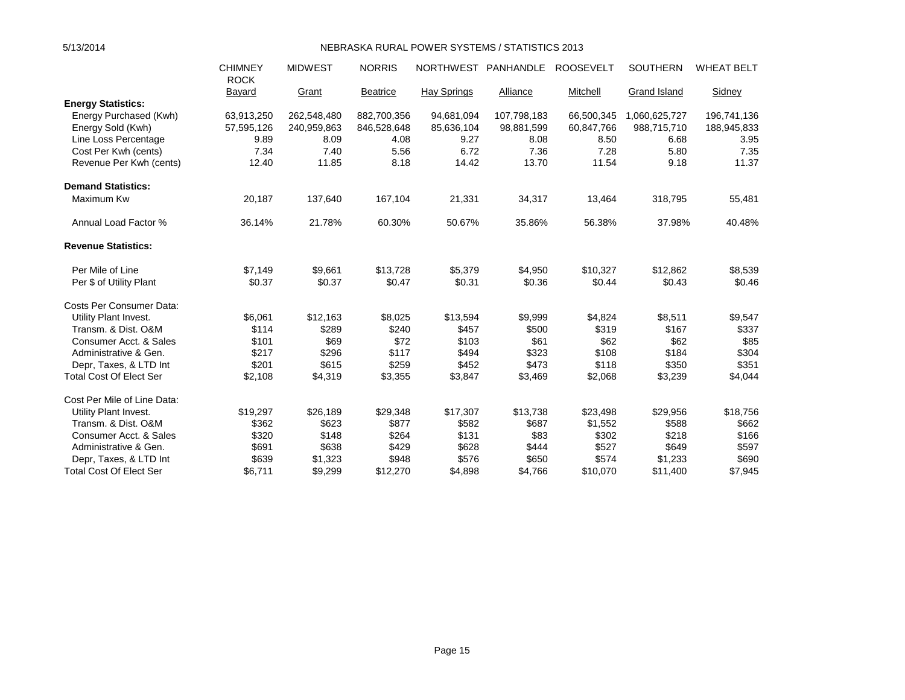|                                 | <b>CHIMNEY</b><br><b>ROCK</b> | <b>MIDWEST</b> | <b>NORRIS</b>   |                    | NORTHWEST PANHANDLE | <b>ROOSEVELT</b> | <b>SOUTHERN</b> | <b>WHEAT BELT</b> |
|---------------------------------|-------------------------------|----------------|-----------------|--------------------|---------------------|------------------|-----------------|-------------------|
|                                 | Bayard                        | Grant          | <b>Beatrice</b> | <b>Hay Springs</b> | Alliance            | Mitchell         | Grand Island    | Sidney            |
| <b>Energy Statistics:</b>       |                               |                |                 |                    |                     |                  |                 |                   |
| Energy Purchased (Kwh)          | 63,913,250                    | 262,548,480    | 882,700,356     | 94,681,094         | 107,798,183         | 66,500,345       | 1,060,625,727   | 196,741,136       |
| Energy Sold (Kwh)               | 57,595,126                    | 240,959,863    | 846,528,648     | 85,636,104         | 98,881,599          | 60,847,766       | 988,715,710     | 188,945,833       |
| Line Loss Percentage            | 9.89                          | 8.09           | 4.08            | 9.27               | 8.08                | 8.50             | 6.68            | 3.95              |
| Cost Per Kwh (cents)            | 7.34                          | 7.40           | 5.56            | 6.72               | 7.36                | 7.28             | 5.80            | 7.35              |
| Revenue Per Kwh (cents)         | 12.40                         | 11.85          | 8.18            | 14.42              | 13.70               | 11.54            | 9.18            | 11.37             |
| <b>Demand Statistics:</b>       |                               |                |                 |                    |                     |                  |                 |                   |
| Maximum Kw                      | 20,187                        | 137,640        | 167,104         | 21,331             | 34,317              | 13,464           | 318,795         | 55,481            |
| Annual Load Factor %            | 36.14%                        | 21.78%         | 60.30%          | 50.67%             | 35.86%              | 56.38%           | 37.98%          | 40.48%            |
| <b>Revenue Statistics:</b>      |                               |                |                 |                    |                     |                  |                 |                   |
| Per Mile of Line                | \$7,149                       | \$9,661        | \$13,728        | \$5,379            | \$4,950             | \$10,327         | \$12,862        | \$8,539           |
| Per \$ of Utility Plant         | \$0.37                        | \$0.37         | \$0.47          | \$0.31             | \$0.36              | \$0.44           | \$0.43          | \$0.46            |
| <b>Costs Per Consumer Data:</b> |                               |                |                 |                    |                     |                  |                 |                   |
| Utility Plant Invest.           | \$6,061                       | \$12,163       | \$8,025         | \$13,594           | \$9,999             | \$4,824          | \$8,511         | \$9,547           |
| Transm. & Dist. O&M             | \$114                         | \$289          | \$240           | \$457              | \$500               | \$319            | \$167           | \$337             |
| Consumer Acct. & Sales          | \$101                         | \$69           | \$72            | \$103              | \$61                | \$62             | \$62            | \$85              |
| Administrative & Gen.           | \$217                         | \$296          | \$117           | \$494              | \$323               | \$108            | \$184           | \$304             |
| Depr, Taxes, & LTD Int          | \$201                         | \$615          | \$259           | \$452              | \$473               | \$118            | \$350           | \$351             |
| <b>Total Cost Of Elect Ser</b>  | \$2,108                       | \$4,319        | \$3,355         | \$3,847            | \$3,469             | \$2,068          | \$3,239         | \$4,044           |
| Cost Per Mile of Line Data:     |                               |                |                 |                    |                     |                  |                 |                   |
| Utility Plant Invest.           | \$19,297                      | \$26,189       | \$29,348        | \$17,307           | \$13,738            | \$23,498         | \$29,956        | \$18,756          |
| Transm. & Dist. O&M             | \$362                         | \$623          | \$877           | \$582              | \$687               | \$1,552          | \$588           | \$662             |
| Consumer Acct. & Sales          | \$320                         | \$148          | \$264           | \$131              | \$83                | \$302            | \$218           | \$166             |
| Administrative & Gen.           | \$691                         | \$638          | \$429           | \$628              | \$444               | \$527            | \$649           | \$597             |
| Depr, Taxes, & LTD Int          | \$639                         | \$1,323        | \$948           | \$576              | \$650               | \$574            | \$1,233         | \$690             |
| <b>Total Cost Of Elect Ser</b>  | \$6,711                       | \$9,299        | \$12,270        | \$4,898            | \$4,766             | \$10,070         | \$11.400        | \$7,945           |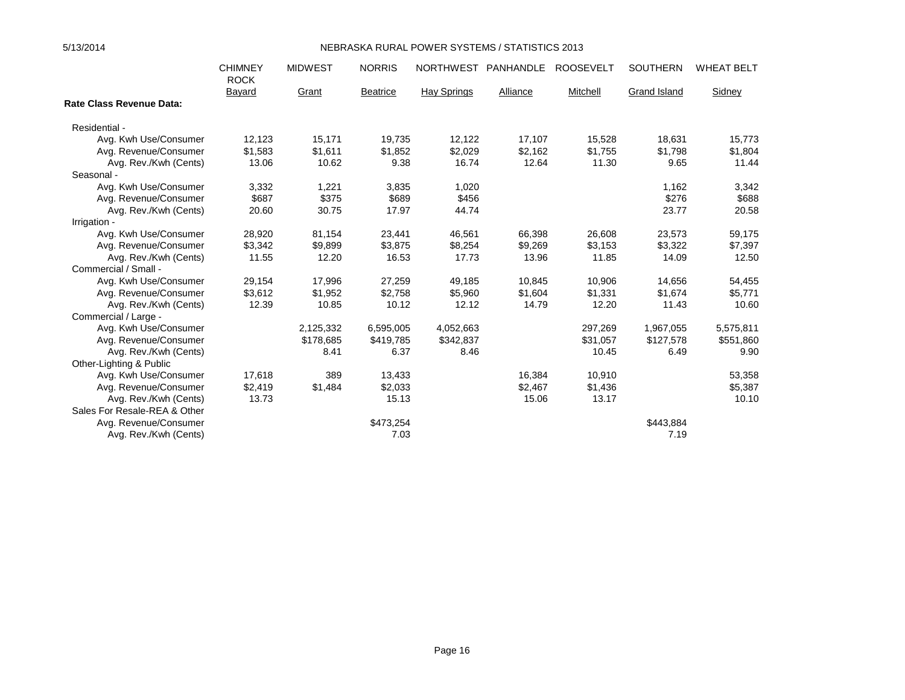|                              | <b>CHIMNEY</b><br><b>ROCK</b> | <b>MIDWEST</b> | <b>NORRIS</b>   | NORTHWEST PANHANDLE |          | <b>ROOSEVELT</b> | <b>SOUTHERN</b> | <b>WHEAT BELT</b> |
|------------------------------|-------------------------------|----------------|-----------------|---------------------|----------|------------------|-----------------|-------------------|
|                              | Bayard                        | Grant          | <b>Beatrice</b> | <b>Hay Springs</b>  | Alliance | Mitchell         | Grand Island    | Sidney            |
| Rate Class Revenue Data:     |                               |                |                 |                     |          |                  |                 |                   |
| Residential -                |                               |                |                 |                     |          |                  |                 |                   |
| Avg. Kwh Use/Consumer        | 12,123                        | 15,171         | 19,735          | 12,122              | 17,107   | 15,528           | 18,631          | 15,773            |
| Avg. Revenue/Consumer        | \$1,583                       | \$1,611        | \$1,852         | \$2,029             | \$2,162  | \$1,755          | \$1,798         | \$1,804           |
| Avg. Rev./Kwh (Cents)        | 13.06                         | 10.62          | 9.38            | 16.74               | 12.64    | 11.30            | 9.65            | 11.44             |
| Seasonal -                   |                               |                |                 |                     |          |                  |                 |                   |
| Avg. Kwh Use/Consumer        | 3,332                         | 1,221          | 3,835           | 1,020               |          |                  | 1,162           | 3,342             |
| Avg. Revenue/Consumer        | \$687                         | \$375          | \$689           | \$456               |          |                  | \$276           | \$688             |
| Avg. Rev./Kwh (Cents)        | 20.60                         | 30.75          | 17.97           | 44.74               |          |                  | 23.77           | 20.58             |
| Irrigation -                 |                               |                |                 |                     |          |                  |                 |                   |
| Avg. Kwh Use/Consumer        | 28,920                        | 81,154         | 23,441          | 46,561              | 66,398   | 26,608           | 23,573          | 59,175            |
| Avg. Revenue/Consumer        | \$3,342                       | \$9,899        | \$3,875         | \$8,254             | \$9,269  | \$3,153          | \$3,322         | \$7,397           |
| Avg. Rev./Kwh (Cents)        | 11.55                         | 12.20          | 16.53           | 17.73               | 13.96    | 11.85            | 14.09           | 12.50             |
| Commercial / Small -         |                               |                |                 |                     |          |                  |                 |                   |
| Avg. Kwh Use/Consumer        | 29,154                        | 17,996         | 27,259          | 49,185              | 10,845   | 10,906           | 14,656          | 54,455            |
| Avg. Revenue/Consumer        | \$3,612                       | \$1,952        | \$2,758         | \$5,960             | \$1,604  | \$1,331          | \$1,674         | \$5,771           |
| Avg. Rev./Kwh (Cents)        | 12.39                         | 10.85          | 10.12           | 12.12               | 14.79    | 12.20            | 11.43           | 10.60             |
| Commercial / Large -         |                               |                |                 |                     |          |                  |                 |                   |
| Avg. Kwh Use/Consumer        |                               | 2,125,332      | 6,595,005       | 4,052,663           |          | 297,269          | 1,967,055       | 5,575,811         |
| Avg. Revenue/Consumer        |                               | \$178,685      | \$419,785       | \$342,837           |          | \$31,057         | \$127,578       | \$551,860         |
| Avg. Rev./Kwh (Cents)        |                               | 8.41           | 6.37            | 8.46                |          | 10.45            | 6.49            | 9.90              |
| Other-Lighting & Public      |                               |                |                 |                     |          |                  |                 |                   |
| Avg. Kwh Use/Consumer        | 17,618                        | 389            | 13,433          |                     | 16,384   | 10,910           |                 | 53,358            |
| Avg. Revenue/Consumer        | \$2,419                       | \$1,484        | \$2,033         |                     | \$2,467  | \$1,436          |                 | \$5,387           |
| Avg. Rev./Kwh (Cents)        | 13.73                         |                | 15.13           |                     | 15.06    | 13.17            |                 | 10.10             |
| Sales For Resale-REA & Other |                               |                |                 |                     |          |                  |                 |                   |
| Avg. Revenue/Consumer        |                               |                | \$473,254       |                     |          |                  | \$443,884       |                   |
| Avg. Rev./Kwh (Cents)        |                               |                | 7.03            |                     |          |                  | 7.19            |                   |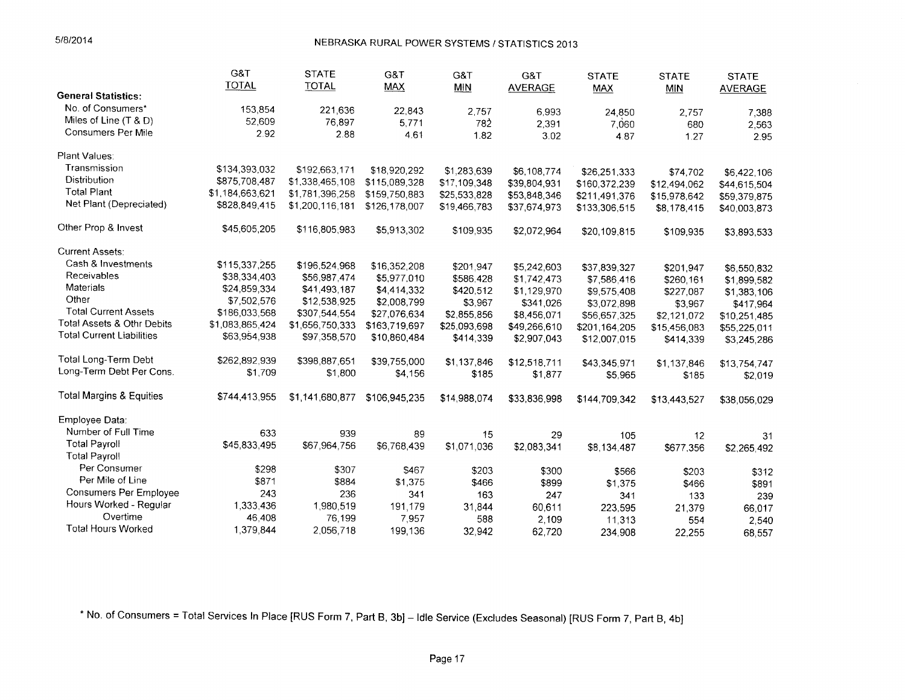| G&T                                              |           | <b>STATE</b>    | G&T           | G&T          | G&T            | <b>STATE</b>  | <b>STATE</b> | <b>STATE</b>   |
|--------------------------------------------------|-----------|-----------------|---------------|--------------|----------------|---------------|--------------|----------------|
| <b>TOTAL</b>                                     |           | <b>TOTAL</b>    | <b>MAX</b>    | <b>MIN</b>   | <b>AVERAGE</b> | <b>MAX</b>    | <b>MIN</b>   | <b>AVERAGE</b> |
| <b>General Statistics:</b>                       |           |                 |               |              |                |               |              |                |
| No. of Consumers*                                | 153,854   | 221,636         | 22,843        | 2.757        | 6,993          | 24,850        | 2,757        | 7,388          |
| Miles of Line (T & D)                            | 52.609    | 76,897          | 5,771         | 782          | 2,391          | 7,060         | 680          | 2,563          |
| <b>Consumers Per Mile</b>                        | 2.92      | 2.88            | 4.61          | 1.82         | 3.02           | 4.87          | 1.27         | 2.95           |
| Plant Values:                                    |           |                 |               |              |                |               |              |                |
| Transmission<br>\$134,393,032                    |           | \$192,663.171   | \$18,920,292  | \$1,283,639  | \$6,108,774    | \$26,251,333  | \$74,702     | \$6,422,106    |
| <b>Distribution</b><br>\$875,708,487             |           | \$1,338,465,108 | \$115,089,328 | \$17.109.348 | \$39,804,931   | \$160,372,239 | \$12,494,062 | \$44,615,504   |
| <b>Total Plant</b><br>\$1,184,663,621            |           | \$1,781,396,258 | \$159,750,883 | \$25,533,828 | \$53,848,346   | \$211,491.376 | \$15,978,642 | \$59,379,875   |
| Net Plant (Depreciated)<br>\$828,849,415         |           | \$1,200,116,181 | \$126,178,007 | \$19,466,783 | \$37,674,973   | \$133,306,515 | \$8,178,415  | \$40,003,873   |
| Other Prop & Invest<br>\$45,605,205              |           | \$116,805,983   | \$5,913,302   | \$109,935    | \$2,072,964    | \$20,109,815  | \$109,935    | \$3,893,533    |
| <b>Current Assets:</b>                           |           |                 |               |              |                |               |              |                |
| Cash & Investments<br>\$115,337,255              |           | \$196,524,968   | \$16,352,208  | \$201.947    | \$5,242.603    | \$37,839,327  | \$201.947    | \$6,550,832    |
| Receivables<br>\$38,334,403                      |           | \$56,987,474    | \$5,977,010   | \$586.428    | \$1,742,473    | \$7,586,416   | \$260.161    | \$1,899,582    |
| Materials<br>\$24,859,334                        |           | \$41,493,187    | \$4,414,332   | \$420,512    | \$1,129,970    | \$9,575,408   | \$227,087    | \$1,383,106    |
| Other<br>\$7,502,576                             |           | \$12,538,925    | \$2,008.799   | \$3,967      | \$341,026      | \$3,072,898   | \$3,967      | \$417,964      |
| <b>Total Current Assets</b><br>\$186,033,568     |           | \$307,544,554   | \$27,076,634  | \$2,855,856  | \$8,456,071    | \$56,657,325  | \$2,121,072  | \$10,251,485   |
| Total Assets & Othr Debits<br>\$1,083,865,424    |           | \$1,656,750,333 | \$163,719,697 | \$25,093,698 | \$49,266,610   | \$201,164,205 | \$15,456,083 | \$55,225,011   |
| <b>Total Current Liabilities</b><br>\$63,954,938 |           | \$97,358,570    | \$10,860,484  | \$414,339    | \$2,907,043    | \$12,007,015  | \$414,339    |                |
|                                                  |           |                 |               |              |                |               |              | \$3,245,286    |
| Total Long-Term Debt<br>\$262,892,939            |           | \$398,887,651   | \$39,755,000  | \$1,137,846  | \$12,518,711   | \$43,345.971  | \$1,137,846  | \$13,754,747   |
| Long-Term Debt Per Cons.                         | \$1,709   | \$1,800         | \$4,156       | \$185        | \$1,877        | \$5,965       | \$185        | \$2,019        |
| Total Margins & Equities<br>\$744,413,955        |           | \$1,141,680.877 | \$106,945,235 | \$14,988,074 | \$33,836,998   | \$144,709,342 | \$13,443,527 | \$38,056,029   |
| Employee Data:                                   |           |                 |               |              |                |               |              |                |
| Number of Full Time                              | 633       | 939             | 89            | 15           | 29             | 105           | 12           | 31             |
| <b>Total Payroll</b><br>\$45,833,495             |           | \$67,964,756    | \$6,768,439   | \$1,071,036  | \$2,083,341    | \$8,134,487   | \$677,356    | \$2,265,492    |
| <b>Total Payroll</b>                             |           |                 |               |              |                |               |              |                |
| Per Consumer                                     | \$298     | \$307           | \$467         | \$203        | \$300          | \$566         | \$203        | \$312          |
| Per Mile of Line                                 | \$871     | \$884           | \$1,375       | \$466        | \$899          | \$1,375       | \$466        | \$891          |
| Consumers Per Employee                           | 243       | 236             | 341           | 163          | 247            | 341           | 133          | 239            |
| Hours Worked - Regular                           | 1,333,436 | 1,980,519       | 191,179       | 31,844       | 60,611         | 223,595       | 21,379       | 66,017         |
| Overtime                                         | 46.408    | 76,199          | 7,957         | 588          | 2,109          | 11,313        | 554          | 2,540          |
| <b>Total Hours Worked</b>                        | 1,379,844 | 2,056,718       | 199,136       | 32,942       | 62,720         | 234,908       | 22,255       | 68.557         |

No. of Consumers = Total Services In Place [RUS Form 7, Part B, 3b] - Idle Service (Excludes Seasonal) [RUS Form 7, Part B, 4t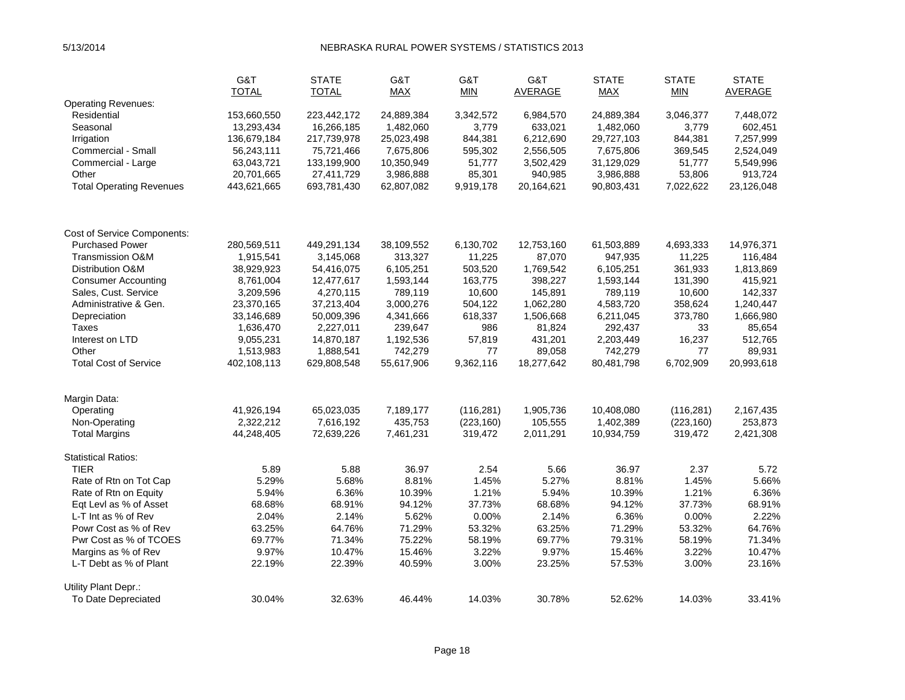|                                           | G&T                       | <b>STATE</b>              | G&T                     | G&T                 | G&T            | <b>STATE</b>            | <b>STATE</b>        | <b>STATE</b>          |
|-------------------------------------------|---------------------------|---------------------------|-------------------------|---------------------|----------------|-------------------------|---------------------|-----------------------|
|                                           | <b>TOTAL</b>              | <b>TOTAL</b>              | <b>MAX</b>              | MIN                 | <b>AVERAGE</b> | <b>MAX</b>              | MIN                 | <b>AVERAGE</b>        |
| <b>Operating Revenues:</b><br>Residential | 153,660,550               | 223,442,172               | 24,889,384              | 3,342,572           | 6,984,570      | 24,889,384              | 3,046,377           | 7,448,072             |
| Seasonal                                  | 13,293,434                | 16,266,185                | 1,482,060               | 3,779               | 633,021        | 1,482,060               | 3,779               | 602,451               |
| Irrigation                                | 136,679,184               | 217,739,978               | 25,023,498              | 844,381             | 6,212,690      | 29,727,103              | 844,381             | 7,257,999             |
|                                           |                           |                           | 7,675,806               |                     | 2,556,505      | 7,675,806               |                     | 2,524,049             |
| Commercial - Small<br>Commercial - Large  | 56,243,111<br>63,043,721  | 75,721,466<br>133,199,900 | 10,350,949              | 595,302<br>51,777   | 3,502,429      | 31,129,029              | 369,545<br>51,777   | 5,549,996             |
| Other                                     |                           |                           |                         |                     | 940.985        |                         |                     |                       |
| <b>Total Operating Revenues</b>           | 20,701,665<br>443,621,665 | 27,411,729<br>693,781,430 | 3,986,888<br>62,807,082 | 85,301<br>9,919,178 | 20,164,621     | 3,986,888<br>90,803,431 | 53,806<br>7,022,622 | 913,724<br>23,126,048 |
|                                           |                           |                           |                         |                     |                |                         |                     |                       |
| Cost of Service Components:               |                           |                           |                         |                     |                |                         |                     |                       |
| <b>Purchased Power</b>                    | 280,569,511               | 449,291,134               | 38,109,552              | 6,130,702           | 12,753,160     | 61,503,889              | 4,693,333           | 14,976,371            |
| <b>Transmission O&amp;M</b>               | 1,915,541                 | 3,145,068                 | 313,327                 | 11,225              | 87,070         | 947,935                 | 11,225              | 116,484               |
| Distribution O&M                          | 38,929,923                | 54,416,075                | 6,105,251               | 503,520             | 1,769,542      | 6,105,251               | 361,933             | 1,813,869             |
| <b>Consumer Accounting</b>                | 8,761,004                 | 12,477,617                | 1,593,144               | 163,775             | 398,227        | 1,593,144               | 131,390             | 415,921               |
| Sales, Cust. Service                      | 3,209,596                 | 4,270,115                 | 789,119                 | 10,600              | 145,891        | 789,119                 | 10,600              | 142,337               |
| Administrative & Gen.                     | 23,370,165                | 37,213,404                | 3,000,276               | 504,122             | 1,062,280      | 4,583,720               | 358,624             | 1,240,447             |
| Depreciation                              | 33,146,689                | 50,009,396                | 4,341,666               | 618,337             | 1,506,668      | 6,211,045               | 373,780             | 1,666,980             |
| Taxes                                     | 1,636,470                 | 2,227,011                 | 239,647                 | 986                 | 81,824         | 292,437                 | 33                  | 85,654                |
| Interest on LTD                           | 9,055,231                 | 14,870,187                | 1,192,536               | 57,819              | 431,201        | 2,203,449               | 16,237              | 512,765               |
| Other                                     | 1,513,983                 | 1,888,541                 | 742,279                 | 77                  | 89,058         | 742,279                 | 77                  | 89,931                |
| <b>Total Cost of Service</b>              | 402,108,113               | 629,808,548               | 55,617,906              | 9,362,116           | 18,277,642     | 80,481,798              | 6,702,909           | 20,993,618            |
| Margin Data:                              |                           |                           |                         |                     |                |                         |                     |                       |
| Operating                                 | 41,926,194                | 65,023,035                | 7,189,177               | (116, 281)          | 1,905,736      | 10,408,080              | (116, 281)          | 2,167,435             |
| Non-Operating                             | 2,322,212                 | 7,616,192                 | 435,753                 | (223, 160)          | 105,555        | 1,402,389               | (223, 160)          | 253,873               |
| <b>Total Margins</b>                      | 44,248,405                | 72,639,226                | 7,461,231               | 319,472             | 2,011,291      | 10,934,759              | 319,472             | 2,421,308             |
| <b>Statistical Ratios:</b>                |                           |                           |                         |                     |                |                         |                     |                       |
| <b>TIER</b>                               | 5.89                      | 5.88                      | 36.97                   | 2.54                | 5.66           | 36.97                   | 2.37                | 5.72                  |
| Rate of Rtn on Tot Cap                    | 5.29%                     | 5.68%                     | 8.81%                   | 1.45%               | 5.27%          | 8.81%                   | 1.45%               | 5.66%                 |
| Rate of Rtn on Equity                     | 5.94%                     | 6.36%                     | 10.39%                  | 1.21%               | 5.94%          | 10.39%                  | 1.21%               | 6.36%                 |
| Eqt Levl as % of Asset                    | 68.68%                    | 68.91%                    | 94.12%                  | 37.73%              | 68.68%         | 94.12%                  | 37.73%              | 68.91%                |
| L-T Int as % of Rev                       | 2.04%                     | 2.14%                     | 5.62%                   | 0.00%               | 2.14%          | 6.36%                   | 0.00%               | 2.22%                 |
| Powr Cost as % of Rev                     | 63.25%                    | 64.76%                    | 71.29%                  | 53.32%              | 63.25%         | 71.29%                  | 53.32%              | 64.76%                |
| Pwr Cost as % of TCOES                    | 69.77%                    | 71.34%                    | 75.22%                  | 58.19%              | 69.77%         | 79.31%                  | 58.19%              | 71.34%                |
| Margins as % of Rev                       | 9.97%                     | 10.47%                    | 15.46%                  | 3.22%               | 9.97%          | 15.46%                  | 3.22%               | 10.47%                |
| L-T Debt as % of Plant                    | 22.19%                    | 22.39%                    | 40.59%                  | 3.00%               | 23.25%         | 57.53%                  | 3.00%               | 23.16%                |
| Utility Plant Depr.:                      |                           |                           |                         |                     |                |                         |                     |                       |
| To Date Depreciated                       | 30.04%                    | 32.63%                    | 46.44%                  | 14.03%              | 30.78%         | 52.62%                  | 14.03%              | 33.41%                |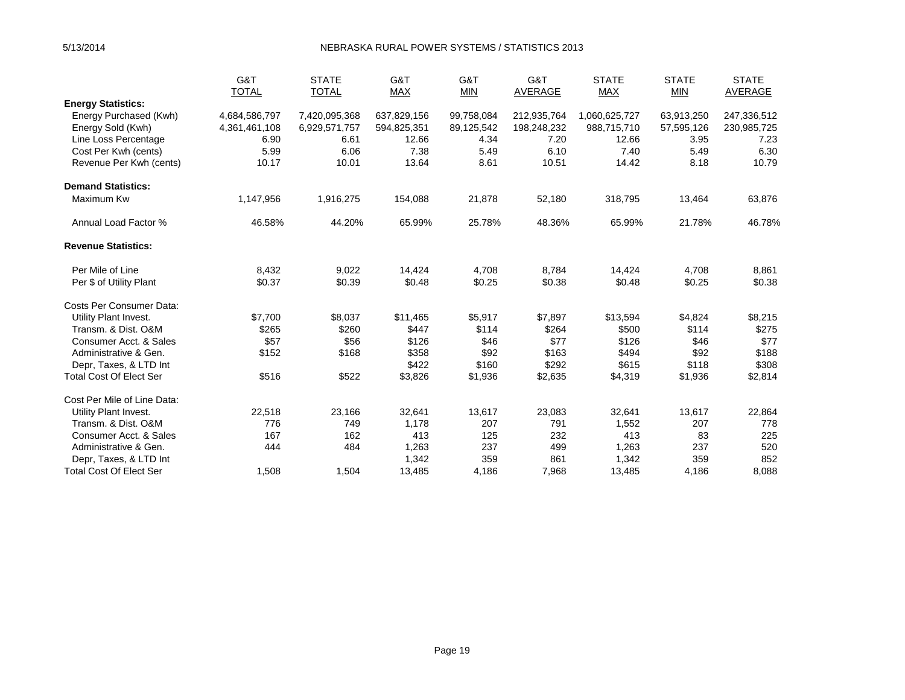|                                 | G&T           | <b>STATE</b>  | G&T         | G&T        | G&T            | <b>STATE</b>  | <b>STATE</b> | <b>STATE</b>   |
|---------------------------------|---------------|---------------|-------------|------------|----------------|---------------|--------------|----------------|
|                                 | <b>TOTAL</b>  | <b>TOTAL</b>  | <b>MAX</b>  | <b>MIN</b> | <b>AVERAGE</b> | <b>MAX</b>    | <b>MIN</b>   | <b>AVERAGE</b> |
| <b>Energy Statistics:</b>       |               |               |             |            |                |               |              |                |
| Energy Purchased (Kwh)          | 4,684,586,797 | 7,420,095,368 | 637,829,156 | 99,758,084 | 212,935,764    | 1,060,625,727 | 63,913,250   | 247,336,512    |
| Energy Sold (Kwh)               | 4,361,461,108 | 6,929,571,757 | 594,825,351 | 89,125,542 | 198,248,232    | 988,715,710   | 57,595,126   | 230,985,725    |
| Line Loss Percentage            | 6.90          | 6.61          | 12.66       | 4.34       | 7.20           | 12.66         | 3.95         | 7.23           |
| Cost Per Kwh (cents)            | 5.99          | 6.06          | 7.38        | 5.49       | 6.10           | 7.40          | 5.49         | 6.30           |
| Revenue Per Kwh (cents)         | 10.17         | 10.01         | 13.64       | 8.61       | 10.51          | 14.42         | 8.18         | 10.79          |
| <b>Demand Statistics:</b>       |               |               |             |            |                |               |              |                |
| Maximum Kw                      | 1,147,956     | 1,916,275     | 154,088     | 21,878     | 52,180         | 318,795       | 13,464       | 63,876         |
| Annual Load Factor %            | 46.58%        | 44.20%        | 65.99%      | 25.78%     | 48.36%         | 65.99%        | 21.78%       | 46.78%         |
| <b>Revenue Statistics:</b>      |               |               |             |            |                |               |              |                |
| Per Mile of Line                | 8,432         | 9,022         | 14,424      | 4,708      | 8,784          | 14,424        | 4,708        | 8,861          |
| Per \$ of Utility Plant         | \$0.37        | \$0.39        | \$0.48      | \$0.25     | \$0.38         | \$0.48        | \$0.25       | \$0.38         |
| <b>Costs Per Consumer Data:</b> |               |               |             |            |                |               |              |                |
| Utility Plant Invest.           | \$7,700       | \$8,037       | \$11,465    | \$5,917    | \$7,897        | \$13,594      | \$4,824      | \$8,215        |
| Transm. & Dist. O&M             | \$265         | \$260         | \$447       | \$114      | \$264          | \$500         | \$114        | \$275          |
| Consumer Acct. & Sales          | \$57          | \$56          | \$126       | \$46       | \$77           | \$126         | \$46         | \$77           |
| Administrative & Gen.           | \$152         | \$168         | \$358       | \$92       | \$163          | \$494         | \$92         | \$188          |
| Depr, Taxes, & LTD Int          |               |               | \$422       | \$160      | \$292          | \$615         | \$118        | \$308          |
| <b>Total Cost Of Elect Ser</b>  | \$516         | \$522         | \$3,826     | \$1,936    | \$2,635        | \$4,319       | \$1,936      | \$2,814        |
| Cost Per Mile of Line Data:     |               |               |             |            |                |               |              |                |
| Utility Plant Invest.           | 22,518        | 23,166        | 32,641      | 13,617     | 23,083         | 32,641        | 13,617       | 22,864         |
| Transm. & Dist. O&M             | 776           | 749           | 1,178       | 207        | 791            | 1,552         | 207          | 778            |
| Consumer Acct. & Sales          | 167           | 162           | 413         | 125        | 232            | 413           | 83           | 225            |
| Administrative & Gen.           | 444           | 484           | 1,263       | 237        | 499            | 1,263         | 237          | 520            |
| Depr, Taxes, & LTD Int          |               |               | 1,342       | 359        | 861            | 1,342         | 359          | 852            |
| <b>Total Cost Of Elect Ser</b>  | 1,508         | 1,504         | 13,485      | 4,186      | 7,968          | 13,485        | 4,186        | 8,088          |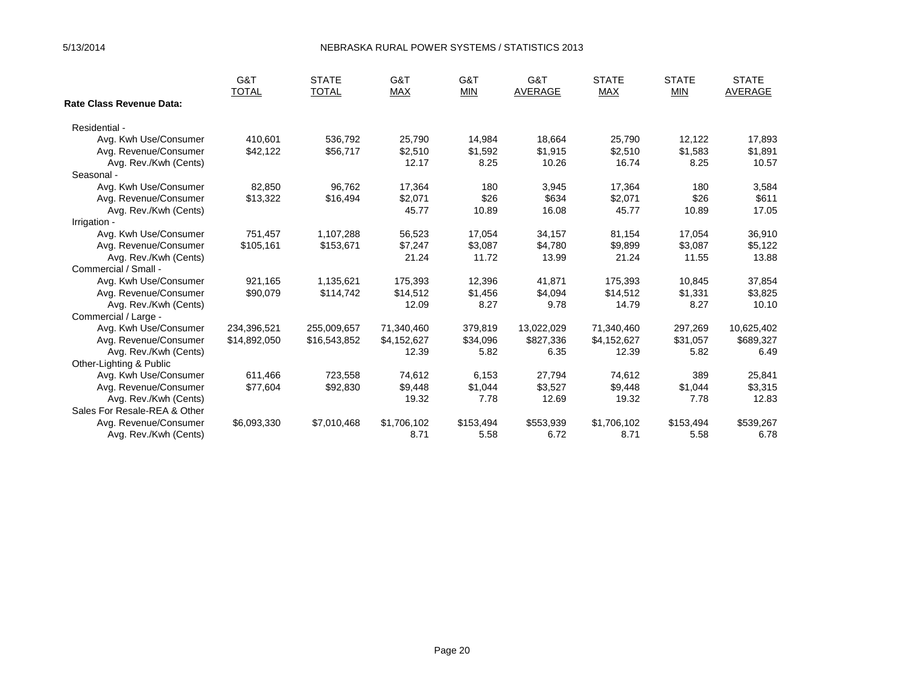|                              | G&T<br>TOTAL | <b>STATE</b><br><b>TOTAL</b> | G&T<br><b>MAX</b> | G&T<br><b>MIN</b> | G&T<br><b>AVERAGE</b> | <b>STATE</b><br><b>MAX</b> | <b>STATE</b><br><b>MIN</b> | <b>STATE</b><br>AVERAGE |
|------------------------------|--------------|------------------------------|-------------------|-------------------|-----------------------|----------------------------|----------------------------|-------------------------|
| Rate Class Revenue Data:     |              |                              |                   |                   |                       |                            |                            |                         |
| Residential -                |              |                              |                   |                   |                       |                            |                            |                         |
| Avg. Kwh Use/Consumer        | 410,601      | 536,792                      | 25,790            | 14,984            | 18,664                | 25,790                     | 12,122                     | 17,893                  |
| Avg. Revenue/Consumer        | \$42,122     | \$56,717                     | \$2,510           | \$1,592           | \$1,915               | \$2,510                    | \$1,583                    | \$1,891                 |
| Avg. Rev./Kwh (Cents)        |              |                              | 12.17             | 8.25              | 10.26                 | 16.74                      | 8.25                       | 10.57                   |
| Seasonal -                   |              |                              |                   |                   |                       |                            |                            |                         |
| Avg. Kwh Use/Consumer        | 82.850       | 96.762                       | 17,364            | 180               | 3,945                 | 17,364                     | 180                        | 3,584                   |
| Avg. Revenue/Consumer        | \$13,322     | \$16,494                     | \$2,071           | \$26              | \$634                 | \$2,071                    | \$26                       | \$611                   |
| Avg. Rev./Kwh (Cents)        |              |                              | 45.77             | 10.89             | 16.08                 | 45.77                      | 10.89                      | 17.05                   |
| Irrigation -                 |              |                              |                   |                   |                       |                            |                            |                         |
| Avg. Kwh Use/Consumer        | 751.457      | 1.107.288                    | 56,523            | 17.054            | 34,157                | 81,154                     | 17.054                     | 36,910                  |
| Avg. Revenue/Consumer        | \$105,161    | \$153,671                    | \$7,247           | \$3,087           | \$4,780               | \$9,899                    | \$3,087                    | \$5,122                 |
| Avg. Rev./Kwh (Cents)        |              |                              | 21.24             | 11.72             | 13.99                 | 21.24                      | 11.55                      | 13.88                   |
| Commercial / Small -         |              |                              |                   |                   |                       |                            |                            |                         |
| Avg. Kwh Use/Consumer        | 921,165      | 1,135,621                    | 175,393           | 12,396            | 41,871                | 175,393                    | 10,845                     | 37,854                  |
| Avg. Revenue/Consumer        | \$90,079     | \$114,742                    | \$14,512          | \$1,456           | \$4,094               | \$14,512                   | \$1,331                    | \$3,825                 |
| Avg. Rev./Kwh (Cents)        |              |                              | 12.09             | 8.27              | 9.78                  | 14.79                      | 8.27                       | 10.10                   |
| Commercial / Large -         |              |                              |                   |                   |                       |                            |                            |                         |
| Avg. Kwh Use/Consumer        | 234,396,521  | 255,009,657                  | 71,340,460        | 379,819           | 13,022,029            | 71,340,460                 | 297,269                    | 10,625,402              |
| Avg. Revenue/Consumer        | \$14,892,050 | \$16,543,852                 | \$4,152,627       | \$34,096          | \$827,336             | \$4,152,627                | \$31,057                   | \$689,327               |
| Avg. Rev./Kwh (Cents)        |              |                              | 12.39             | 5.82              | 6.35                  | 12.39                      | 5.82                       | 6.49                    |
| Other-Lighting & Public      |              |                              |                   |                   |                       |                            |                            |                         |
| Avg. Kwh Use/Consumer        | 611,466      | 723.558                      | 74,612            | 6.153             | 27,794                | 74,612                     | 389                        | 25,841                  |
| Avg. Revenue/Consumer        | \$77,604     | \$92,830                     | \$9,448           | \$1,044           | \$3,527               | \$9,448                    | \$1,044                    | \$3,315                 |
| Avg. Rev./Kwh (Cents)        |              |                              | 19.32             | 7.78              | 12.69                 | 19.32                      | 7.78                       | 12.83                   |
| Sales For Resale-REA & Other |              |                              |                   |                   |                       |                            |                            |                         |
| Avg. Revenue/Consumer        | \$6,093,330  | \$7,010,468                  | \$1,706,102       | \$153,494         | \$553,939             | \$1,706,102                | \$153,494                  | \$539,267               |
| Avg. Rev./Kwh (Cents)        |              |                              | 8.71              | 5.58              | 6.72                  | 8.71                       | 5.58                       | 6.78                    |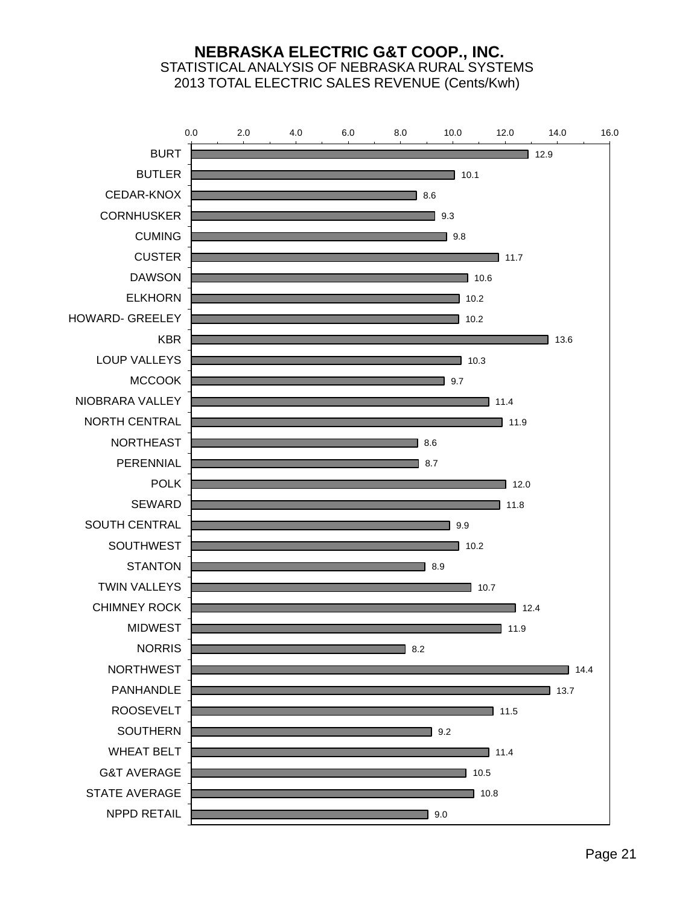## **NEBRASKA ELECTRIC G&T COOP., INC.** STATISTICAL ANALYSIS OF NEBRASKA RURAL SYSTEMS 2013 TOTAL ELECTRIC SALES REVENUE (Cents/Kwh)

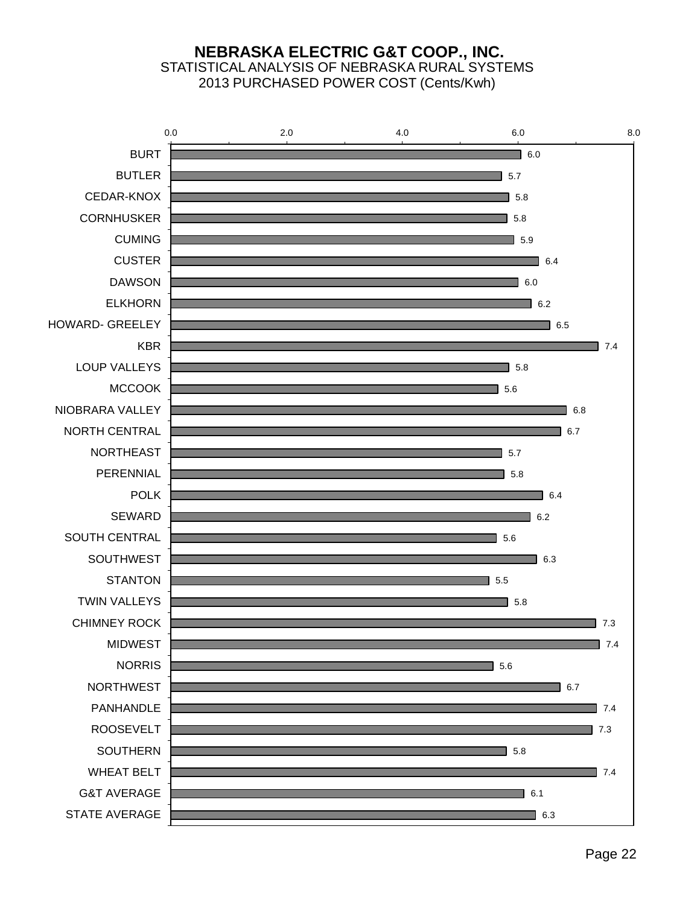## **NEBRASKA ELECTRIC G&T COOP., INC.** STATISTICAL ANALYSIS OF NEBRASKA RURAL SYSTEMS 2013 PURCHASED POWER COST (Cents/Kwh)

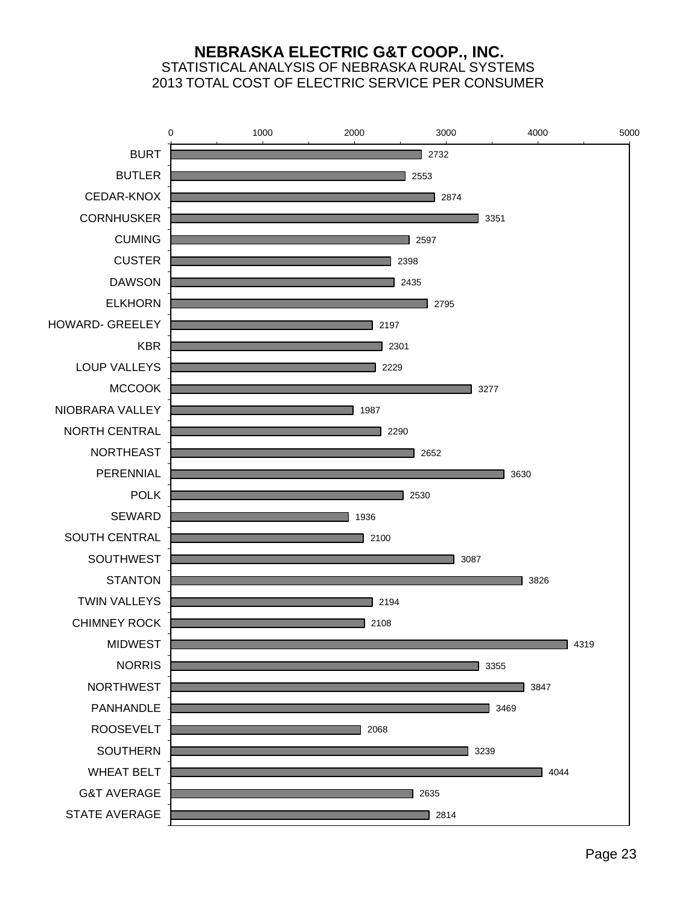## **NEBRASKA ELECTRIC G&T COOP., INC.** STATISTICAL ANALYSIS OF NEBRASKA RURAL SYSTEMS 2013 TOTAL COST OF ELECTRIC SERVICE PER CONSUMER

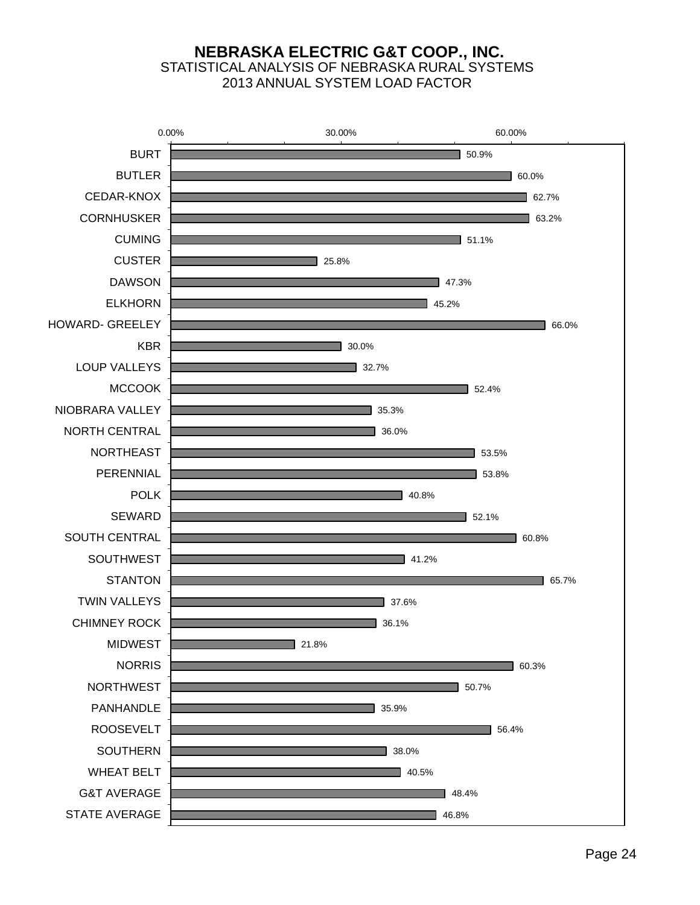## **NEBRASKA ELECTRIC G&T COOP., INC.** STATISTICAL ANALYSIS OF NEBRASKA RURAL SYSTEMS 2013 ANNUAL SYSTEM LOAD FACTOR

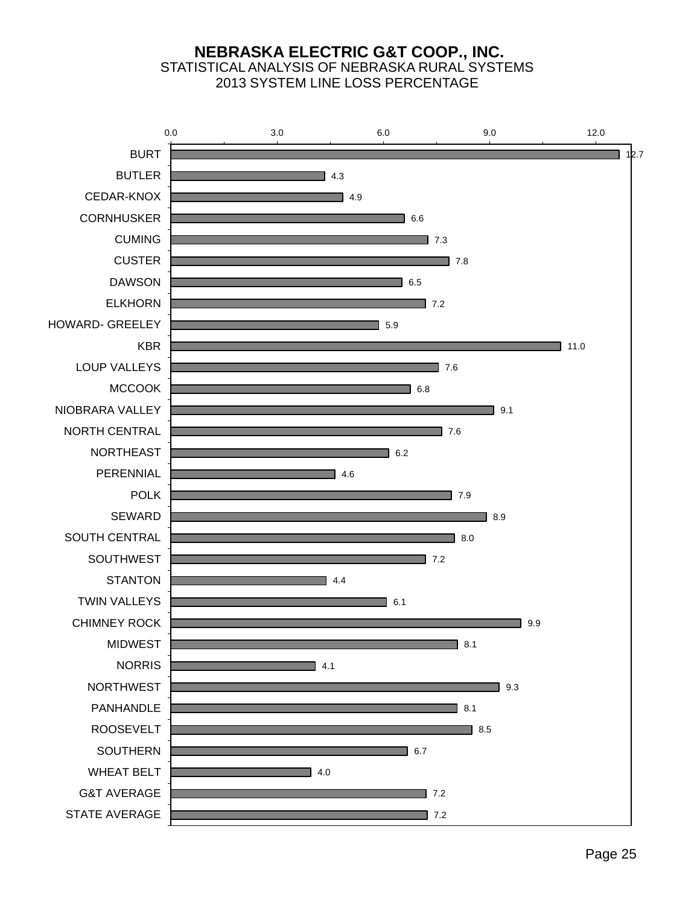## **NEBRASKA ELECTRIC G&T COOP., INC.** STATISTICAL ANALYSIS OF NEBRASKA RURAL SYSTEMS 2013 SYSTEM LINE LOSS PERCENTAGE

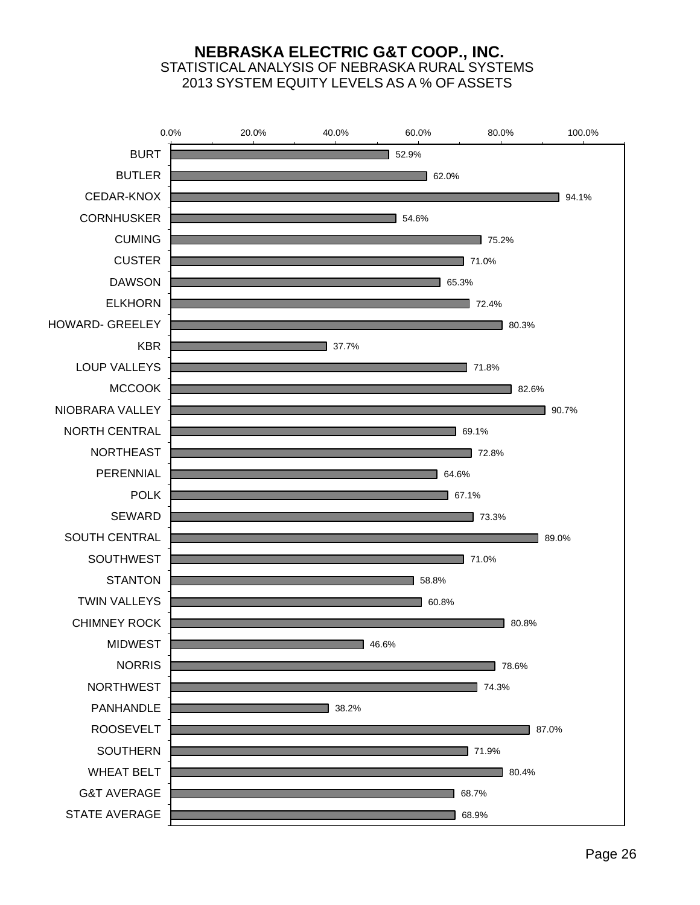## **NEBRASKA ELECTRIC G&T COOP., INC.** STATISTICAL ANALYSIS OF NEBRASKA RURAL SYSTEMS 2013 SYSTEM EQUITY LEVELS AS A % OF ASSETS

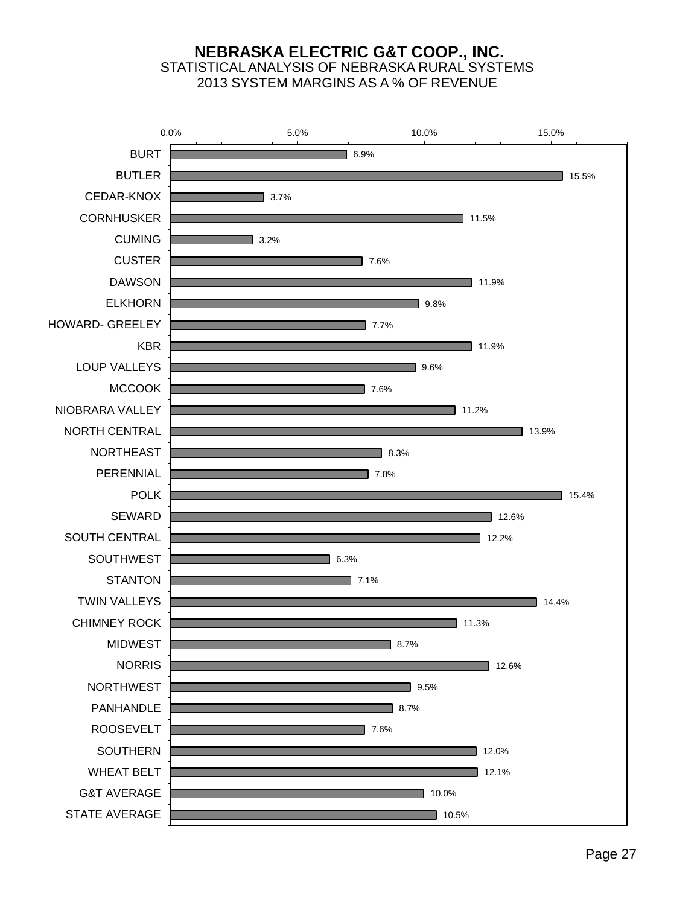### **NEBRASKA ELECTRIC G&T COOP., INC.** STATISTICAL ANALYSIS OF NEBRASKA RURAL SYSTEMS 2013 SYSTEM MARGINS AS A % OF REVENUE

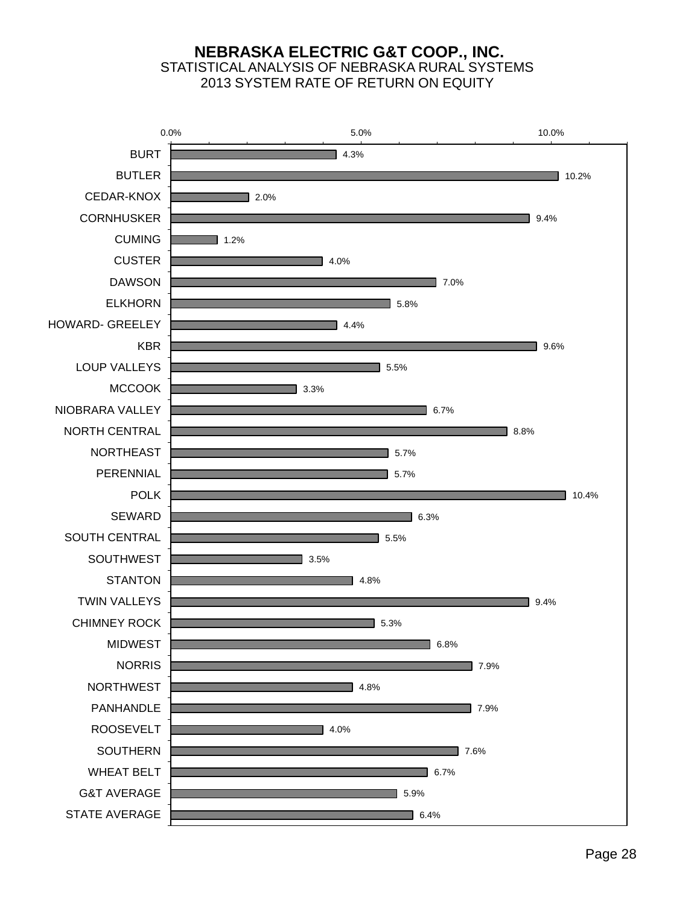## **NEBRASKA ELECTRIC G&T COOP., INC.** STATISTICAL ANALYSIS OF NEBRASKA RURAL SYSTEMS 2013 SYSTEM RATE OF RETURN ON EQUITY

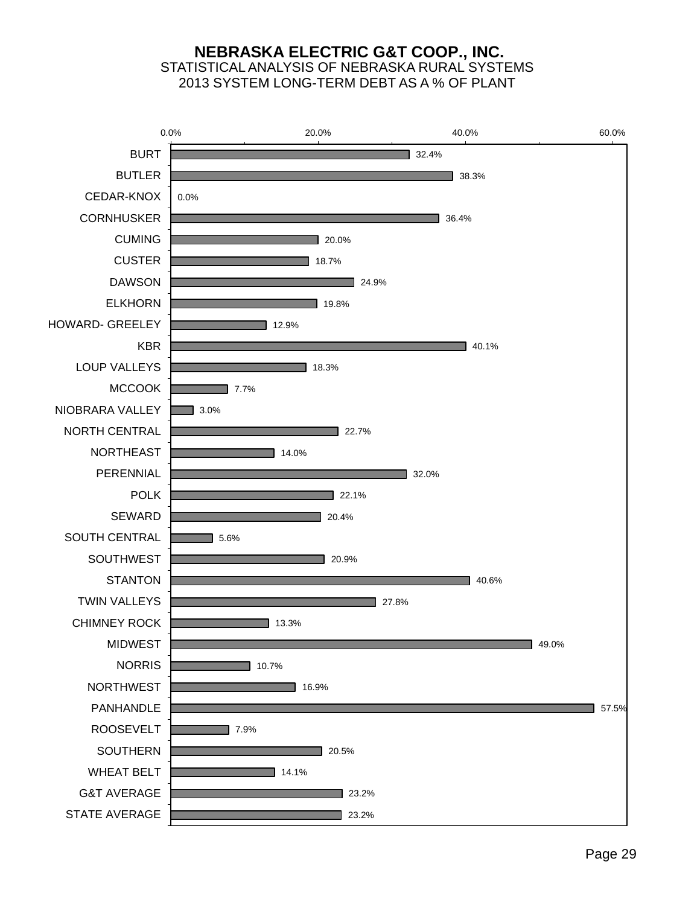### **NEBRASKA ELECTRIC G&T COOP., INC.** STATISTICAL ANALYSIS OF NEBRASKA RURAL SYSTEMS 2013 SYSTEM LONG-TERM DEBT AS A % OF PLANT

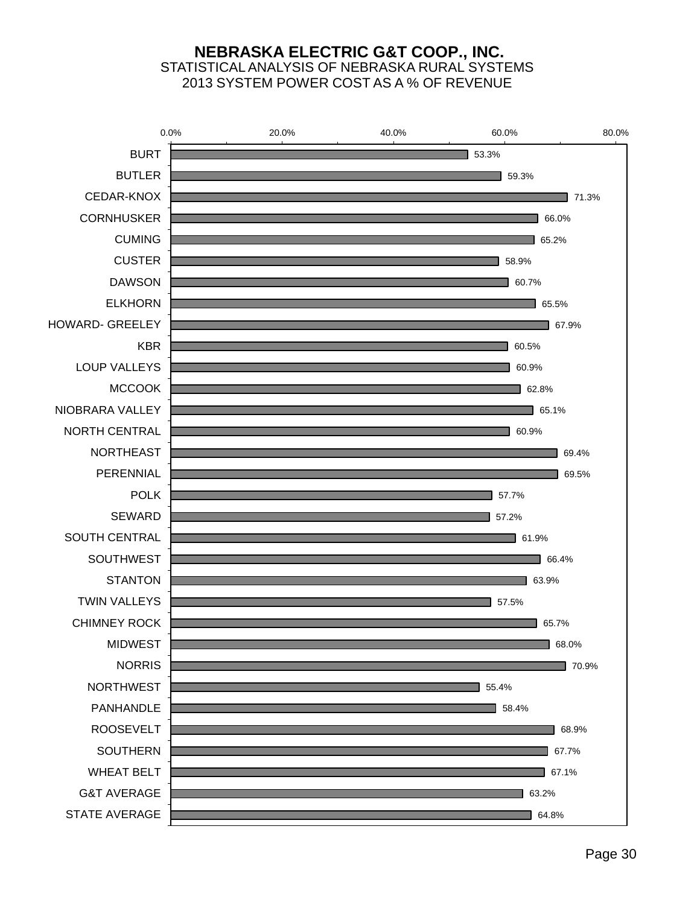## **NEBRASKA ELECTRIC G&T COOP., INC.** STATISTICAL ANALYSIS OF NEBRASKA RURAL SYSTEMS 2013 SYSTEM POWER COST AS A % OF REVENUE

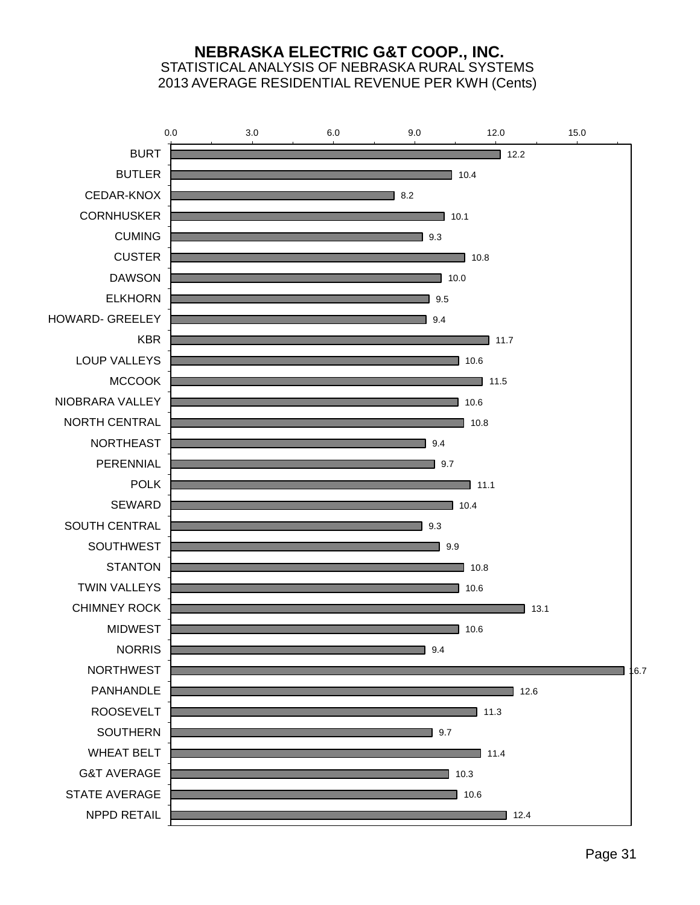## **NEBRASKA ELECTRIC G&T COOP., INC.** STATISTICAL ANALYSIS OF NEBRASKA RURAL SYSTEMS 2013 AVERAGE RESIDENTIAL REVENUE PER KWH (Cents)

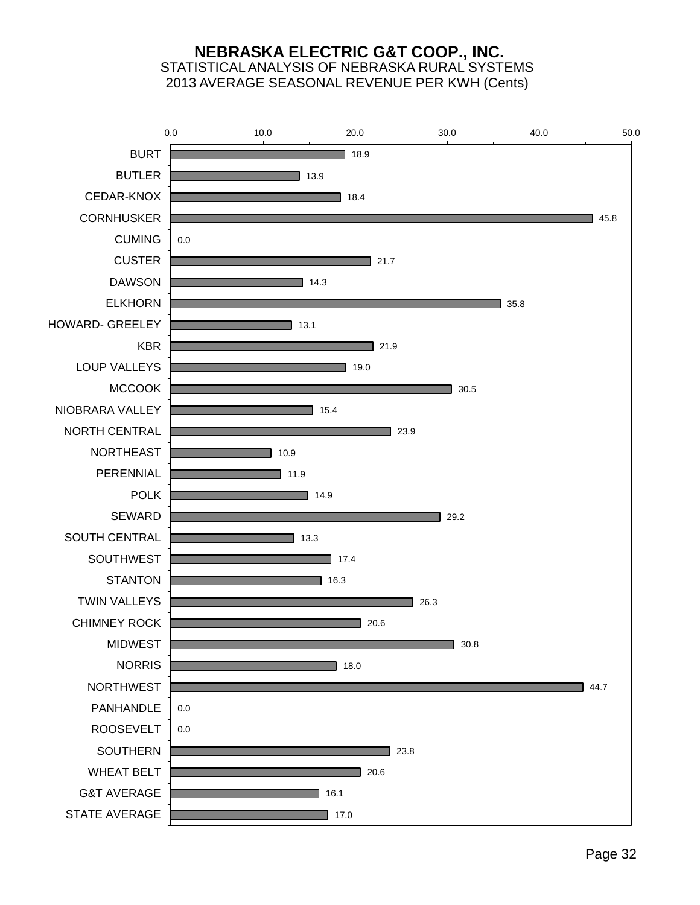### **NEBRASKA ELECTRIC G&T COOP., INC.** STATISTICAL ANALYSIS OF NEBRASKA RURAL SYSTEMS 2013 AVERAGE SEASONAL REVENUE PER KWH (Cents)

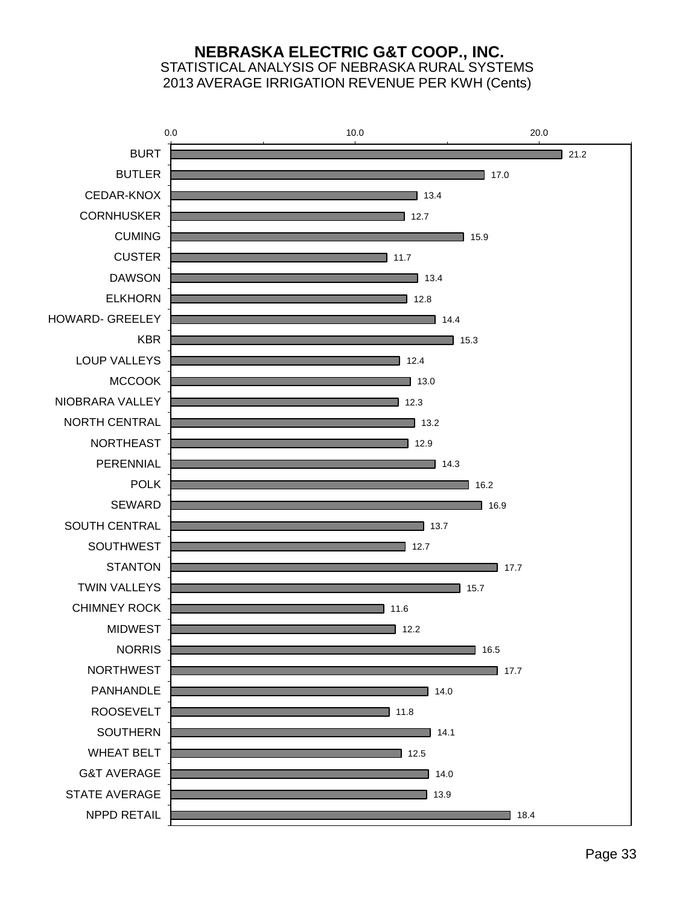## **NEBRASKA ELECTRIC G&T COOP., INC.** STATISTICAL ANALYSIS OF NEBRASKA RURAL SYSTEMS 2013 AVERAGE IRRIGATION REVENUE PER KWH (Cents)

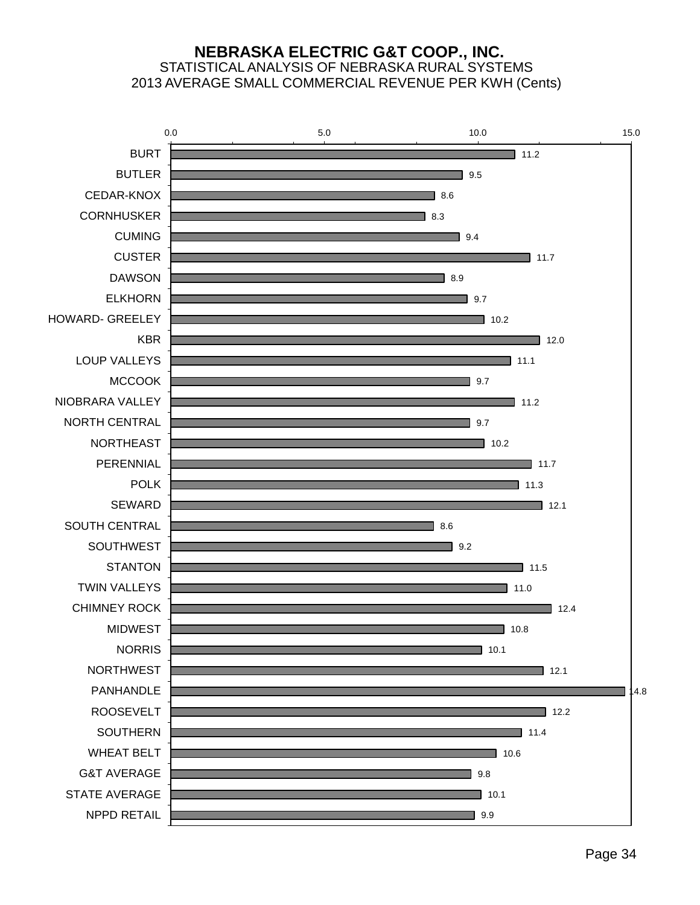### **NEBRASKA ELECTRIC G&T COOP., INC.** STATISTICAL ANALYSIS OF NEBRASKA RURAL SYSTEMS 2013 AVERAGE SMALL COMMERCIAL REVENUE PER KWH (Cents)

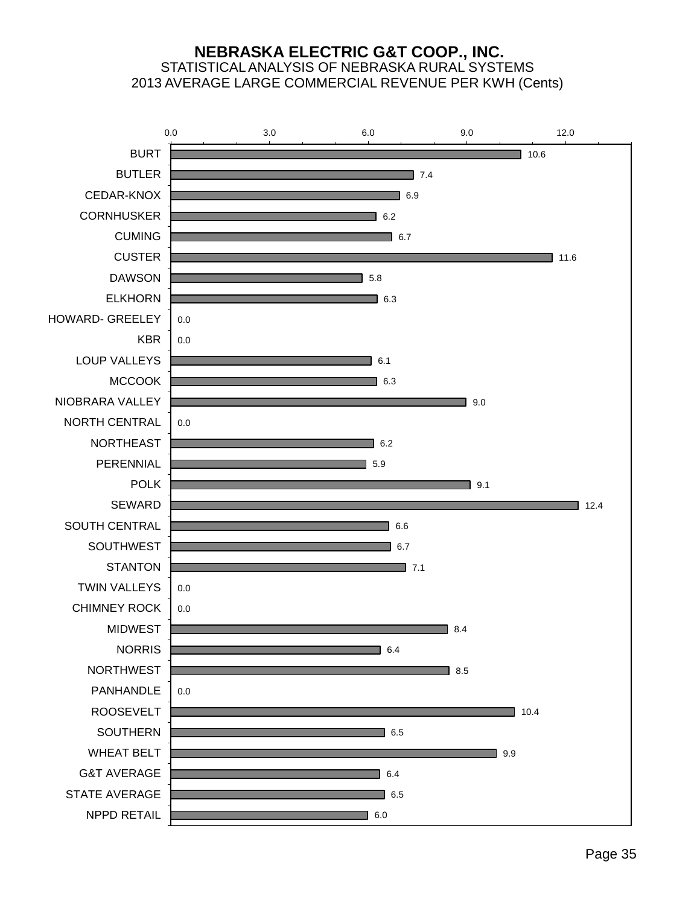### **NEBRASKA ELECTRIC G&T COOP., INC.** STATISTICAL ANALYSIS OF NEBRASKA RURAL SYSTEMS 2013 AVERAGE LARGE COMMERCIAL REVENUE PER KWH (Cents)

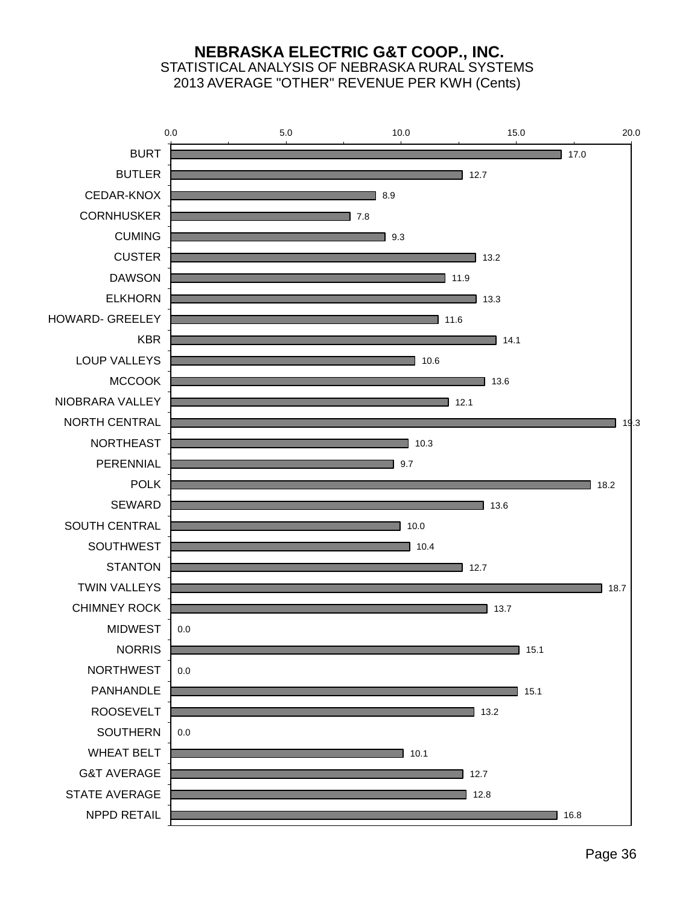## **NEBRASKA ELECTRIC G&T COOP., INC.** STATISTICAL ANALYSIS OF NEBRASKA RURAL SYSTEMS 2013 AVERAGE "OTHER" REVENUE PER KWH (Cents)

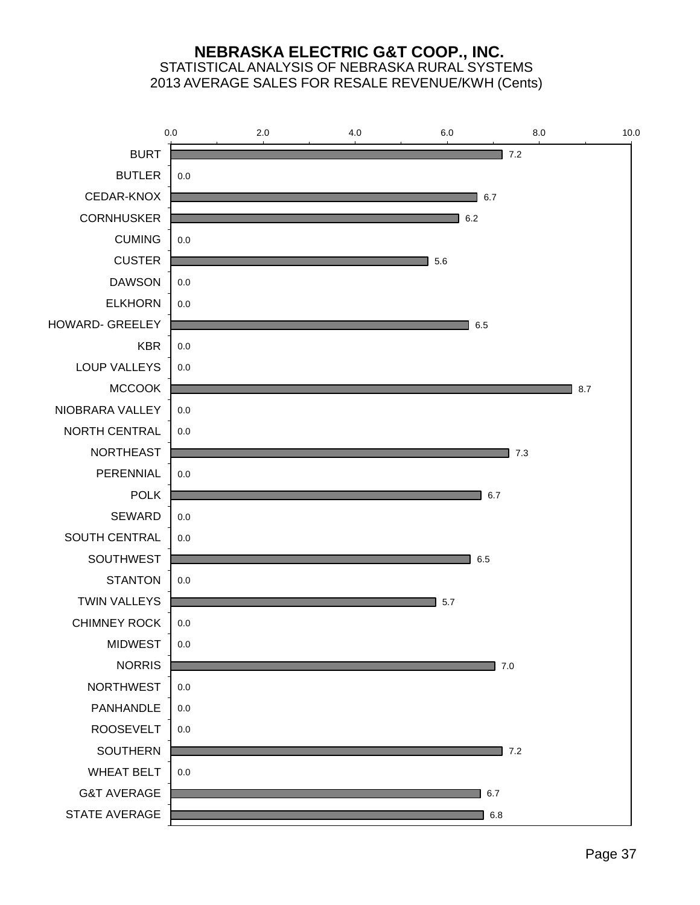### **NEBRASKA ELECTRIC G&T COOP., INC.** STATISTICAL ANALYSIS OF NEBRASKA RURAL SYSTEMS 2013 AVERAGE SALES FOR RESALE REVENUE/KWH (Cents)

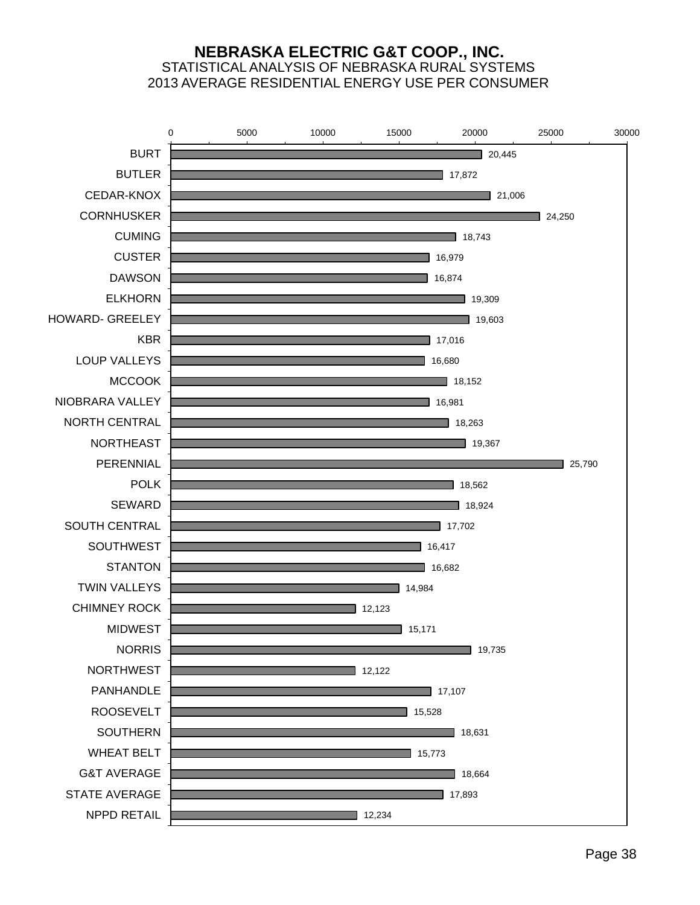### **NEBRASKA ELECTRIC G&T COOP., INC.** STATISTICAL ANALYSIS OF NEBRASKA RURAL SYSTEMS 2013 AVERAGE RESIDENTIAL ENERGY USE PER CONSUMER

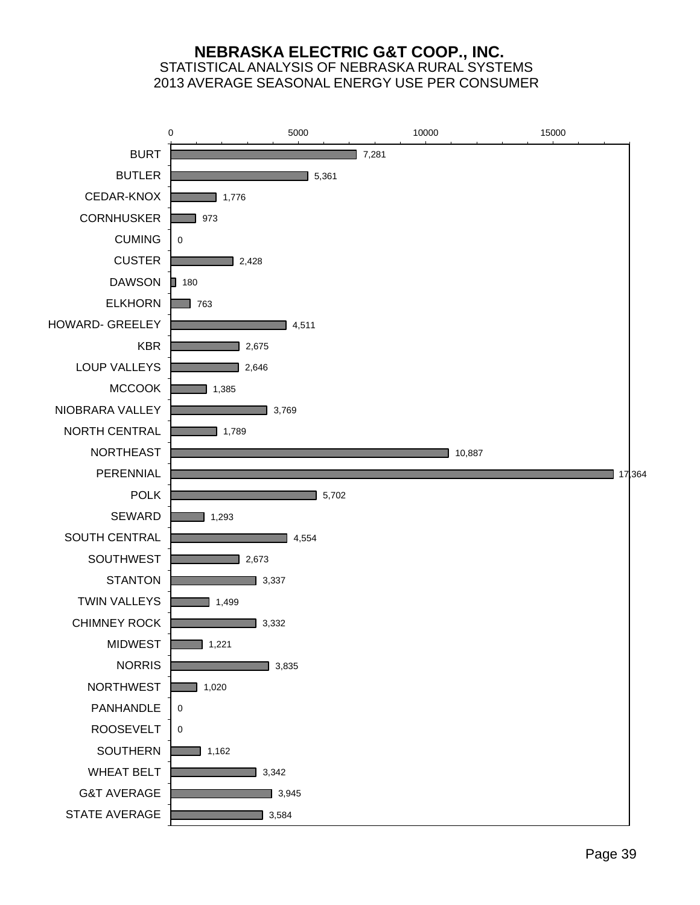### **NEBRASKA ELECTRIC G&T COOP., INC.** STATISTICAL ANALYSIS OF NEBRASKA RURAL SYSTEMS 2013 AVERAGE SEASONAL ENERGY USE PER CONSUMER

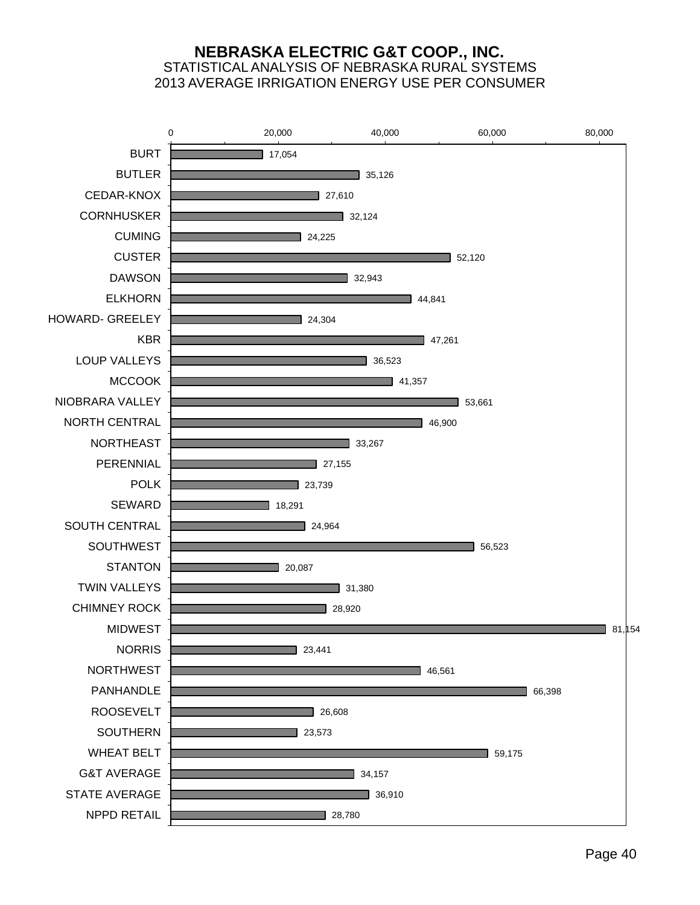### **NEBRASKA ELECTRIC G&T COOP., INC.** STATISTICAL ANALYSIS OF NEBRASKA RURAL SYSTEMS 2013 AVERAGE IRRIGATION ENERGY USE PER CONSUMER

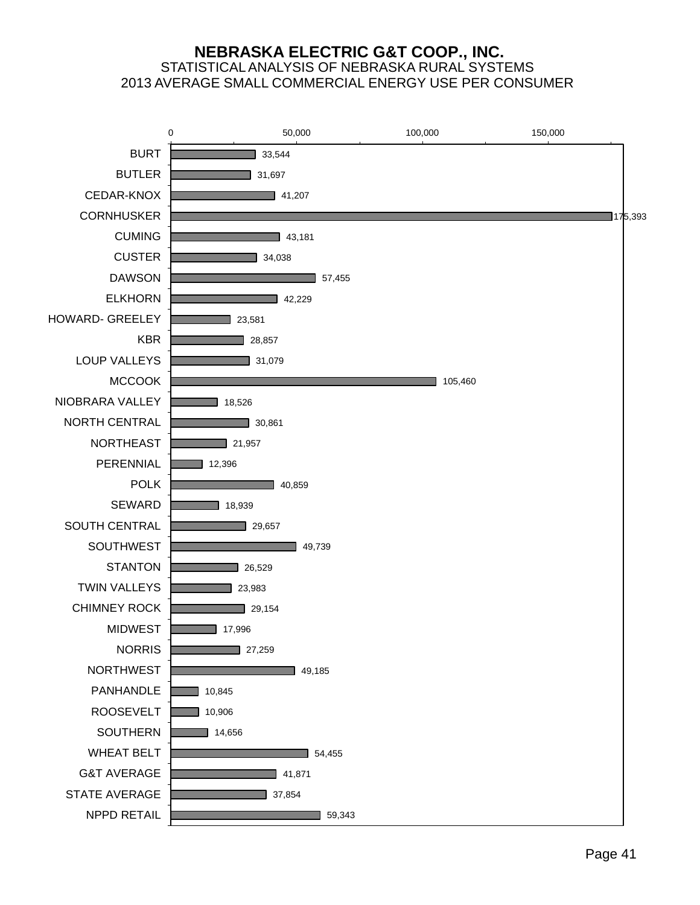### **NEBRASKA ELECTRIC G&T COOP., INC.** STATISTICAL ANALYSIS OF NEBRASKA RURAL SYSTEMS 2013 AVERAGE SMALL COMMERCIAL ENERGY USE PER CONSUMER

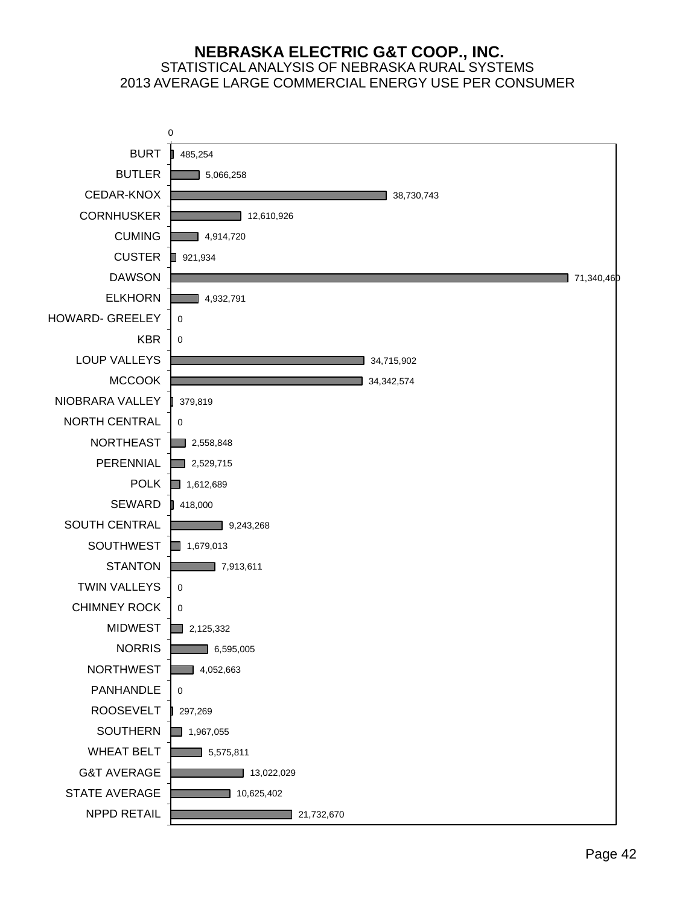### **NEBRASKA ELECTRIC G&T COOP., INC.** STATISTICAL ANALYSIS OF NEBRASKA RURAL SYSTEMS 2013 AVERAGE LARGE COMMERCIAL ENERGY USE PER CONSUMER